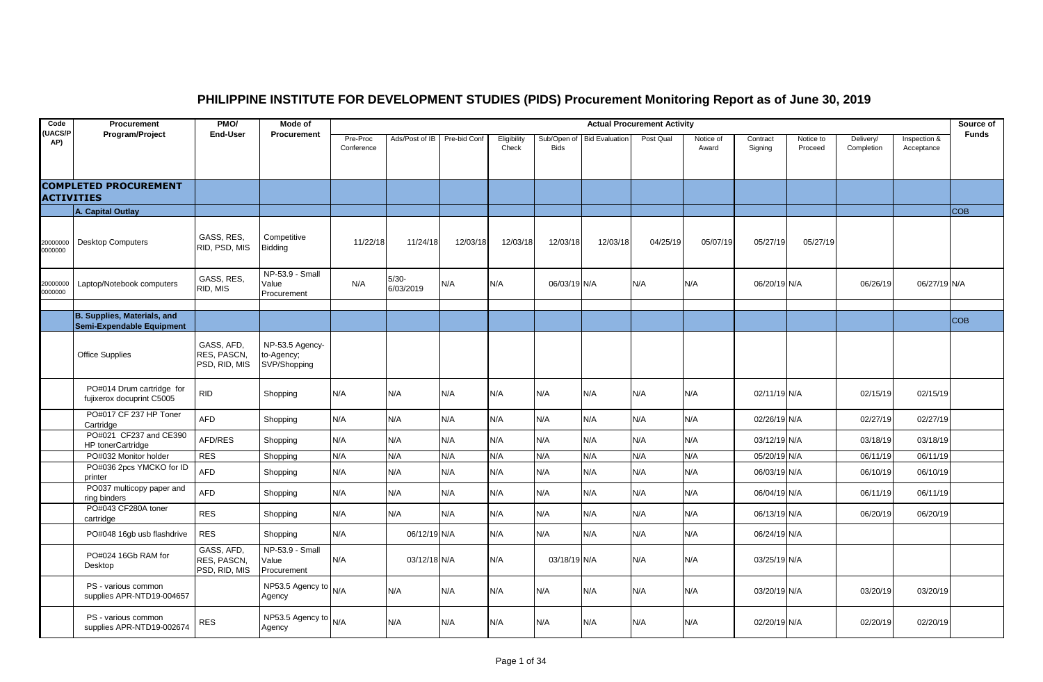## **PHILIPPINE INSTITUTE FOR DEVELOPMENT STUDIES (PIDS) Procurement Monitoring Report as of June 30, 2019**

| Code                 | Procurement                                            | PMO/                                       | Mode of                                       | <b>Actual Procurement Activity</b> |                      |              |                      |                            |                       |           |                    |                     |                      |                         |                            | Source of    |
|----------------------|--------------------------------------------------------|--------------------------------------------|-----------------------------------------------|------------------------------------|----------------------|--------------|----------------------|----------------------------|-----------------------|-----------|--------------------|---------------------|----------------------|-------------------------|----------------------------|--------------|
| <b>UACS/P</b><br>AP) | Program/Project                                        | <b>End-User</b>                            | Procurement                                   | Pre-Proc<br>Conference             | Ads/Post of IB       | Pre-bid Conf | Eligibility<br>Check | Sub/Open of<br><b>Bids</b> | <b>Bid Evaluation</b> | Post Qual | Notice of<br>Award | Contract<br>Signing | Notice to<br>Proceed | Delivery/<br>Completion | Inspection &<br>Acceptance | <b>Funds</b> |
| <b>ACTIVITIES</b>    | <b>COMPLETED PROCUREMENT</b>                           |                                            |                                               |                                    |                      |              |                      |                            |                       |           |                    |                     |                      |                         |                            |              |
|                      | A. Capital Outlay                                      |                                            |                                               |                                    |                      |              |                      |                            |                       |           |                    |                     |                      |                         |                            | <b>COB</b>   |
| 20000000<br>0000000  | <b>Desktop Computers</b>                               | GASS, RES.<br>RID, PSD, MIS                | Competitive<br>Bidding                        | 11/22/18                           | 11/24/18             | 12/03/18     | 12/03/18             | 12/03/18                   | 12/03/18              | 04/25/19  | 05/07/19           | 05/27/19            | 05/27/19             |                         |                            |              |
| 20000000<br>0000000  | Laptop/Notebook computers                              | GASS, RES.<br>RID, MIS                     | NP-53.9 - Small<br>Value<br>Procurement       | N/A                                | $5/30-$<br>6/03/2019 | N/A          | N/A                  | 06/03/19 N/A               |                       | N/A       | N/A                | 06/20/19 N/A        |                      | 06/26/19                | 06/27/19 N/A               |              |
|                      | B. Supplies, Materials, and                            |                                            |                                               |                                    |                      |              |                      |                            |                       |           |                    |                     |                      |                         |                            |              |
|                      | Semi-Expendable Equipment                              |                                            |                                               |                                    |                      |              |                      |                            |                       |           |                    |                     |                      |                         |                            | <b>COB</b>   |
|                      | Office Supplies                                        | GASS, AFD,<br>RES, PASCN,<br>PSD, RID, MIS | NP-53.5 Agency-<br>to-Agency;<br>SVP/Shopping |                                    |                      |              |                      |                            |                       |           |                    |                     |                      |                         |                            |              |
|                      | PO#014 Drum cartridge for<br>fujixerox docuprint C5005 | <b>RID</b>                                 | Shopping                                      | N/A                                | N/A                  | N/A          | N/A                  | N/A                        | N/A                   | N/A       | N/A                | 02/11/19 N/A        |                      | 02/15/19                | 02/15/19                   |              |
|                      | PO#017 CF 237 HP Toner<br>Cartridge                    | AFD                                        | Shopping                                      | N/A                                | N/A                  | N/A          | N/A                  | N/A                        | N/A                   | N/A       | N/A                | 02/26/19 N/A        |                      | 02/27/19                | 02/27/19                   |              |
|                      | PO#021 CF237 and CE390<br>HP tonerCartridge            | AFD/RES                                    | Shopping                                      | N/A                                | N/A                  | N/A          | N/A                  | N/A                        | N/A                   | N/A       | N/A                | 03/12/19 N/A        |                      | 03/18/19                | 03/18/19                   |              |
|                      | PO#032 Monitor holder                                  | <b>RES</b>                                 | Shopping                                      | N/A                                | N/A                  | N/A          | N/A                  | N/A                        | N/A                   | N/A       | N/A                | 05/20/19 N/A        |                      | 06/11/19                | 06/11/19                   |              |
|                      | PO#036 2pcs YMCKO for ID<br>printer                    | AFD                                        | Shopping                                      | N/A                                | N/A                  | N/A          | N/A                  | N/A                        | N/A                   | N/A       | N/A                | 06/03/19 N/A        |                      | 06/10/19                | 06/10/19                   |              |
|                      | PO037 multicopy paper and<br>ring binders              | AFD                                        | Shopping                                      | N/A                                | N/A                  | N/A          | N/A                  | N/A                        | N/A                   | N/A       | N/A                | 06/04/19 N/A        |                      | 06/11/19                | 06/11/19                   |              |
|                      | PO#043 CF280A toner<br>cartridge                       | <b>RES</b>                                 | Shopping                                      | N/A                                | N/A                  | N/A          | N/A                  | N/A                        | N/A                   | N/A       | N/A                | 06/13/19 N/A        |                      | 06/20/19                | 06/20/19                   |              |
|                      | PO#048 16gb usb flashdrive                             | <b>RES</b>                                 | Shopping                                      | N/A                                | 06/12/19 N/A         |              | N/A                  | N/A                        | N/A                   | N/A       | N/A                | 06/24/19 N/A        |                      |                         |                            |              |
|                      | PO#024 16Gb RAM for<br>Desktop                         | GASS, AFD,<br>RES, PASCN,<br>PSD, RID, MIS | NP-53.9 - Small<br>Value<br>Procurement       | N/A                                | 03/12/18 N/A         |              | N/A                  | 03/18/19 N/A               |                       | N/A       | N/A                | 03/25/19 N/A        |                      |                         |                            |              |
|                      | PS - various common<br>supplies APR-NTD19-004657       |                                            | NP53.5 Agency to<br>Agency                    | N/A                                | N/A                  | N/A          | N/A                  | N/A                        | N/A                   | N/A       | N/A                | 03/20/19 N/A        |                      | 03/20/19                | 03/20/19                   |              |
|                      | PS - various common<br>supplies APR-NTD19-002674       | <b>RES</b>                                 | NP53.5 Agency to N/A<br>Agency                |                                    | N/A                  | N/A          | N/A                  | N/A                        | N/A                   | N/A       | N/A                | 02/20/19 N/A        |                      | 02/20/19                | 02/20/19                   |              |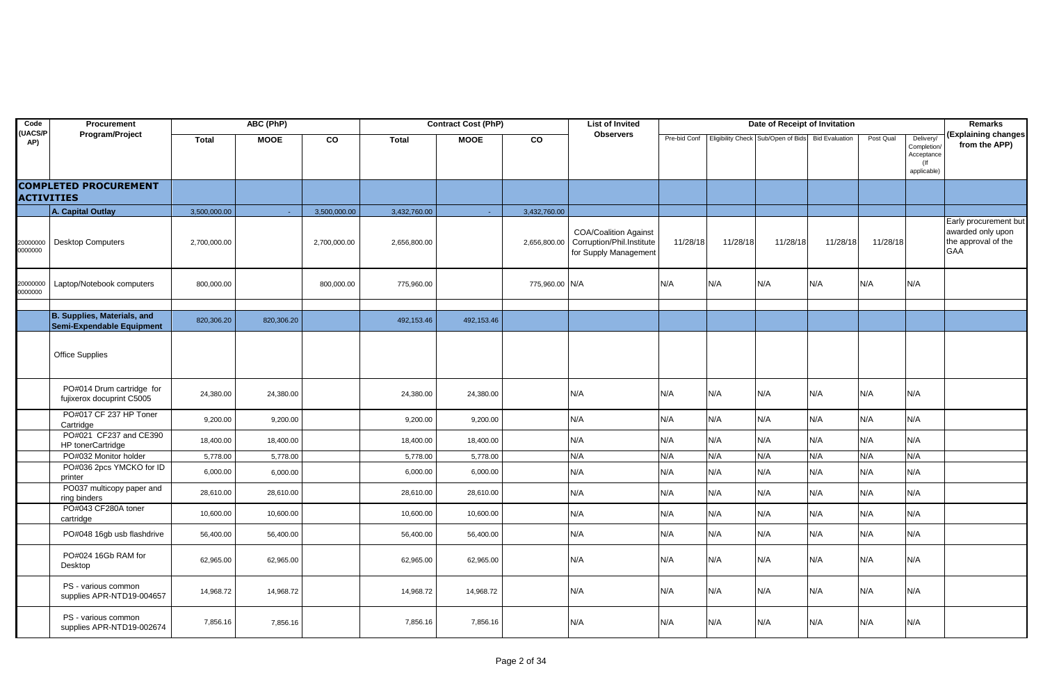| Code                 | Procurement                                              |              | ABC (PhP)   |              |              | <b>Contract Cost (PhP)</b> |                | <b>List of Invited</b>                                                             |          |          | Date of Receipt of Invitation                       |                       |           |                                                                 | <b>Remarks</b>                                                           |
|----------------------|----------------------------------------------------------|--------------|-------------|--------------|--------------|----------------------------|----------------|------------------------------------------------------------------------------------|----------|----------|-----------------------------------------------------|-----------------------|-----------|-----------------------------------------------------------------|--------------------------------------------------------------------------|
| <b>UACS/P</b><br>AP) | Program/Project                                          | <b>Total</b> | <b>MOOE</b> | CO           | <b>Total</b> | <b>MOOE</b>                | CO             | <b>Observers</b>                                                                   |          |          | Pre-bid Conf   Eligibility Check   Sub/Open of Bids | <b>Bid Evaluation</b> | Post Qual | Delivery/<br>Completion/<br>Acceptance<br>$($ If<br>applicable) | (Explaining changes<br>from the APP)                                     |
| <b>ACTIVITIES</b>    | <b>COMPLETED PROCUREMENT</b>                             |              |             |              |              |                            |                |                                                                                    |          |          |                                                     |                       |           |                                                                 |                                                                          |
|                      | A. Capital Outlay                                        | 3,500,000.00 | $\sim$      | 3,500,000.00 | 3,432,760.00 | $\sim$                     | 3,432,760.00   |                                                                                    |          |          |                                                     |                       |           |                                                                 |                                                                          |
| 20000000<br>0000000  | <b>Desktop Computers</b>                                 | 2,700,000.00 |             | 2,700,000.00 | 2,656,800.00 |                            | 2,656,800.00   | <b>COA/Coalition Against</b><br>Corruption/Phil.Institute<br>for Supply Management | 11/28/18 | 11/28/18 | 11/28/18                                            | 11/28/18              | 11/28/18  |                                                                 | Early procurement but<br>awarded only upon<br>the approval of the<br>GAA |
| 20000000<br>0000000  | Laptop/Notebook computers                                | 800,000.00   |             | 800,000.00   | 775,960.00   |                            | 775,960.00 N/A |                                                                                    | N/A      | N/A      | N/A                                                 | N/A                   | N/A       | N/A                                                             |                                                                          |
|                      |                                                          |              |             |              |              |                            |                |                                                                                    |          |          |                                                     |                       |           |                                                                 |                                                                          |
|                      | B. Supplies, Materials, and<br>Semi-Expendable Equipment | 820,306.20   | 820,306.20  |              | 492,153.46   | 492,153.46                 |                |                                                                                    |          |          |                                                     |                       |           |                                                                 |                                                                          |
|                      | <b>Office Supplies</b>                                   |              |             |              |              |                            |                |                                                                                    |          |          |                                                     |                       |           |                                                                 |                                                                          |
|                      | PO#014 Drum cartridge for<br>fujixerox docuprint C5005   | 24,380.00    | 24,380.00   |              | 24,380.00    | 24,380.00                  |                | N/A                                                                                | N/A      | N/A      | N/A                                                 | N/A                   | N/A       | N/A                                                             |                                                                          |
|                      | PO#017 CF 237 HP Toner<br>Cartridge                      | 9,200.00     | 9,200.00    |              | 9,200.00     | 9,200.00                   |                | N/A                                                                                | N/A      | N/A      | N/A                                                 | N/A                   | N/A       | N/A                                                             |                                                                          |
|                      | PO#021 CF237 and CE390<br>HP tonerCartridge              | 18,400.00    | 18,400.00   |              | 18,400.00    | 18,400.00                  |                | N/A                                                                                | N/A      | N/A      | N/A                                                 | N/A                   | N/A       | N/A                                                             |                                                                          |
|                      | PO#032 Monitor holder                                    | 5,778.00     | 5,778.00    |              | 5,778.00     | 5,778.00                   |                | N/A                                                                                | N/A      | N/A      | N/A                                                 | N/A                   | N/A       | N/A                                                             |                                                                          |
|                      | PO#036 2pcs YMCKO for ID<br>printer                      | 6,000.00     | 6,000.00    |              | 6,000.00     | 6,000.00                   |                | N/A                                                                                | N/A      | N/A      | N/A                                                 | N/A                   | N/A       | N/A                                                             |                                                                          |
|                      | PO037 multicopy paper and<br>ring binders                | 28,610.00    | 28,610.00   |              | 28,610.00    | 28,610.00                  |                | N/A                                                                                | N/A      | N/A      | N/A                                                 | N/A                   | N/A       | N/A                                                             |                                                                          |
|                      | PO#043 CF280A toner<br>cartridge                         | 10,600.00    | 10,600.00   |              | 10,600.00    | 10,600.00                  |                | N/A                                                                                | N/A      | N/A      | N/A                                                 | N/A                   | N/A       | N/A                                                             |                                                                          |
|                      | PO#048 16gb usb flashdrive                               | 56,400.00    | 56,400.00   |              | 56,400.00    | 56,400.00                  |                | N/A                                                                                | N/A      | N/A      | N/A                                                 | N/A                   | N/A       | N/A                                                             |                                                                          |
|                      | PO#024 16Gb RAM for<br>Desktop                           | 62,965.00    | 62,965.00   |              | 62,965.00    | 62,965.00                  |                | N/A                                                                                | N/A      | N/A      | N/A                                                 | N/A                   | N/A       | N/A                                                             |                                                                          |
|                      | PS - various common<br>supplies APR-NTD19-004657         | 14,968.72    | 14,968.72   |              | 14,968.72    | 14,968.72                  |                | N/A                                                                                | N/A      | N/A      | N/A                                                 | N/A                   | N/A       | N/A                                                             |                                                                          |
|                      | PS - various common<br>supplies APR-NTD19-002674         | 7,856.16     | 7,856.16    |              | 7,856.16     | 7,856.16                   |                | N/A                                                                                | N/A      | N/A      | N/A                                                 | N/A                   | N/A       | N/A                                                             |                                                                          |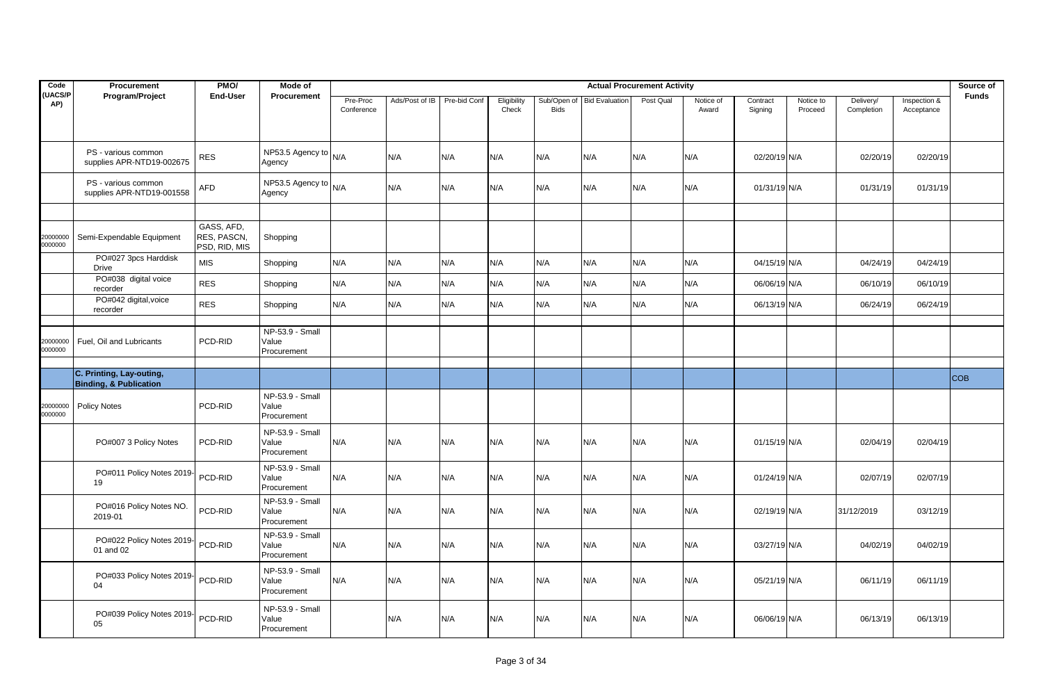| Code                | Procurement                                                   | PMO/                                       | Mode of                                 | <b>Actual Procurement Activity</b> |                |              |                      |                            |                       |           |                    |                     |                      |                         | Source of                  |              |
|---------------------|---------------------------------------------------------------|--------------------------------------------|-----------------------------------------|------------------------------------|----------------|--------------|----------------------|----------------------------|-----------------------|-----------|--------------------|---------------------|----------------------|-------------------------|----------------------------|--------------|
| (UACS/P<br>AP)      | Program/Project                                               | <b>End-User</b>                            | Procurement                             | Pre-Proc<br>Conference             | Ads/Post of IB | Pre-bid Conf | Eligibility<br>Check | Sub/Open of<br><b>Bids</b> | <b>Bid Evaluation</b> | Post Qual | Notice of<br>Award | Contract<br>Signing | Notice to<br>Proceed | Delivery/<br>Completion | Inspection &<br>Acceptance | <b>Funds</b> |
|                     | PS - various common<br>supplies APR-NTD19-002675              | <b>RES</b>                                 | NP53.5 Agency to $N/A$<br>Agency        |                                    | N/A            | N/A          | N/A                  | N/A                        | N/A                   | N/A       | N/A                | 02/20/19 N/A        |                      | 02/20/19                | 02/20/19                   |              |
|                     | PS - various common<br>supplies APR-NTD19-001558              | <b>AFD</b>                                 | NP53.5 Agency to $N/A$<br>Agency        |                                    | N/A            | N/A          | N/A                  | N/A                        | N/A                   | N/A       | N/A                | 01/31/19 N/A        |                      | 01/31/19                | 01/31/19                   |              |
| 20000000<br>0000000 | Semi-Expendable Equipment                                     | GASS, AFD,<br>RES, PASCN,<br>PSD, RID, MIS | Shopping                                |                                    |                |              |                      |                            |                       |           |                    |                     |                      |                         |                            |              |
|                     | PO#027 3pcs Harddisk<br><b>Drive</b>                          | <b>MIS</b>                                 | Shopping                                | N/A                                | N/A            | N/A          | N/A                  | N/A                        | N/A                   | N/A       | N/A                | 04/15/19 N/A        |                      | 04/24/19                | 04/24/19                   |              |
|                     | PO#038 digital voice<br>recorder                              | <b>RES</b>                                 | Shopping                                | N/A                                | N/A            | N/A          | N/A                  | N/A                        | N/A                   | N/A       | N/A                | 06/06/19 N/A        |                      | 06/10/19                | 06/10/19                   |              |
|                     | PO#042 digital, voice<br>recorder                             | <b>RES</b>                                 | Shopping                                | N/A                                | N/A            | N/A          | N/A                  | N/A                        | N/A                   | N/A       | N/A                | 06/13/19 N/A        |                      | 06/24/19                | 06/24/19                   |              |
| 20000000<br>0000000 | Fuel, Oil and Lubricants                                      | PCD-RID                                    | NP-53.9 - Small<br>Value<br>Procurement |                                    |                |              |                      |                            |                       |           |                    |                     |                      |                         |                            |              |
|                     | C. Printing, Lay-outing,<br><b>Binding, &amp; Publication</b> |                                            |                                         |                                    |                |              |                      |                            |                       |           |                    |                     |                      |                         |                            | <b>COB</b>   |
| 20000000<br>0000000 | <b>Policy Notes</b>                                           | PCD-RID                                    | NP-53.9 - Small<br>Value<br>Procurement |                                    |                |              |                      |                            |                       |           |                    |                     |                      |                         |                            |              |
|                     | PO#007 3 Policy Notes                                         | PCD-RID                                    | NP-53.9 - Small<br>Value<br>Procurement | N/A                                | N/A            | N/A          | N/A                  | N/A                        | N/A                   | N/A       | N/A                | 01/15/19 N/A        |                      | 02/04/19                | 02/04/19                   |              |
|                     | PO#011 Policy Notes 2019-<br>19                               | PCD-RID                                    | NP-53.9 - Small<br>Value<br>Procurement | N/A                                | N/A            | N/A          | N/A                  | N/A                        | N/A                   | N/A       | N/A                | 01/24/19 N/A        |                      | 02/07/19                | 02/07/19                   |              |
|                     | PO#016 Policy Notes NO.<br>2019-01                            | PCD-RID                                    | NP-53.9 - Small<br>Value<br>Procurement | N/A                                | N/A            | N/A          | N/A                  | N/A                        | N/A                   | N/A       | N/A                | 02/19/19 N/A        |                      | 31/12/2019              | 03/12/19                   |              |
|                     | PO#022 Policy Notes 2019-<br>01 and 02                        | PCD-RID                                    | NP-53.9 - Small<br>Value<br>Procurement | N/A                                | N/A            | N/A          | N/A                  | N/A                        | N/A                   | N/A       | N/A                | 03/27/19 N/A        |                      | 04/02/19                | 04/02/19                   |              |
|                     | PO#033 Policy Notes 2019-<br>04                               | PCD-RID                                    | NP-53.9 - Small<br>Value<br>Procurement | N/A                                | N/A            | N/A          | N/A                  | N/A                        | N/A                   | N/A       | N/A                | 05/21/19 N/A        |                      | 06/11/19                | 06/11/19                   |              |
|                     | PO#039 Policy Notes 2019-<br>05                               | PCD-RID                                    | NP-53.9 - Small<br>Value<br>Procurement |                                    | N/A            | N/A          | N/A                  | N/A                        | N/A                   | N/A       | N/A                | 06/06/19 N/A        |                      | 06/13/19                | 06/13/19                   |              |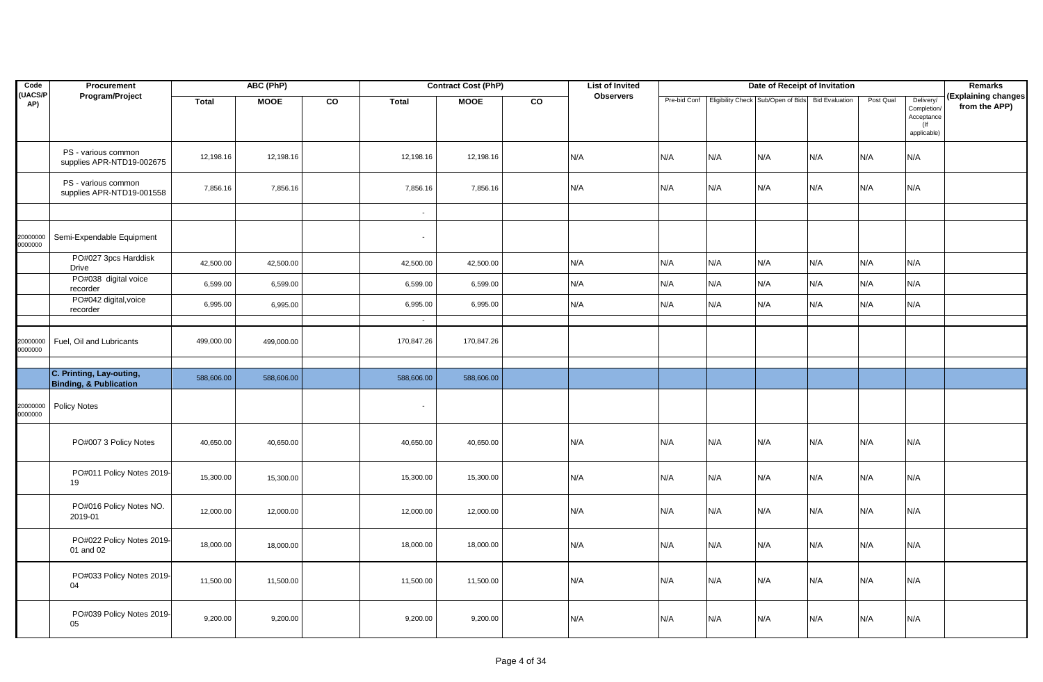| Code                 | Procurement                                                   |              | ABC (PhP)   |    |              | <b>Contract Cost (PhP)</b> |    | <b>List of Invited</b> |              |     | Date of Receipt of Invitation      |                       |           |                                                                 | <b>Remarks</b>                       |
|----------------------|---------------------------------------------------------------|--------------|-------------|----|--------------|----------------------------|----|------------------------|--------------|-----|------------------------------------|-----------------------|-----------|-----------------------------------------------------------------|--------------------------------------|
| <b>UACS/P</b><br>AP) | Program/Project                                               | <b>Total</b> | <b>MOOE</b> | CO | <b>Total</b> | <b>MOOE</b>                | CO | <b>Observers</b>       | Pre-bid Conf |     | Eligibility Check Sub/Open of Bids | <b>Bid Evaluation</b> | Post Qual | Delivery/<br>Completion/<br>Acceptance<br>$($ lf<br>applicable) | (Explaining changes<br>from the APP) |
|                      | PS - various common<br>supplies APR-NTD19-002675              | 12,198.16    | 12,198.16   |    | 12,198.16    | 12,198.16                  |    | N/A                    | N/A          | N/A | N/A                                | N/A                   | N/A       | N/A                                                             |                                      |
|                      | PS - various common<br>supplies APR-NTD19-001558              | 7,856.16     | 7,856.16    |    | 7,856.16     | 7,856.16                   |    | N/A                    | N/A          | N/A | N/A                                | N/A                   | N/A       | N/A                                                             |                                      |
|                      |                                                               |              |             |    |              |                            |    |                        |              |     |                                    |                       |           |                                                                 |                                      |
| 20000000<br>0000000  | Semi-Expendable Equipment                                     |              |             |    |              |                            |    |                        |              |     |                                    |                       |           |                                                                 |                                      |
|                      | PO#027 3pcs Harddisk<br>Drive                                 | 42,500.00    | 42,500.00   |    | 42,500.00    | 42,500.00                  |    | N/A                    | N/A          | N/A | N/A                                | N/A                   | N/A       | N/A                                                             |                                      |
|                      | PO#038 digital voice<br>recorder                              | 6,599.00     | 6,599.00    |    | 6,599.00     | 6,599.00                   |    | N/A                    | N/A          | N/A | N/A                                | N/A                   | N/A       | N/A                                                             |                                      |
|                      | PO#042 digital, voice<br>recorder                             | 6,995.00     | 6,995.00    |    | 6,995.00     | 6,995.00                   |    | N/A                    | N/A          | N/A | N/A                                | N/A                   | N/A       | N/A                                                             |                                      |
|                      |                                                               |              |             |    | $\sim$       |                            |    |                        |              |     |                                    |                       |           |                                                                 |                                      |
| 20000000<br>0000000  | Fuel, Oil and Lubricants                                      | 499,000.00   | 499,000.00  |    | 170,847.26   | 170,847.26                 |    |                        |              |     |                                    |                       |           |                                                                 |                                      |
|                      |                                                               |              |             |    |              |                            |    |                        |              |     |                                    |                       |           |                                                                 |                                      |
|                      | C. Printing, Lay-outing,<br><b>Binding, &amp; Publication</b> | 588,606.00   | 588,606.00  |    | 588,606.00   | 588,606.00                 |    |                        |              |     |                                    |                       |           |                                                                 |                                      |
| 20000000<br>0000000  | <b>Policy Notes</b>                                           |              |             |    |              |                            |    |                        |              |     |                                    |                       |           |                                                                 |                                      |
|                      | PO#007 3 Policy Notes                                         | 40,650.00    | 40,650.00   |    | 40,650.00    | 40,650.00                  |    | N/A                    | N/A          | N/A | N/A                                | N/A                   | N/A       | N/A                                                             |                                      |
|                      | PO#011 Policy Notes 2019-<br>19                               | 15,300.00    | 15,300.00   |    | 15,300.00    | 15,300.00                  |    | N/A                    | N/A          | N/A | N/A                                | N/A                   | N/A       | N/A                                                             |                                      |
|                      | PO#016 Policy Notes NO.<br>2019-01                            | 12,000.00    | 12,000.00   |    | 12,000.00    | 12,000.00                  |    | N/A                    | N/A          | N/A | N/A                                | N/A                   | N/A       | N/A                                                             |                                      |
|                      | PO#022 Policy Notes 2019-<br>01 and 02                        | 18,000.00    | 18,000.00   |    | 18,000.00    | 18,000.00                  |    | N/A                    | N/A          | N/A | N/A                                | N/A                   | N/A       | N/A                                                             |                                      |
|                      | PO#033 Policy Notes 2019-<br>04                               | 11,500.00    | 11,500.00   |    | 11,500.00    | 11,500.00                  |    | N/A                    | N/A          | N/A | N/A                                | N/A                   | N/A       | N/A                                                             |                                      |
|                      | PO#039 Policy Notes 2019-<br>05                               | 9,200.00     | 9,200.00    |    | 9,200.00     | 9,200.00                   |    | N/A                    | N/A          | N/A | N/A                                | N/A                   | N/A       | N/A                                                             |                                      |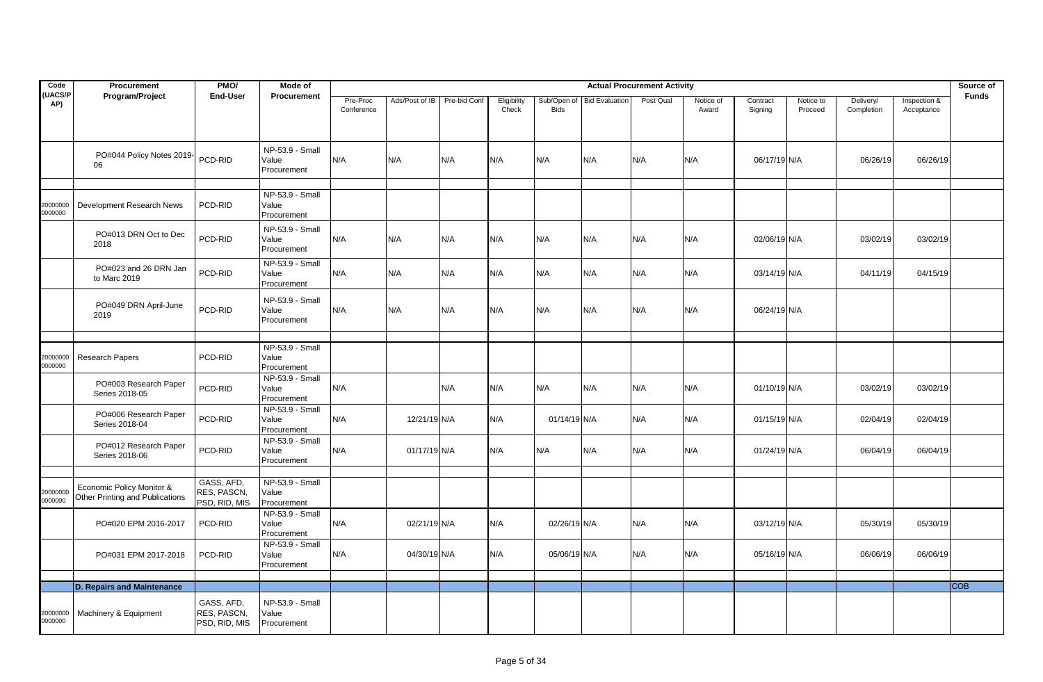| Code                 | Procurement                                                  | PMO/                                       | Mode of                                 |                        |                |              |                      |                            |                       | <b>Actual Procurement Activity</b> |                    |                     |                      |                         |                            | Source of    |
|----------------------|--------------------------------------------------------------|--------------------------------------------|-----------------------------------------|------------------------|----------------|--------------|----------------------|----------------------------|-----------------------|------------------------------------|--------------------|---------------------|----------------------|-------------------------|----------------------------|--------------|
| <b>UACS/P</b><br>AP) | Program/Project                                              | <b>End-User</b>                            | Procurement                             | Pre-Proc<br>Conference | Ads/Post of IB | Pre-bid Conf | Eligibility<br>Check | Sub/Open of<br><b>Bids</b> | <b>Bid Evaluation</b> | Post Qual                          | Notice of<br>Award | Contract<br>Signing | Notice to<br>Proceed | Delivery/<br>Completion | Inspection &<br>Acceptance | <b>Funds</b> |
|                      | PO#044 Policy Notes 2019-<br>06                              | PCD-RID                                    | NP-53.9 - Small<br>Value<br>Procurement | N/A                    | N/A            | N/A          | N/A                  | N/A                        | N/A                   | N/A                                | N/A                | 06/17/19 N/A        |                      | 06/26/19                | 06/26/19                   |              |
| 20000000<br>0000000  | Development Research News                                    | PCD-RID                                    | NP-53.9 - Small<br>Value<br>Procurement |                        |                |              |                      |                            |                       |                                    |                    |                     |                      |                         |                            |              |
|                      | PO#013 DRN Oct to Dec<br>2018                                | PCD-RID                                    | NP-53.9 - Small<br>Value<br>Procurement | N/A                    | N/A            | N/A          | N/A                  | N/A                        | N/A                   | N/A                                | N/A                | 02/06/19 N/A        |                      | 03/02/19                | 03/02/19                   |              |
|                      | PO#023 and 26 DRN Jan<br>to Marc 2019                        | PCD-RID                                    | NP-53.9 - Small<br>Value<br>Procurement | N/A                    | N/A            | N/A          | N/A                  | N/A                        | N/A                   | N/A                                | N/A                | 03/14/19 N/A        |                      | 04/11/19                | 04/15/19                   |              |
|                      | PO#049 DRN April-June<br>2019                                | PCD-RID                                    | NP-53.9 - Small<br>Value<br>Procurement | N/A                    | N/A            | N/A          | N/A                  | N/A                        | N/A                   | N/A                                | N/A                | 06/24/19 N/A        |                      |                         |                            |              |
| 20000000<br>0000000  | Research Papers                                              | PCD-RID                                    | NP-53.9 - Small<br>Value<br>Procurement |                        |                |              |                      |                            |                       |                                    |                    |                     |                      |                         |                            |              |
|                      | PO#003 Research Paper<br>Series 2018-05                      | PCD-RID                                    | NP-53.9 - Small<br>Value<br>Procurement | N/A                    |                | N/A          | N/A                  | N/A                        | N/A                   | N/A                                | N/A                | 01/10/19 N/A        |                      | 03/02/19                | 03/02/19                   |              |
|                      | PO#006 Research Paper<br>Series 2018-04                      | PCD-RID                                    | NP-53.9 - Small<br>Value<br>Procurement | N/A                    | 12/21/19 N/A   |              | N/A                  | 01/14/19 N/A               |                       | N/A                                | N/A                | 01/15/19 N/A        |                      | 02/04/19                | 02/04/19                   |              |
|                      | PO#012 Research Paper<br>Series 2018-06                      | PCD-RID                                    | NP-53.9 - Small<br>Value<br>Procurement | N/A                    | 01/17/19 N/A   |              | N/A                  | N/A                        | N/A                   | N/A                                | N/A                | 01/24/19 N/A        |                      | 06/04/19                | 06/04/19                   |              |
| 20000000<br>0000000  | Economic Policy Monitor &<br>Other Printing and Publications | GASS, AFD,<br>RES, PASCN,<br>PSD, RID, MIS | NP-53.9 - Small<br>Value<br>Procurement |                        |                |              |                      |                            |                       |                                    |                    |                     |                      |                         |                            |              |
|                      | PO#020 EPM 2016-2017                                         | PCD-RID                                    | NP-53.9 - Small<br>Value<br>Procurement | N/A                    | 02/21/19 N/A   |              | N/A                  | 02/26/19 N/A               |                       | N/A                                | N/A                | 03/12/19 N/A        |                      | 05/30/19                | 05/30/19                   |              |
|                      | PO#031 EPM 2017-2018                                         | PCD-RID                                    | NP-53.9 - Small<br>Value<br>Procurement | N/A                    | 04/30/19 N/A   |              | N/A                  | 05/06/19 N/A               |                       | N/A                                | N/A                | 05/16/19 N/A        |                      | 06/06/19                | 06/06/19                   |              |
|                      | <b>D. Repairs and Maintenance</b>                            |                                            |                                         |                        |                |              |                      |                            |                       |                                    |                    |                     |                      |                         |                            | <b>COB</b>   |
|                      |                                                              |                                            |                                         |                        |                |              |                      |                            |                       |                                    |                    |                     |                      |                         |                            |              |
| 20000000<br>0000000  | Machinery & Equipment                                        | GASS, AFD,<br>RES, PASCN,<br>PSD, RID, MIS | NP-53.9 - Small<br>Value<br>Procurement |                        |                |              |                      |                            |                       |                                    |                    |                     |                      |                         |                            |              |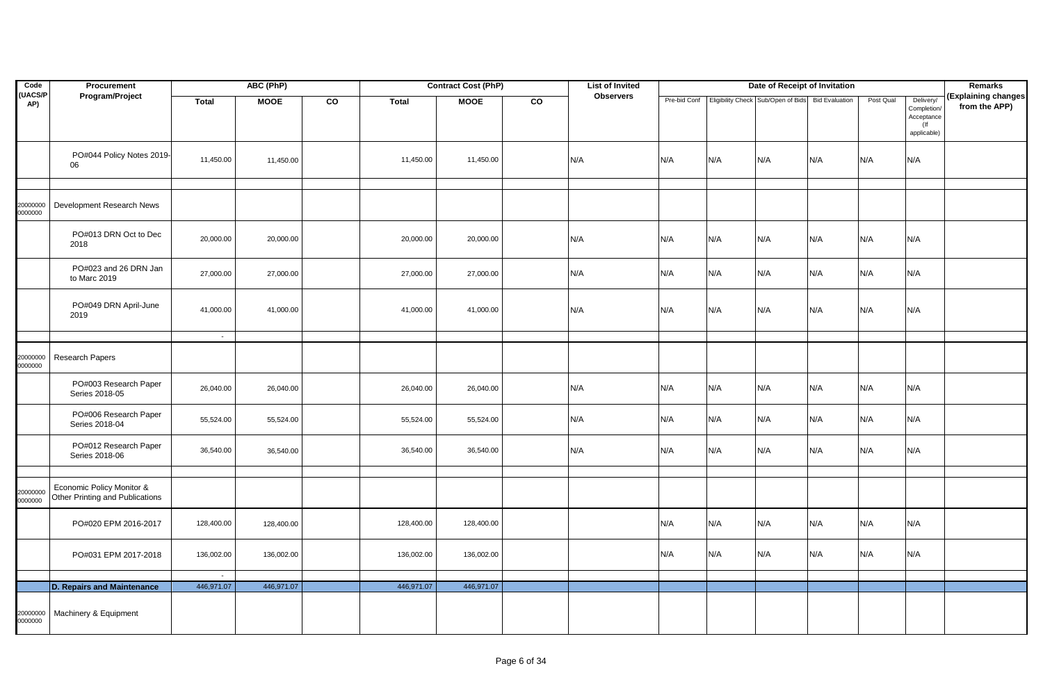| Code                | Procurement                                                  |              | ABC (PhP)   |    |            | <b>Contract Cost (PhP)</b> |    |     | <b>List of Invited</b> |              |     | Date of Receipt of Invitation      |                       |           |                                                                 | Remarks                              |
|---------------------|--------------------------------------------------------------|--------------|-------------|----|------------|----------------------------|----|-----|------------------------|--------------|-----|------------------------------------|-----------------------|-----------|-----------------------------------------------------------------|--------------------------------------|
| (UACS/P<br>AP)      | Program/Project                                              | <b>Total</b> | <b>MOOE</b> | CO | Total      | <b>MOOE</b>                | CO |     | <b>Observers</b>       | Pre-bid Conf |     | Eligibility Check Sub/Open of Bids | <b>Bid Evaluation</b> | Post Qual | Delivery/<br>Completion/<br>Acceptance<br>$($ lf<br>applicable) | (Explaining changes<br>from the APP) |
|                     | PO#044 Policy Notes 2019-<br>06                              | 11,450.00    | 11,450.00   |    | 11,450.00  | 11,450.00                  |    | N/A |                        | N/A          | N/A | N/A                                | N/A                   | N/A       | N/A                                                             |                                      |
|                     |                                                              |              |             |    |            |                            |    |     |                        |              |     |                                    |                       |           |                                                                 |                                      |
| 20000000<br>0000000 | Development Research News                                    |              |             |    |            |                            |    |     |                        |              |     |                                    |                       |           |                                                                 |                                      |
|                     | PO#013 DRN Oct to Dec<br>2018                                | 20,000.00    | 20,000.00   |    | 20,000.00  | 20,000.00                  |    | N/A |                        | N/A          | N/A | N/A                                | N/A                   | N/A       | N/A                                                             |                                      |
|                     | PO#023 and 26 DRN Jan<br>to Marc 2019                        | 27,000.00    | 27,000.00   |    | 27,000.00  | 27,000.00                  |    | N/A |                        | N/A          | N/A | N/A                                | N/A                   | N/A       | N/A                                                             |                                      |
|                     | PO#049 DRN April-June<br>2019                                | 41,000.00    | 41,000.00   |    | 41,000.00  | 41,000.00                  |    | N/A |                        | N/A          | N/A | N/A                                | N/A                   | N/A       | N/A                                                             |                                      |
|                     |                                                              | $\sim$       |             |    |            |                            |    |     |                        |              |     |                                    |                       |           |                                                                 |                                      |
| 20000000<br>0000000 | Research Papers                                              |              |             |    |            |                            |    |     |                        |              |     |                                    |                       |           |                                                                 |                                      |
|                     | PO#003 Research Paper<br>Series 2018-05                      | 26,040.00    | 26,040.00   |    | 26,040.00  | 26,040.00                  |    | N/A |                        | N/A          | N/A | N/A                                | N/A                   | N/A       | N/A                                                             |                                      |
|                     | PO#006 Research Paper<br>Series 2018-04                      | 55,524.00    | 55,524.00   |    | 55,524.00  | 55,524.00                  |    | N/A |                        | N/A          | N/A | N/A                                | N/A                   | N/A       | N/A                                                             |                                      |
|                     | PO#012 Research Paper<br>Series 2018-06                      | 36,540.00    | 36,540.00   |    | 36,540.00  | 36,540.00                  |    | N/A |                        | N/A          | N/A | N/A                                | N/A                   | N/A       | N/A                                                             |                                      |
|                     |                                                              |              |             |    |            |                            |    |     |                        |              |     |                                    |                       |           |                                                                 |                                      |
| 20000000<br>0000000 | Economic Policy Monitor &<br>Other Printing and Publications |              |             |    |            |                            |    |     |                        |              |     |                                    |                       |           |                                                                 |                                      |
|                     | PO#020 EPM 2016-2017                                         | 128,400.00   | 128,400.00  |    | 128,400.00 | 128,400.00                 |    |     |                        | N/A          | N/A | N/A                                | N/A                   | N/A       | N/A                                                             |                                      |
|                     | PO#031 EPM 2017-2018                                         | 136,002.00   | 136,002.00  |    | 136,002.00 | 136,002.00                 |    |     |                        | N/A          | N/A | N/A                                | N/A                   | N/A       | N/A                                                             |                                      |
|                     |                                                              | $\sim$       |             |    |            |                            |    |     |                        |              |     |                                    |                       |           |                                                                 |                                      |
|                     | D. Repairs and Maintenance                                   | 446,971.07   | 446,971.07  |    | 446,971.07 | 446,971.07                 |    |     |                        |              |     |                                    |                       |           |                                                                 |                                      |
| 20000000<br>0000000 | Machinery & Equipment                                        |              |             |    |            |                            |    |     |                        |              |     |                                    |                       |           |                                                                 |                                      |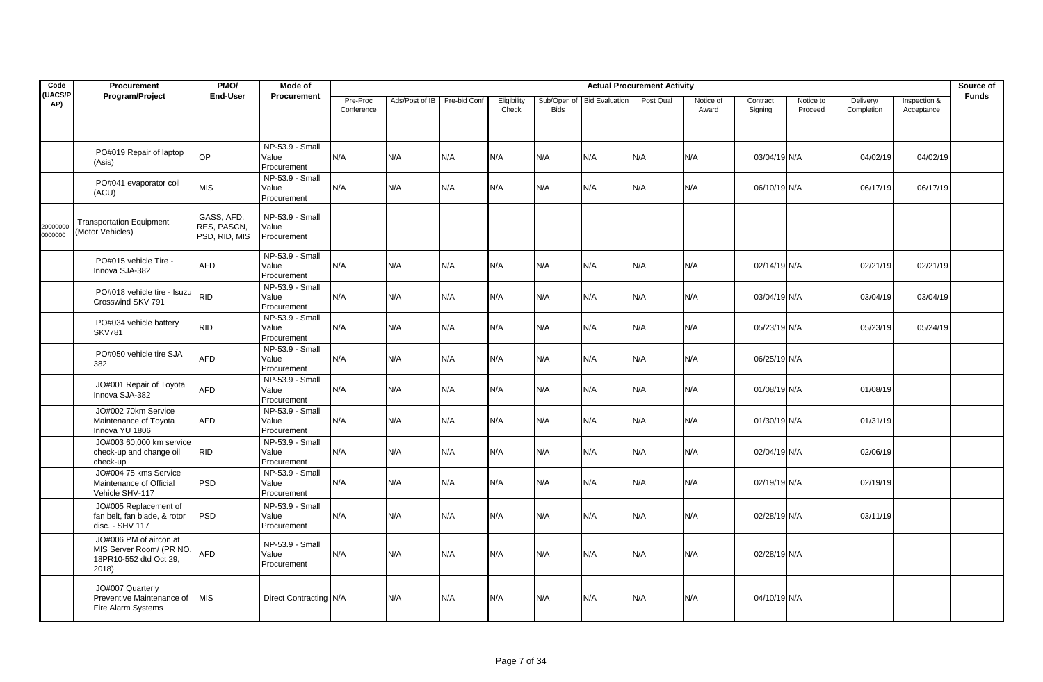| Code                 | Procurement                                                                           | PMO/                                              | Mode of                                   |                        |                |              |                      |                            |                       | <b>Actual Procurement Activity</b> |                    |                     |                      |                         |                            | Source of    |
|----------------------|---------------------------------------------------------------------------------------|---------------------------------------------------|-------------------------------------------|------------------------|----------------|--------------|----------------------|----------------------------|-----------------------|------------------------------------|--------------------|---------------------|----------------------|-------------------------|----------------------------|--------------|
| <b>UACS/P</b><br>AP) | Program/Project                                                                       | <b>End-User</b>                                   | <b>Procurement</b>                        | Pre-Proc<br>Conference | Ads/Post of IB | Pre-bid Conf | Eligibility<br>Check | Sub/Open of<br><b>Bids</b> | <b>Bid Evaluation</b> | Post Qual                          | Notice of<br>Award | Contract<br>Signing | Notice to<br>Proceed | Delivery/<br>Completion | Inspection &<br>Acceptance | <b>Funds</b> |
|                      | PO#019 Repair of laptop<br>(Asis)                                                     | OP                                                | NP-53.9 - Small<br>Value<br>Procurement   | N/A                    | N/A            | N/A          | N/A                  | N/A                        | N/A                   | N/A                                | N/A                | 03/04/19 N/A        |                      | 04/02/19                | 04/02/19                   |              |
|                      | PO#041 evaporator coil<br>(ACU)                                                       | <b>MIS</b>                                        | $NP-53.9 - Small$<br>Value<br>Procurement | N/A                    | N/A            | N/A          | N/A                  | N/A                        | N/A                   | N/A                                | N/A                | 06/10/19 N/A        |                      | 06/17/19                | 06/17/19                   |              |
| 20000000<br>0000000  | <b>Transportation Equipment</b><br>(Motor Vehicles)                                   | GASS, AFD,<br><b>RES. PASCN.</b><br>PSD, RID, MIS | NP-53.9 - Small<br>Value<br>Procurement   |                        |                |              |                      |                            |                       |                                    |                    |                     |                      |                         |                            |              |
|                      | PO#015 vehicle Tire -<br>Innova SJA-382                                               | <b>AFD</b>                                        | NP-53.9 - Small<br>Value<br>Procurement   | N/A                    | N/A            | N/A          | N/A                  | N/A                        | N/A                   | N/A                                | N/A                | 02/14/19 N/A        |                      | 02/21/19                | 02/21/19                   |              |
|                      | PO#018 vehicle tire - Isuzu<br>Crosswind SKV 791                                      | <b>RID</b>                                        | NP-53.9 - Small<br>Value<br>Procurement   | N/A                    | N/A            | N/A          | N/A                  | N/A                        | N/A                   | N/A                                | N/A                | 03/04/19 N/A        |                      | 03/04/19                | 03/04/19                   |              |
|                      | PO#034 vehicle battery<br><b>SKV781</b>                                               | <b>RID</b>                                        | NP-53.9 - Small<br>Value<br>Procurement   | N/A                    | N/A            | N/A          | N/A                  | N/A                        | N/A                   | N/A                                | N/A                | 05/23/19 N/A        |                      | 05/23/19                | 05/24/19                   |              |
|                      | PO#050 vehicle tire SJA<br>382                                                        | <b>AFD</b>                                        | NP-53.9 - Small<br>Value<br>Procurement   | N/A                    | N/A            | N/A          | N/A                  | N/A                        | N/A                   | N/A                                | N/A                | 06/25/19 N/A        |                      |                         |                            |              |
|                      | JO#001 Repair of Toyota<br>Innova SJA-382                                             | <b>AFD</b>                                        | $NP-53.9 - Small$<br>Value<br>Procurement | N/A                    | N/A            | N/A          | N/A                  | N/A                        | N/A                   | N/A                                | N/A                | 01/08/19 N/A        |                      | 01/08/19                |                            |              |
|                      | JO#002 70km Service<br>Maintenance of Toyota<br>Innova YU 1806                        | <b>AFD</b>                                        | NP-53.9 - Small<br>Value<br>Procurement   | N/A                    | N/A            | N/A          | N/A                  | N/A                        | N/A                   | N/A                                | N/A                | 01/30/19 N/A        |                      | 01/31/19                |                            |              |
|                      | JO#003 60,000 km service<br>check-up and change oil<br>check-up                       | <b>RID</b>                                        | NP-53.9 - Small<br>Value<br>Procurement   | N/A                    | N/A            | N/A          | N/A                  | N/A                        | N/A                   | N/A                                | N/A                | 02/04/19 N/A        |                      | 02/06/19                |                            |              |
|                      | JO#004 75 kms Service<br>Maintenance of Official<br>Vehicle SHV-117                   | <b>PSD</b>                                        | NP-53.9 - Small<br>Value<br>Procurement   | N/A                    | N/A            | N/A          | N/A                  | N/A                        | N/A                   | N/A                                | N/A                | 02/19/19 N/A        |                      | 02/19/19                |                            |              |
|                      | JO#005 Replacement of<br>fan belt, fan blade, & rotor<br>disc. - SHV 117              | <b>PSD</b>                                        | NP-53.9 - Small<br>Value<br>Procurement   | N/A                    | N/A            | N/A          | N/A                  | N/A                        | N/A                   | N/A                                | N/A                | 02/28/19 N/A        |                      | 03/11/19                |                            |              |
|                      | JO#006 PM of aircon at<br>MIS Server Room/ (PR NO.<br>18PR10-552 dtd Oct 29.<br>2018) | <b>AFD</b>                                        | NP-53.9 - Small<br>Value<br>Procurement   | N/A                    | N/A            | N/A          | N/A                  | N/A                        | N/A                   | N/A                                | N/A                | 02/28/19 N/A        |                      |                         |                            |              |
|                      | JO#007 Quarterly<br>Preventive Maintenance of<br>Fire Alarm Systems                   | <b>MIS</b>                                        | Direct Contracting N/A                    |                        | N/A            | N/A          | N/A                  | N/A                        | N/A                   | N/A                                | N/A                | 04/10/19 N/A        |                      |                         |                            |              |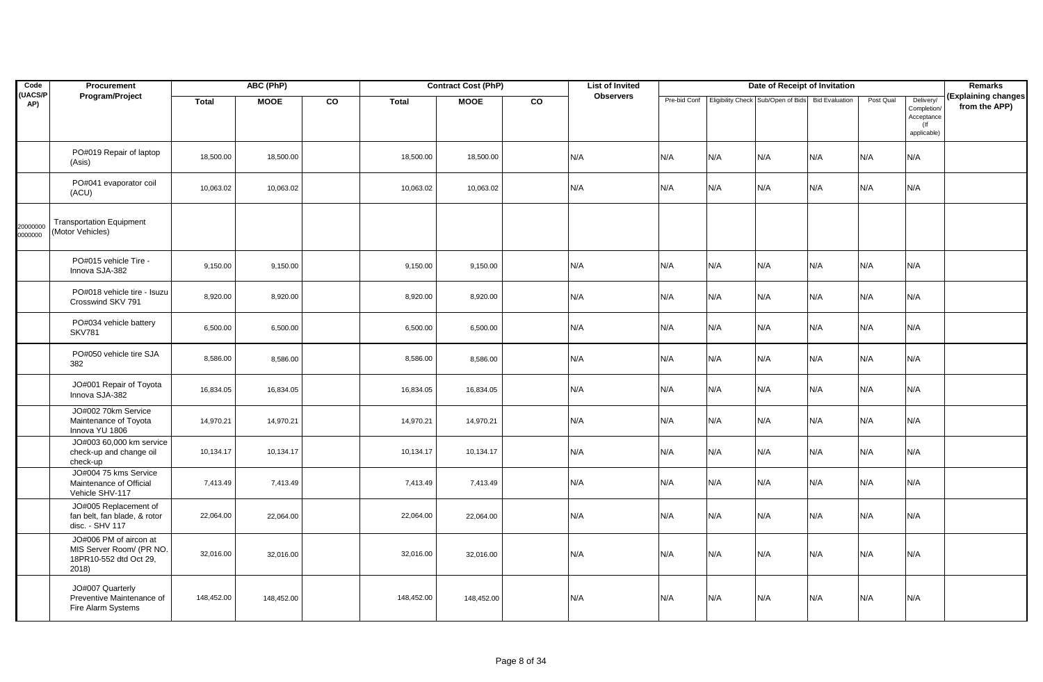| Code                | Procurement                                                                           |              | ABC (PhP)   |    |              | <b>Contract Cost (PhP)</b> |    | <b>List of Invited</b> |     |     | Date of Receipt of Invitation                                      |     |           |                                                                 | <b>Remarks</b>                       |
|---------------------|---------------------------------------------------------------------------------------|--------------|-------------|----|--------------|----------------------------|----|------------------------|-----|-----|--------------------------------------------------------------------|-----|-----------|-----------------------------------------------------------------|--------------------------------------|
| (UACS/P<br>AP)      | Program/Project                                                                       | <b>Total</b> | <b>MOOE</b> | CO | <b>Total</b> | <b>MOOE</b>                | CO | <b>Observers</b>       |     |     | Pre-bid Conf   Eligibility Check Sub/Open of Bids   Bid Evaluation |     | Post Qual | Delivery/<br>Completion/<br>Acceptance<br>$($ If<br>applicable) | (Explaining changes<br>from the APP) |
|                     | PO#019 Repair of laptop<br>(Asis)                                                     | 18,500.00    | 18,500.00   |    | 18,500.00    | 18,500.00                  |    | N/A                    | N/A | N/A | N/A                                                                | N/A | N/A       | N/A                                                             |                                      |
|                     | PO#041 evaporator coil<br>(ACU)                                                       | 10,063.02    | 10,063.02   |    | 10,063.02    | 10,063.02                  |    | N/A                    | N/A | N/A | N/A                                                                | N/A | N/A       | N/A                                                             |                                      |
| 20000000<br>0000000 | <b>Transportation Equipment</b><br>(Motor Vehicles)                                   |              |             |    |              |                            |    |                        |     |     |                                                                    |     |           |                                                                 |                                      |
|                     | PO#015 vehicle Tire -<br>Innova SJA-382                                               | 9,150.00     | 9,150.00    |    | 9,150.00     | 9,150.00                   |    | N/A                    | N/A | N/A | N/A                                                                | N/A | N/A       | N/A                                                             |                                      |
|                     | PO#018 vehicle tire - Isuzu<br>Crosswind SKV 791                                      | 8,920.00     | 8,920.00    |    | 8,920.00     | 8,920.00                   |    | N/A                    | N/A | N/A | N/A                                                                | N/A | N/A       | N/A                                                             |                                      |
|                     | PO#034 vehicle battery<br><b>SKV781</b>                                               | 6,500.00     | 6,500.00    |    | 6,500.00     | 6,500.00                   |    | N/A                    | N/A | N/A | N/A                                                                | N/A | N/A       | N/A                                                             |                                      |
|                     | PO#050 vehicle tire SJA<br>382                                                        | 8,586.00     | 8,586.00    |    | 8,586.00     | 8,586.00                   |    | N/A                    | N/A | N/A | N/A                                                                | N/A | N/A       | N/A                                                             |                                      |
|                     | JO#001 Repair of Toyota<br>Innova SJA-382                                             | 16,834.05    | 16,834.05   |    | 16,834.05    | 16,834.05                  |    | N/A                    | N/A | N/A | N/A                                                                | N/A | N/A       | N/A                                                             |                                      |
|                     | JO#002 70km Service<br>Maintenance of Toyota<br>Innova YU 1806                        | 14,970.21    | 14,970.21   |    | 14,970.21    | 14,970.21                  |    | N/A                    | N/A | N/A | N/A                                                                | N/A | N/A       | N/A                                                             |                                      |
|                     | JO#003 60,000 km service<br>check-up and change oil<br>check-up                       | 10,134.17    | 10,134.17   |    | 10,134.17    | 10,134.17                  |    | N/A                    | N/A | N/A | N/A                                                                | N/A | N/A       | N/A                                                             |                                      |
|                     | JO#004 75 kms Service<br>Maintenance of Official<br>Vehicle SHV-117                   | 7,413.49     | 7,413.49    |    | 7,413.49     | 7,413.49                   |    | N/A                    | N/A | N/A | N/A                                                                | N/A | N/A       | N/A                                                             |                                      |
|                     | JO#005 Replacement of<br>fan belt, fan blade, & rotor<br>disc. - SHV 117              | 22,064.00    | 22,064.00   |    | 22,064.00    | 22,064.00                  |    | N/A                    | N/A | N/A | N/A                                                                | N/A | N/A       | N/A                                                             |                                      |
|                     | JO#006 PM of aircon at<br>MIS Server Room/ (PR NO.<br>18PR10-552 dtd Oct 29,<br>2018) | 32,016.00    | 32,016.00   |    | 32,016.00    | 32,016.00                  |    | N/A                    | N/A | N/A | N/A                                                                | N/A | N/A       | N/A                                                             |                                      |
|                     | JO#007 Quarterly<br>Preventive Maintenance of<br>Fire Alarm Systems                   | 148,452.00   | 148,452.00  |    | 148,452.00   | 148,452.00                 |    | N/A                    | N/A | N/A | N/A                                                                | N/A | N/A       | N/A                                                             |                                      |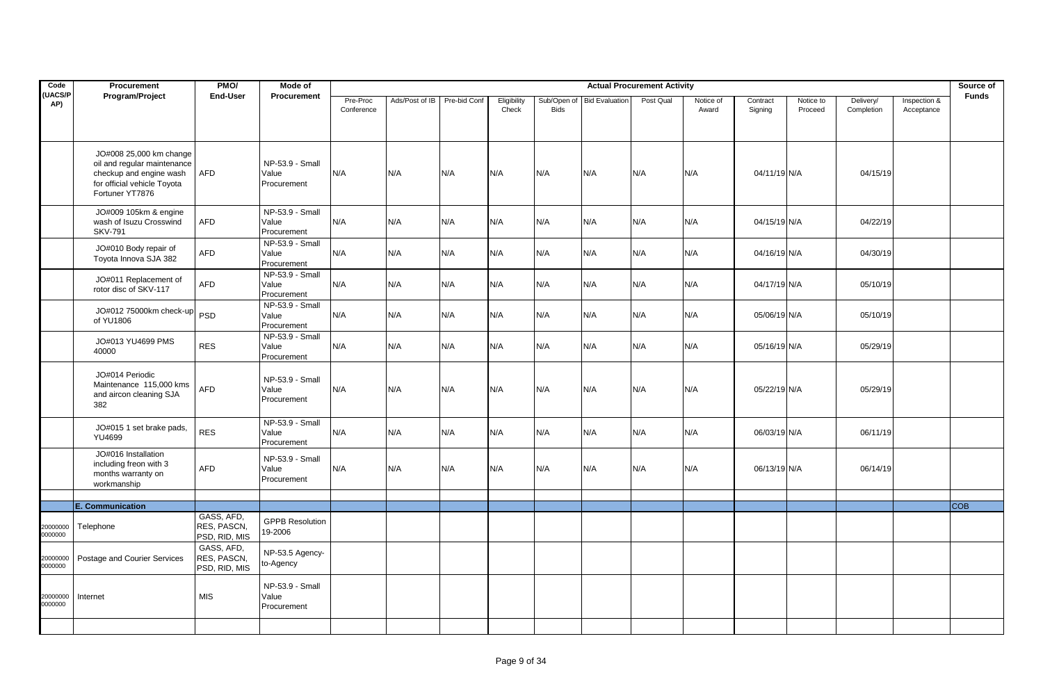| Code                 | <b>Procurement</b>                                                                                                                  | PMO/                                       | Mode of                                 |                        |                |              |                      |             |                            | <b>Actual Procurement Activity</b> |                    |                     |                      |                         |                            | Source of    |
|----------------------|-------------------------------------------------------------------------------------------------------------------------------------|--------------------------------------------|-----------------------------------------|------------------------|----------------|--------------|----------------------|-------------|----------------------------|------------------------------------|--------------------|---------------------|----------------------|-------------------------|----------------------------|--------------|
| <b>UACS/P</b><br>AP) | Program/Project                                                                                                                     | <b>End-User</b>                            | Procurement                             | Pre-Proc<br>Conference | Ads/Post of IB | Pre-bid Conf | Eligibility<br>Check | <b>Bids</b> | Sub/Open of Bid Evaluation | Post Qual                          | Notice of<br>Award | Contract<br>Signing | Notice to<br>Proceed | Delivery/<br>Completion | Inspection &<br>Acceptance | <b>Funds</b> |
|                      | JO#008 25,000 km change<br>oil and regular maintenance<br>checkup and engine wash<br>for official vehicle Toyota<br>Fortuner YT7876 | AFD                                        | NP-53.9 - Small<br>Value<br>Procurement | N/A                    | N/A            | N/A          | N/A                  | N/A         | N/A                        | N/A                                | N/A                | 04/11/19 N/A        |                      | 04/15/19                |                            |              |
|                      | JO#009 105km & engine<br>wash of Isuzu Crosswind<br><b>SKV-791</b>                                                                  | AFD                                        | NP-53.9 - Small<br>Value<br>Procurement | N/A                    | N/A            | N/A          | N/A                  | N/A         | N/A                        | N/A                                | N/A                | 04/15/19 N/A        |                      | 04/22/19                |                            |              |
|                      | JO#010 Body repair of<br>Toyota Innova SJA 382                                                                                      | <b>AFD</b>                                 | NP-53.9 - Small<br>Value<br>Procurement | N/A                    | N/A            | N/A          | N/A                  | N/A         | N/A                        | N/A                                | N/A                | 04/16/19 N/A        |                      | 04/30/19                |                            |              |
|                      | JO#011 Replacement of<br>rotor disc of SKV-117                                                                                      | <b>AFD</b>                                 | NP-53.9 - Small<br>Value<br>Procurement | N/A                    | N/A            | N/A          | N/A                  | N/A         | N/A                        | N/A                                | N/A                | 04/17/19 N/A        |                      | 05/10/19                |                            |              |
|                      | JO#012 75000km check-up<br>of YU1806                                                                                                | <b>PSD</b>                                 | NP-53.9 - Small<br>Value<br>Procurement | N/A                    | N/A            | N/A          | N/A                  | N/A         | N/A                        | N/A                                | N/A                | 05/06/19 N/A        |                      | 05/10/19                |                            |              |
|                      | JO#013 YU4699 PMS<br>40000                                                                                                          | <b>RES</b>                                 | NP-53.9 - Small<br>Value<br>Procurement | N/A                    | N/A            | N/A          | N/A                  | N/A         | N/A                        | N/A                                | N/A                | 05/16/19 N/A        |                      | 05/29/19                |                            |              |
|                      | JO#014 Periodic<br>Maintenance 115,000 kms<br>and aircon cleaning SJA<br>382                                                        | <b>AFD</b>                                 | NP-53.9 - Small<br>Value<br>Procurement | N/A                    | N/A            | N/A          | N/A                  | N/A         | N/A                        | N/A                                | N/A                | 05/22/19 N/A        |                      | 05/29/19                |                            |              |
|                      | JO#015 1 set brake pads,<br>YU4699                                                                                                  | <b>RES</b>                                 | NP-53.9 - Small<br>Value<br>Procurement | N/A                    | N/A            | N/A          | N/A                  | N/A         | N/A                        | N/A                                | N/A                | 06/03/19 N/A        |                      | 06/11/19                |                            |              |
|                      | JO#016 Installation<br>including freon with 3<br>months warranty on<br>workmanship                                                  | <b>AFD</b>                                 | NP-53.9 - Small<br>Value<br>Procurement | N/A                    | N/A            | N/A          | N/A                  | N/A         | N/A                        | N/A                                | N/A                | 06/13/19 N/A        |                      | 06/14/19                |                            |              |
|                      |                                                                                                                                     |                                            |                                         |                        |                |              |                      |             |                            |                                    |                    |                     |                      |                         |                            | <b>COB</b>   |
| 20000000<br>0000000  | <b>E. Communication</b><br>Telephone                                                                                                | GASS, AFD,<br>RES, PASCN,<br>PSD, RID, MIS | <b>GPPB Resolution</b><br>19-2006       |                        |                |              |                      |             |                            |                                    |                    |                     |                      |                         |                            |              |
| 20000000<br>0000000  | Postage and Courier Services                                                                                                        | GASS, AFD,<br>RES, PASCN,<br>PSD, RID, MIS | NP-53.5 Agency-<br>to-Agency            |                        |                |              |                      |             |                            |                                    |                    |                     |                      |                         |                            |              |
| 20000000<br>0000000  | Internet                                                                                                                            | <b>MIS</b>                                 | NP-53.9 - Small<br>Value<br>Procurement |                        |                |              |                      |             |                            |                                    |                    |                     |                      |                         |                            |              |
|                      |                                                                                                                                     |                                            |                                         |                        |                |              |                      |             |                            |                                    |                    |                     |                      |                         |                            |              |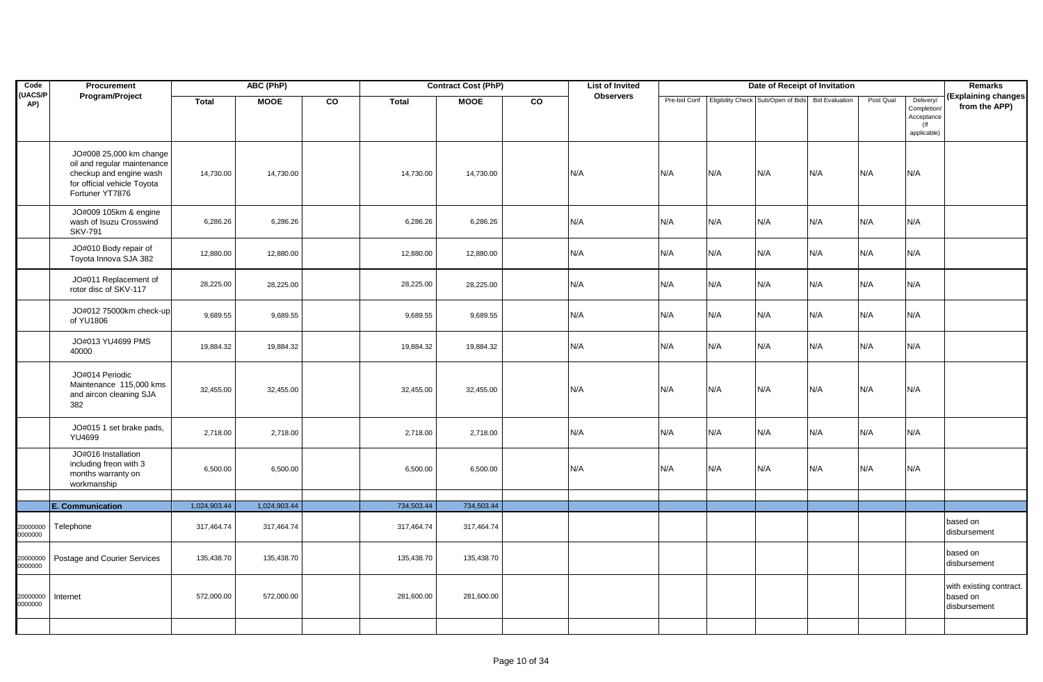| Code                 | Procurement                                                                                                                         |                            | ABC (PhP)                  |    |                          | <b>Contract Cost (PhP)</b> |    | <b>List of Invited</b> |              |     | Date of Receipt of Invitation                     |     |           |                                                                 | Remarks                                             |
|----------------------|-------------------------------------------------------------------------------------------------------------------------------------|----------------------------|----------------------------|----|--------------------------|----------------------------|----|------------------------|--------------|-----|---------------------------------------------------|-----|-----------|-----------------------------------------------------------------|-----------------------------------------------------|
| <b>UACS/P</b><br>AP) | Program/Project                                                                                                                     | <b>Total</b>               | <b>MOOE</b>                | CO | <b>Total</b>             | <b>MOOE</b>                | CO | <b>Observers</b>       | Pre-bid Conf |     | Eligibility Check Sub/Open of Bids Bid Evaluation |     | Post Qual | Delivery/<br>Completion/<br>Acceptance<br>$($ lf<br>applicable) | (Explaining changes<br>from the APP)                |
|                      | JO#008 25,000 km change<br>oil and regular maintenance<br>checkup and engine wash<br>for official vehicle Toyota<br>Fortuner YT7876 | 14,730.00                  | 14,730.00                  |    | 14,730.00                | 14,730.00                  |    | N/A                    | N/A          | N/A | N/A                                               | N/A | N/A       | N/A                                                             |                                                     |
|                      | JO#009 105km & engine<br>wash of Isuzu Crosswind<br><b>SKV-791</b>                                                                  | 6,286.26                   | 6,286.26                   |    | 6,286.26                 | 6,286.26                   |    | N/A                    | N/A          | N/A | N/A                                               | N/A | N/A       | N/A                                                             |                                                     |
|                      | JO#010 Body repair of<br>Toyota Innova SJA 382                                                                                      | 12,880.00                  | 12,880.00                  |    | 12,880.00                | 12,880.00                  |    | N/A                    | N/A          | N/A | N/A                                               | N/A | N/A       | N/A                                                             |                                                     |
|                      | JO#011 Replacement of<br>rotor disc of SKV-117                                                                                      | 28,225.00                  | 28,225.00                  |    | 28,225.00                | 28,225.00                  |    | N/A                    | N/A          | N/A | N/A                                               | N/A | N/A       | N/A                                                             |                                                     |
|                      | JO#012 75000km check-up<br>of YU1806                                                                                                | 9,689.55                   | 9,689.55                   |    | 9,689.55                 | 9,689.55                   |    | N/A                    | N/A          | N/A | N/A                                               | N/A | N/A       | N/A                                                             |                                                     |
|                      | JO#013 YU4699 PMS<br>40000                                                                                                          | 19,884.32                  | 19,884.32                  |    | 19,884.32                | 19,884.32                  |    | N/A                    | N/A          | N/A | N/A                                               | N/A | N/A       | N/A                                                             |                                                     |
|                      | JO#014 Periodic<br>Maintenance 115,000 kms<br>and aircon cleaning SJA<br>382                                                        | 32,455.00                  | 32,455.00                  |    | 32,455.00                | 32,455.00                  |    | N/A                    | N/A          | N/A | N/A                                               | N/A | N/A       | N/A                                                             |                                                     |
|                      | JO#015 1 set brake pads,<br><b>YU4699</b>                                                                                           | 2,718.00                   | 2,718.00                   |    | 2,718.00                 | 2,718.00                   |    | N/A                    | N/A          | N/A | N/A                                               | N/A | N/A       | N/A                                                             |                                                     |
|                      | JO#016 Installation<br>including freon with 3<br>months warranty on<br>workmanship                                                  | 6,500.00                   | 6,500.00                   |    | 6,500.00                 | 6,500.00                   |    | N/A                    | N/A          | N/A | N/A                                               | N/A | N/A       | N/A                                                             |                                                     |
|                      |                                                                                                                                     |                            |                            |    |                          |                            |    |                        |              |     |                                                   |     |           |                                                                 |                                                     |
| 20000000<br>0000000  | E. Communication<br>Telephone                                                                                                       | 1,024,903.44<br>317,464.74 | 1,024,903.44<br>317,464.74 |    | 734,503.44<br>317,464.74 | 734,503.44<br>317,464.74   |    |                        |              |     |                                                   |     |           |                                                                 | based on<br>disbursement                            |
| 20000000<br>0000000  | Postage and Courier Services                                                                                                        | 135,438.70                 | 135,438.70                 |    | 135,438.70               | 135,438.70                 |    |                        |              |     |                                                   |     |           |                                                                 | based on<br>disbursement                            |
| 20000000<br>0000000  | Internet                                                                                                                            | 572,000.00                 | 572,000.00                 |    | 281,600.00               | 281,600.00                 |    |                        |              |     |                                                   |     |           |                                                                 | with existing contract.<br>based on<br>disbursement |
|                      |                                                                                                                                     |                            |                            |    |                          |                            |    |                        |              |     |                                                   |     |           |                                                                 |                                                     |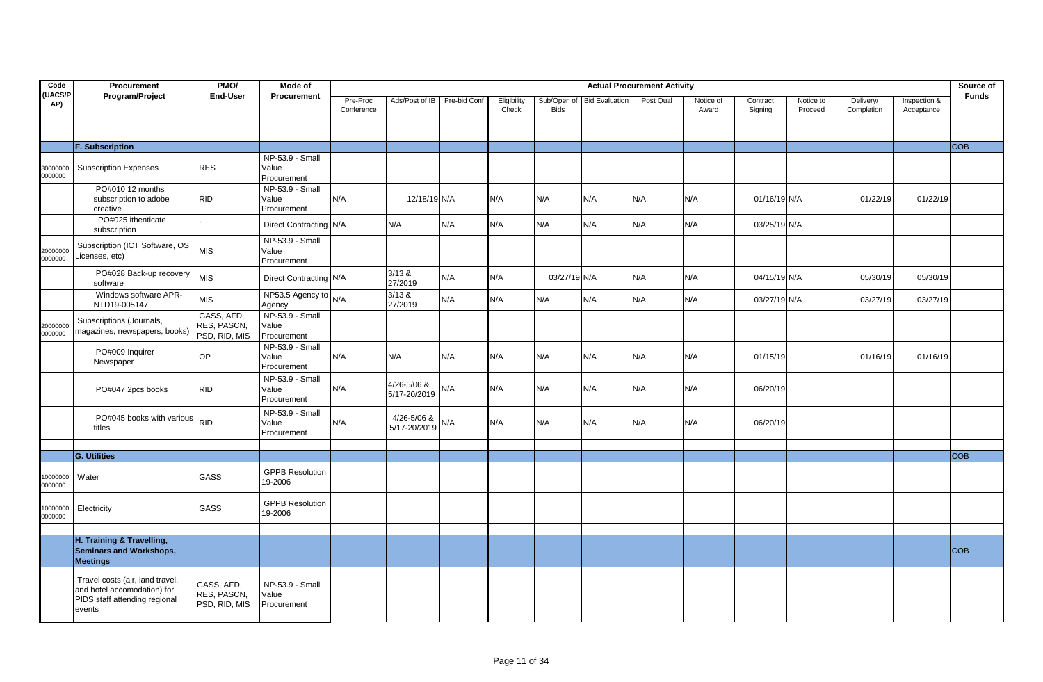| Code                | Procurement                                                                                               | PMO/                                       | Mode of                                 |                        |                                     |              |                      |              |                            | <b>Actual Procurement Activity</b> |                    |                     |                      |                         |                            | Source of    |
|---------------------|-----------------------------------------------------------------------------------------------------------|--------------------------------------------|-----------------------------------------|------------------------|-------------------------------------|--------------|----------------------|--------------|----------------------------|------------------------------------|--------------------|---------------------|----------------------|-------------------------|----------------------------|--------------|
| (UACS/P<br>AP)      | Program/Project                                                                                           | <b>End-User</b>                            | <b>Procurement</b>                      | Pre-Proc<br>Conference | Ads/Post of IB                      | Pre-bid Conf | Eligibility<br>Check | <b>Bids</b>  | Sub/Open of Bid Evaluation | Post Qual                          | Notice of<br>Award | Contract<br>Signing | Notice to<br>Proceed | Delivery/<br>Completion | Inspection &<br>Acceptance | <b>Funds</b> |
|                     | <b>F. Subscription</b>                                                                                    |                                            |                                         |                        |                                     |              |                      |              |                            |                                    |                    |                     |                      |                         |                            | <b>COB</b>   |
| 30000000<br>0000000 | <b>Subscription Expenses</b>                                                                              | <b>RES</b>                                 | NP-53.9 - Small<br>Value<br>Procurement |                        |                                     |              |                      |              |                            |                                    |                    |                     |                      |                         |                            |              |
|                     | PO#010 12 months<br>subscription to adobe<br>creative                                                     | <b>RID</b>                                 | NP-53.9 - Small<br>Value<br>Procurement | N/A                    | 12/18/19 N/A                        |              | N/A                  | N/A          | N/A                        | N/A                                | N/A                | 01/16/19 N/A        |                      | 01/22/19                | 01/22/19                   |              |
|                     | PO#025 ithenticate<br>subscription                                                                        |                                            | Direct Contracting N/A                  |                        | N/A                                 | N/A          | N/A                  | N/A          | N/A                        | N/A                                | N/A                | 03/25/19 N/A        |                      |                         |                            |              |
| 20000000<br>0000000 | Subscription (ICT Software, OS<br>Licenses, etc)                                                          | <b>MIS</b>                                 | NP-53.9 - Small<br>Value<br>Procurement |                        |                                     |              |                      |              |                            |                                    |                    |                     |                      |                         |                            |              |
|                     | PO#028 Back-up recovery<br>software                                                                       | <b>MIS</b>                                 | Direct Contracting N/A                  |                        | 3/13 &<br>27/2019                   | N/A          | N/A                  | 03/27/19 N/A |                            | N/A                                | N/A                | 04/15/19 N/A        |                      | 05/30/19                | 05/30/19                   |              |
|                     | Windows software APR-<br>NTD19-005147                                                                     | <b>MIS</b>                                 | NP53.5 Agency to<br>Agency              | N/A                    | 3/13 &<br>27/2019                   | N/A          | N/A                  | N/A          | N/A                        | N/A                                | N/A                | 03/27/19 N/A        |                      | 03/27/19                | 03/27/19                   |              |
| 20000000<br>0000000 | Subscriptions (Journals,<br>magazines, newspapers, books)                                                 | GASS, AFD,<br>RES, PASCN,<br>PSD, RID, MIS | NP-53.9 - Small<br>Value<br>Procurement |                        |                                     |              |                      |              |                            |                                    |                    |                     |                      |                         |                            |              |
|                     | PO#009 Inquirer<br>Newspaper                                                                              | OP                                         | NP-53.9 - Small<br>Value<br>Procurement | N/A                    | N/A                                 | N/A          | N/A                  | N/A          | N/A                        | N/A                                | N/A                | 01/15/19            |                      | 01/16/19                | 01/16/19                   |              |
|                     | PO#047 2pcs books                                                                                         | <b>RID</b>                                 | NP-53.9 - Small<br>Value<br>Procurement | N/A                    | 4/26-5/06 &<br>5/17-20/2019         | N/A          | N/A                  | N/A          | N/A                        | N/A                                | N/A                | 06/20/19            |                      |                         |                            |              |
|                     | PO#045 books with various<br>titles                                                                       | <b>RID</b>                                 | NP-53.9 - Small<br>Value<br>Procurement | N/A                    | 4/26-5/06 &<br>$5/17 - 20/2019$ N/A |              | N/A                  | N/A          | N/A                        | N/A                                | N/A                | 06/20/19            |                      |                         |                            |              |
|                     |                                                                                                           |                                            |                                         |                        |                                     |              |                      |              |                            |                                    |                    |                     |                      |                         |                            | <b>COB</b>   |
| 10000000<br>0000000 | <b>G. Utilities</b><br>Water                                                                              | GASS                                       | <b>GPPB Resolution</b><br>19-2006       |                        |                                     |              |                      |              |                            |                                    |                    |                     |                      |                         |                            |              |
| 10000000<br>0000000 | Electricity                                                                                               | GASS                                       | <b>GPPB Resolution</b><br>19-2006       |                        |                                     |              |                      |              |                            |                                    |                    |                     |                      |                         |                            |              |
|                     | H. Training & Travelling,<br><b>Seminars and Workshops,</b><br><b>Meetings</b>                            |                                            |                                         |                        |                                     |              |                      |              |                            |                                    |                    |                     |                      |                         |                            | <b>COB</b>   |
|                     | Travel costs (air, land travel,<br>and hotel accomodation) for<br>PIDS staff attending regional<br>events | GASS, AFD,<br>RES, PASCN,<br>PSD, RID, MIS | NP-53.9 - Small<br>Value<br>Procurement |                        |                                     |              |                      |              |                            |                                    |                    |                     |                      |                         |                            |              |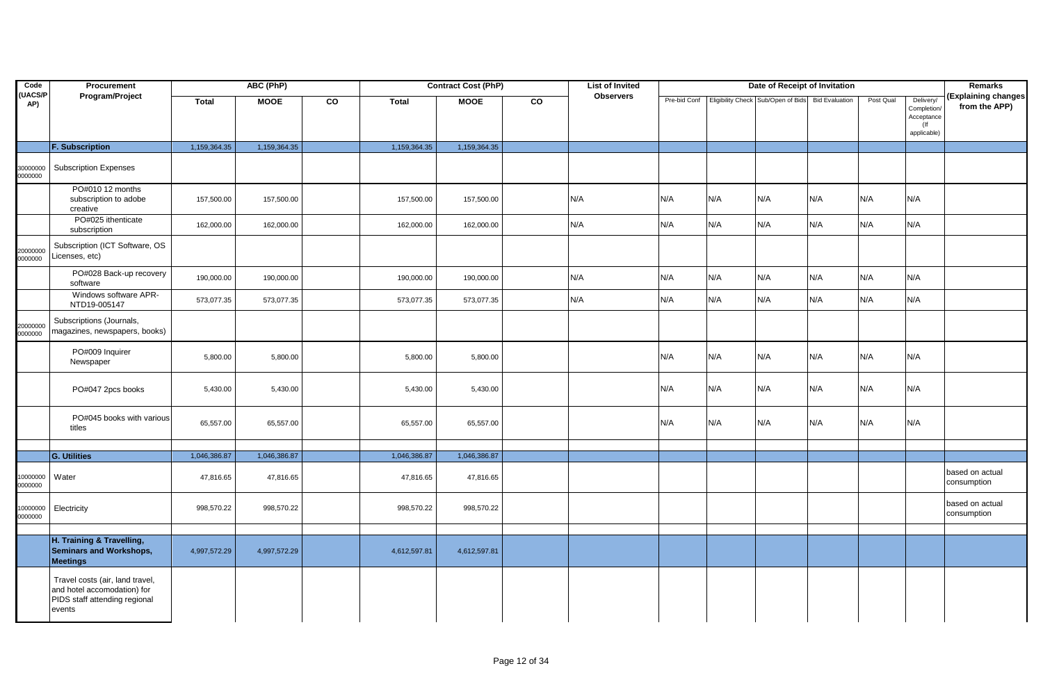| Code                | Procurement                                                                                               |              | ABC (PhP)    |    |              | <b>Contract Cost (PhP)</b> |    | <b>List of Invited</b> |     |     | Date of Receipt of Invitation                                  |     |           |                                                                 | <b>Remarks</b>                       |
|---------------------|-----------------------------------------------------------------------------------------------------------|--------------|--------------|----|--------------|----------------------------|----|------------------------|-----|-----|----------------------------------------------------------------|-----|-----------|-----------------------------------------------------------------|--------------------------------------|
| (UACS/P<br>AP)      | Program/Project                                                                                           | <b>Total</b> | <b>MOOE</b>  | CO | <b>Total</b> | <b>MOOE</b>                | CO | <b>Observers</b>       |     |     | Pre-bid Conf Eligibility Check Sub/Open of Bids Bid Evaluation |     | Post Qual | Delivery/<br>Completion/<br>Acceptance<br>$($ lf<br>applicable) | (Explaining changes<br>from the APP) |
|                     | <b>F. Subscription</b>                                                                                    | 1,159,364.35 | 1,159,364.35 |    | 1,159,364.35 | 1,159,364.35               |    |                        |     |     |                                                                |     |           |                                                                 |                                      |
| 30000000<br>0000000 | <b>Subscription Expenses</b>                                                                              |              |              |    |              |                            |    |                        |     |     |                                                                |     |           |                                                                 |                                      |
|                     | PO#010 12 months<br>subscription to adobe<br>creative                                                     | 157,500.00   | 157,500.00   |    | 157,500.00   | 157,500.00                 |    | N/A                    | N/A | N/A | N/A                                                            | N/A | N/A       | N/A                                                             |                                      |
|                     | PO#025 ithenticate<br>subscription                                                                        | 162,000.00   | 162,000.00   |    | 162,000.00   | 162,000.00                 |    | N/A                    | N/A | N/A | N/A                                                            | N/A | N/A       | N/A                                                             |                                      |
| 20000000<br>0000000 | Subscription (ICT Software, OS<br>Licenses, etc)                                                          |              |              |    |              |                            |    |                        |     |     |                                                                |     |           |                                                                 |                                      |
|                     | PO#028 Back-up recovery<br>software                                                                       | 190,000.00   | 190,000.00   |    | 190,000.00   | 190,000.00                 |    | N/A                    | N/A | N/A | N/A                                                            | N/A | N/A       | N/A                                                             |                                      |
|                     | Windows software APR-<br>NTD19-005147                                                                     | 573,077.35   | 573,077.35   |    | 573,077.35   | 573,077.35                 |    | N/A                    | N/A | N/A | N/A                                                            | N/A | N/A       | N/A                                                             |                                      |
| 20000000<br>0000000 | Subscriptions (Journals,<br>magazines, newspapers, books)                                                 |              |              |    |              |                            |    |                        |     |     |                                                                |     |           |                                                                 |                                      |
|                     | PO#009 Inquirer<br>Newspaper                                                                              | 5,800.00     | 5,800.00     |    | 5,800.00     | 5,800.00                   |    |                        | N/A | N/A | N/A                                                            | N/A | N/A       | N/A                                                             |                                      |
|                     | PO#047 2pcs books                                                                                         | 5,430.00     | 5,430.00     |    | 5,430.00     | 5,430.00                   |    |                        | N/A | N/A | N/A                                                            | N/A | N/A       | N/A                                                             |                                      |
|                     | PO#045 books with various<br>titles                                                                       | 65,557.00    | 65,557.00    |    | 65,557.00    | 65,557.00                  |    |                        | N/A | N/A | N/A                                                            | N/A | N/A       | N/A                                                             |                                      |
|                     |                                                                                                           |              |              |    |              |                            |    |                        |     |     |                                                                |     |           |                                                                 |                                      |
|                     | <b>G. Utilities</b>                                                                                       | 1,046,386.87 | 1,046,386.87 |    | 1,046,386.87 | 1,046,386.87               |    |                        |     |     |                                                                |     |           |                                                                 |                                      |
| 0000000<br>0000000  | Water                                                                                                     | 47,816.65    | 47,816.65    |    | 47,816.65    | 47,816.65                  |    |                        |     |     |                                                                |     |           |                                                                 | based on actual<br>consumption       |
| 0000000<br>0000000  | Electricity                                                                                               | 998,570.22   | 998,570.22   |    | 998,570.22   | 998,570.22                 |    |                        |     |     |                                                                |     |           |                                                                 | based on actual<br>consumption       |
|                     | H. Training & Travelling,<br><b>Seminars and Workshops,</b><br><b>Meetings</b>                            | 4,997,572.29 | 4,997,572.29 |    | 4,612,597.81 | 4,612,597.81               |    |                        |     |     |                                                                |     |           |                                                                 |                                      |
|                     | Travel costs (air, land travel,<br>and hotel accomodation) for<br>PIDS staff attending regional<br>events |              |              |    |              |                            |    |                        |     |     |                                                                |     |           |                                                                 |                                      |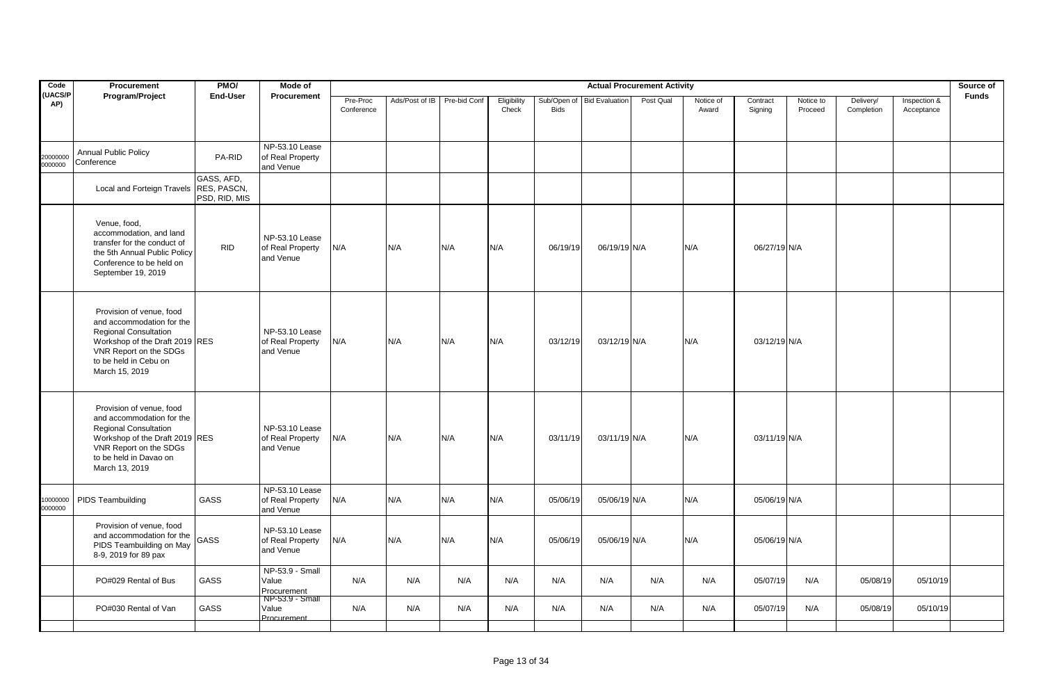| Procurement                                                                                                                                                 | PMO/                        | Mode of                                                                                                                          |                        |                |              |                                 |             |     |                            |                                                                              |                                    |                      |                                                                                                      |                            | Source of    |
|-------------------------------------------------------------------------------------------------------------------------------------------------------------|-----------------------------|----------------------------------------------------------------------------------------------------------------------------------|------------------------|----------------|--------------|---------------------------------|-------------|-----|----------------------------|------------------------------------------------------------------------------|------------------------------------|----------------------|------------------------------------------------------------------------------------------------------|----------------------------|--------------|
|                                                                                                                                                             |                             | Procurement                                                                                                                      | Pre-Proc<br>Conference | Ads/Post of IB | Pre-bid Conf | Eligibility<br>Check            | <b>Bids</b> |     | Post Qual                  | Notice of<br>Award                                                           | Contract<br>Signing                | Notice to<br>Proceed | Delivery/<br>Completion                                                                              | Inspection &<br>Acceptance | <b>Funds</b> |
| <b>Annual Public Policy</b><br>Conference                                                                                                                   | PA-RID                      | NP-53.10 Lease<br>of Real Property<br>and Venue                                                                                  |                        |                |              |                                 |             |     |                            |                                                                              |                                    |                      |                                                                                                      |                            |              |
|                                                                                                                                                             | GASS, AFD,<br>PSD, RID, MIS |                                                                                                                                  |                        |                |              |                                 |             |     |                            |                                                                              |                                    |                      |                                                                                                      |                            |              |
| Venue, food,<br>accommodation, and land<br>transfer for the conduct of<br>the 5th Annual Public Policy<br>Conference to be held on<br>September 19, 2019    | <b>RID</b>                  | NP-53.10 Lease<br>of Real Property<br>and Venue                                                                                  | N/A                    | N/A            |              |                                 | 06/19/19    |     |                            | N/A                                                                          |                                    |                      |                                                                                                      |                            |              |
| Provision of venue, food<br>and accommodation for the<br><b>Regional Consultation</b><br>VNR Report on the SDGs<br>to be held in Cebu on<br>March 15, 2019  |                             | NP-53.10 Lease<br>of Real Property<br>and Venue                                                                                  | N/A                    | N/A            |              |                                 | 03/12/19    |     |                            | N/A                                                                          |                                    |                      |                                                                                                      |                            |              |
| Provision of venue, food<br>and accommodation for the<br><b>Regional Consultation</b><br>VNR Report on the SDGs<br>to be held in Davao on<br>March 13, 2019 |                             | NP-53.10 Lease<br>of Real Property<br>and Venue                                                                                  | N/A                    | N/A            |              | N/A                             | 03/11/19    |     |                            | N/A                                                                          |                                    |                      |                                                                                                      |                            |              |
| <b>PIDS Teambuilding</b>                                                                                                                                    | GASS                        | NP-53.10 Lease<br>of Real Property<br>and Venue                                                                                  | N/A                    | N/A            |              | N/A                             | 05/06/19    |     |                            | N/A                                                                          |                                    |                      |                                                                                                      |                            |              |
| Provision of venue, food<br>and accommodation for the<br>PIDS Teambuilding on May<br>8-9, 2019 for 89 pax                                                   | GASS                        | NP-53.10 Lease<br>of Real Property<br>and Venue                                                                                  | N/A                    | N/A            |              | N/A                             | 05/06/19    |     |                            | N/A                                                                          |                                    |                      |                                                                                                      |                            |              |
| PO#029 Rental of Bus                                                                                                                                        | GASS                        | NP-53.9 - Small<br>Value<br>Procurement                                                                                          | N/A                    | N/A            | N/A          | N/A                             | N/A         | N/A | N/A                        | N/A                                                                          |                                    | N/A                  | 05/08/19                                                                                             | 05/10/19                   |              |
| PO#030 Rental of Van                                                                                                                                        | GASS                        | Value<br>Procurement                                                                                                             | N/A                    | N/A            | N/A          | N/A                             | N/A         | N/A | N/A                        | N/A                                                                          |                                    | N/A                  | 05/08/19                                                                                             | 05/10/19                   |              |
|                                                                                                                                                             | Program/Project             | <b>End-User</b><br>RES, PASCN,<br>Local and Forteign Travels<br>Workshop of the Draft 2019 RES<br>Workshop of the Draft 2019 RES | NP-53.9 - Small        |                |              | N/A<br>N/A<br>N/A<br>N/A<br>N/A | N/A<br>N/A  |     | Sub/Open of Bid Evaluation | 06/19/19 N/A<br>03/12/19 N/A<br>03/11/19 N/A<br>05/06/19 N/A<br>05/06/19 N/A | <b>Actual Procurement Activity</b> |                      | 06/27/19 N/A<br>03/12/19 N/A<br>03/11/19 N/A<br>05/06/19 N/A<br>05/06/19 N/A<br>05/07/19<br>05/07/19 |                            |              |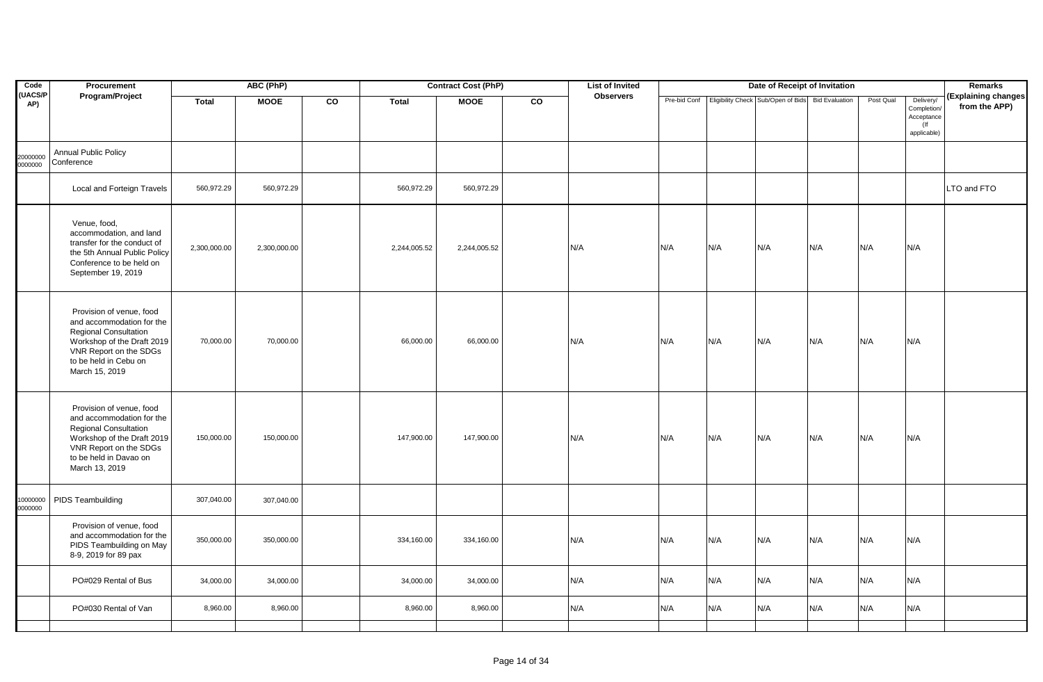| Code                              | Procurement                                                                                                                                                                               |              | ABC (PhP)    |    |              | <b>Contract Cost (PhP)</b> |    | <b>List of Invited</b> |     |     | Date of Receipt of Invitation                                  |     |           |                                                                 | Remarks                              |
|-----------------------------------|-------------------------------------------------------------------------------------------------------------------------------------------------------------------------------------------|--------------|--------------|----|--------------|----------------------------|----|------------------------|-----|-----|----------------------------------------------------------------|-----|-----------|-----------------------------------------------------------------|--------------------------------------|
| <b>UACS/P</b><br>AP)              | Program/Project                                                                                                                                                                           | <b>Total</b> | <b>MOOE</b>  | co | <b>Total</b> | <b>MOOE</b>                | CO | <b>Observers</b>       |     |     | Pre-bid Conf Eligibility Check Sub/Open of Bids Bid Evaluation |     | Post Qual | Delivery/<br>Completion/<br>Acceptance<br>$($ lf<br>applicable) | (Explaining changes<br>from the APP) |
| 20000000<br>Conference<br>0000000 | Annual Public Policy                                                                                                                                                                      |              |              |    |              |                            |    |                        |     |     |                                                                |     |           |                                                                 |                                      |
|                                   | Local and Forteign Travels                                                                                                                                                                | 560,972.29   | 560,972.29   |    | 560,972.29   | 560,972.29                 |    |                        |     |     |                                                                |     |           |                                                                 | LTO and FTO                          |
|                                   | Venue, food,<br>accommodation, and land<br>transfer for the conduct of<br>the 5th Annual Public Policy<br>Conference to be held on<br>September 19, 2019                                  | 2,300,000.00 | 2,300,000.00 |    | 2,244,005.52 | 2,244,005.52               |    | N/A                    | N/A | N/A | N/A                                                            | N/A | N/A       | N/A                                                             |                                      |
|                                   | Provision of venue, food<br>and accommodation for the<br><b>Regional Consultation</b><br>Workshop of the Draft 2019<br>VNR Report on the SDGs<br>to be held in Cebu on<br>March 15, 2019  | 70,000.00    | 70,000.00    |    | 66,000.00    | 66,000.00                  |    | N/A                    | N/A | N/A | N/A                                                            | N/A | N/A       | N/A                                                             |                                      |
|                                   | Provision of venue, food<br>and accommodation for the<br><b>Regional Consultation</b><br>Workshop of the Draft 2019<br>VNR Report on the SDGs<br>to be held in Davao on<br>March 13, 2019 | 150,000.00   | 150,000.00   |    | 147,900.00   | 147,900.00                 |    | N/A                    | N/A | N/A | N/A                                                            | N/A | N/A       | N/A                                                             |                                      |
| 10000000<br>0000000               | PIDS Teambuilding                                                                                                                                                                         | 307,040.00   | 307,040.00   |    |              |                            |    |                        |     |     |                                                                |     |           |                                                                 |                                      |
|                                   | Provision of venue, food<br>and accommodation for the<br>PIDS Teambuilding on May<br>8-9, 2019 for 89 pax                                                                                 | 350,000.00   | 350,000.00   |    | 334,160.00   | 334,160.00                 |    | N/A                    | N/A | N/A | N/A                                                            | N/A | N/A       | N/A                                                             |                                      |
|                                   | PO#029 Rental of Bus                                                                                                                                                                      | 34,000.00    | 34,000.00    |    | 34,000.00    | 34,000.00                  |    | N/A                    | N/A | N/A | N/A                                                            | N/A | N/A       | N/A                                                             |                                      |
|                                   | PO#030 Rental of Van                                                                                                                                                                      | 8,960.00     | 8,960.00     |    | 8,960.00     | 8,960.00                   |    | N/A                    | N/A | N/A | N/A                                                            | N/A | N/A       | N/A                                                             |                                      |
|                                   |                                                                                                                                                                                           |              |              |    |              |                            |    |                        |     |     |                                                                |     |           |                                                                 |                                      |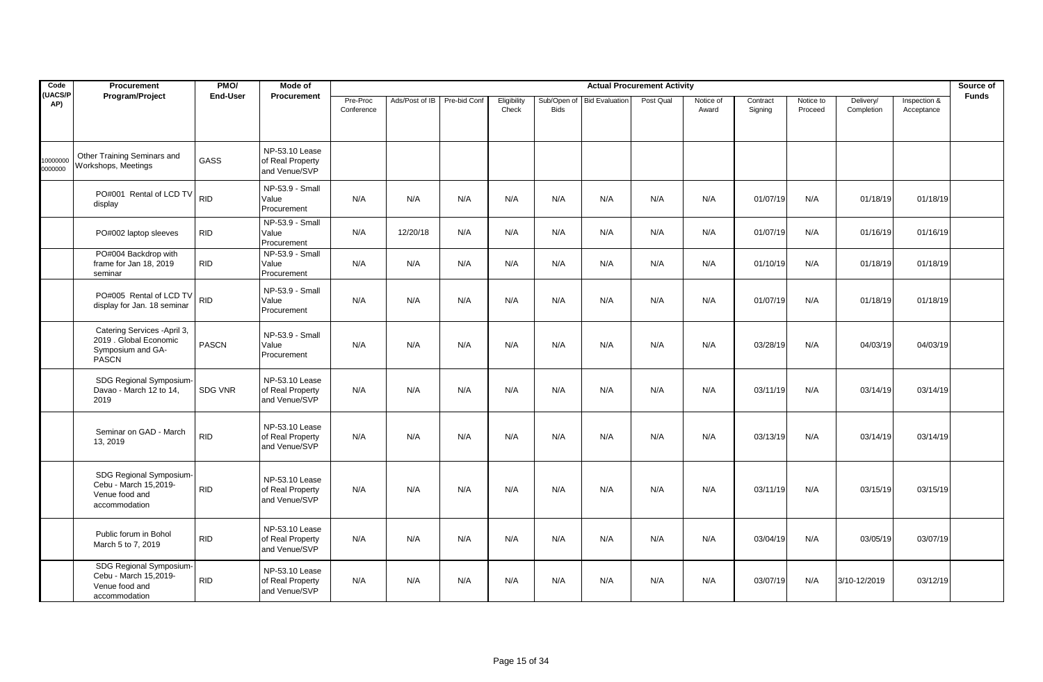| Code                 | Procurement                                                                                 | PMO/            | Mode of                                             |                        |                |              |                      |                            |                       | <b>Actual Procurement Activity</b> |                    |                     |                      |                         |                            | Source of    |
|----------------------|---------------------------------------------------------------------------------------------|-----------------|-----------------------------------------------------|------------------------|----------------|--------------|----------------------|----------------------------|-----------------------|------------------------------------|--------------------|---------------------|----------------------|-------------------------|----------------------------|--------------|
| <b>UACS/P</b><br>AP) | Program/Project                                                                             | <b>End-User</b> | Procurement                                         | Pre-Proc<br>Conference | Ads/Post of IB | Pre-bid Conf | Eligibility<br>Check | Sub/Open of<br><b>Bids</b> | <b>Bid Evaluation</b> | Post Qual                          | Notice of<br>Award | Contract<br>Signing | Notice to<br>Proceed | Delivery/<br>Completion | Inspection &<br>Acceptance | <b>Funds</b> |
| 10000000<br>0000000  | Other Training Seminars and<br>Workshops, Meetings                                          | GASS            | NP-53.10 Lease<br>of Real Property<br>and Venue/SVP |                        |                |              |                      |                            |                       |                                    |                    |                     |                      |                         |                            |              |
|                      | PO#001 Rental of LCD TV<br>display                                                          | <b>RID</b>      | NP-53.9 - Small<br>Value<br>Procurement             | N/A                    | N/A            | N/A          | N/A                  | N/A                        | N/A                   | N/A                                | N/A                | 01/07/19            | N/A                  | 01/18/19                | 01/18/19                   |              |
|                      | PO#002 laptop sleeves                                                                       | <b>RID</b>      | NP-53.9 - Small<br>Value<br>Procurement             | N/A                    | 12/20/18       | N/A          | N/A                  | N/A                        | N/A                   | N/A                                | N/A                | 01/07/19            | N/A                  | 01/16/19                | 01/16/19                   |              |
|                      | PO#004 Backdrop with<br>frame for Jan 18, 2019<br>seminar                                   | <b>RID</b>      | NP-53.9 - Small<br>Value<br>Procurement             | N/A                    | N/A            | N/A          | N/A                  | N/A                        | N/A                   | N/A                                | N/A                | 01/10/19            | N/A                  | 01/18/19                | 01/18/19                   |              |
|                      | PO#005 Rental of LCD TV<br>display for Jan. 18 seminar                                      | <b>RID</b>      | NP-53.9 - Small<br>Value<br>Procurement             | N/A                    | N/A            | N/A          | N/A                  | N/A                        | N/A                   | N/A                                | N/A                | 01/07/19            | N/A                  | 01/18/19                | 01/18/19                   |              |
|                      | Catering Services - April 3,<br>2019 . Global Economic<br>Symposium and GA-<br><b>PASCN</b> | <b>PASCN</b>    | NP-53.9 - Small<br>Value<br>Procurement             | N/A                    | N/A            | N/A          | N/A                  | N/A                        | N/A                   | N/A                                | N/A                | 03/28/19            | N/A                  | 04/03/19                | 04/03/19                   |              |
|                      | SDG Regional Symposium-<br>Davao - March 12 to 14,<br>2019                                  | SDG VNR         | NP-53.10 Lease<br>of Real Property<br>and Venue/SVP | N/A                    | N/A            | N/A          | N/A                  | N/A                        | N/A                   | N/A                                | N/A                | 03/11/19            | N/A                  | 03/14/19                | 03/14/19                   |              |
|                      | Seminar on GAD - March<br>13, 2019                                                          | <b>RID</b>      | NP-53.10 Lease<br>of Real Property<br>and Venue/SVP | N/A                    | N/A            | N/A          | N/A                  | N/A                        | N/A                   | N/A                                | N/A                | 03/13/19            | N/A                  | 03/14/19                | 03/14/19                   |              |
|                      | SDG Regional Symposium-<br>Cebu - March 15,2019-<br>Venue food and<br>accommodation         | <b>RID</b>      | NP-53.10 Lease<br>of Real Property<br>and Venue/SVP | N/A                    | N/A            | N/A          | N/A                  | N/A                        | N/A                   | N/A                                | N/A                | 03/11/19            | N/A                  | 03/15/19                | 03/15/19                   |              |
|                      | Public forum in Bohol<br>March 5 to 7, 2019                                                 | <b>RID</b>      | NP-53.10 Lease<br>of Real Property<br>and Venue/SVP | N/A                    | N/A            | N/A          | N/A                  | N/A                        | N/A                   | N/A                                | N/A                | 03/04/19            | N/A                  | 03/05/19                | 03/07/19                   |              |
|                      | SDG Regional Symposium-<br>Cebu - March 15,2019-<br>Venue food and<br>accommodation         | <b>RID</b>      | NP-53.10 Lease<br>of Real Property<br>and Venue/SVP | N/A                    | N/A            | N/A          | N/A                  | N/A                        | N/A                   | N/A                                | N/A                | 03/07/19            | N/A                  | 3/10-12/2019            | 03/12/19                   |              |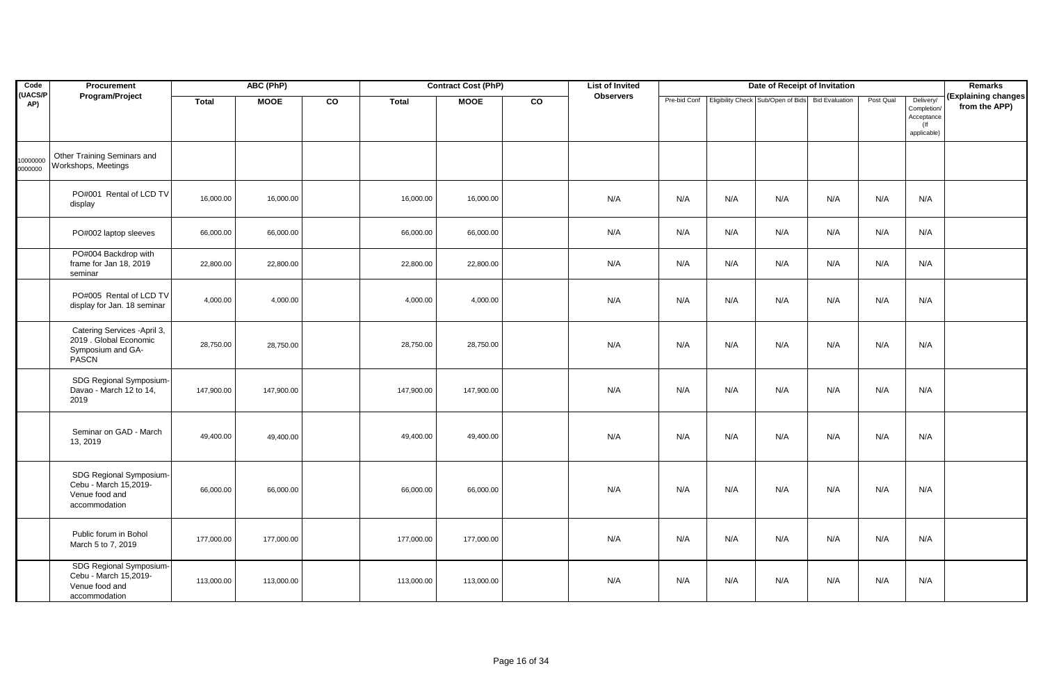| Code                 | Procurement                                                                          |              | ABC (PhP)   |                |              | <b>Contract Cost (PhP)</b> |                | <b>List of Invited</b> |     |     | Date of Receipt of Invitation                   |                       |           |                                                                 | Remarks                              |
|----------------------|--------------------------------------------------------------------------------------|--------------|-------------|----------------|--------------|----------------------------|----------------|------------------------|-----|-----|-------------------------------------------------|-----------------------|-----------|-----------------------------------------------------------------|--------------------------------------|
| <b>UACS/P</b><br>AP) | Program/Project                                                                      | <b>Total</b> | <b>MOOE</b> | $\overline{c}$ | <b>Total</b> | <b>MOOE</b>                | $\overline{c}$ | <b>Observers</b>       |     |     | Pre-bid Conf Eligibility Check Sub/Open of Bids | <b>Bid Evaluation</b> | Post Qual | Delivery/<br>Completion/<br>Acceptance<br>$($ lf<br>applicable) | (Explaining changes<br>from the APP) |
| 0000000<br>000000    | Other Training Seminars and<br>Workshops, Meetings                                   |              |             |                |              |                            |                |                        |     |     |                                                 |                       |           |                                                                 |                                      |
|                      | PO#001 Rental of LCD TV<br>display                                                   | 16,000.00    | 16,000.00   |                | 16,000.00    | 16,000.00                  |                | N/A                    | N/A | N/A | N/A                                             | N/A                   | N/A       | N/A                                                             |                                      |
|                      | PO#002 laptop sleeves                                                                | 66,000.00    | 66,000.00   |                | 66,000.00    | 66,000.00                  |                | N/A                    | N/A | N/A | N/A                                             | N/A                   | N/A       | N/A                                                             |                                      |
|                      | PO#004 Backdrop with<br>frame for Jan 18, 2019<br>seminar                            | 22,800.00    | 22,800.00   |                | 22,800.00    | 22,800.00                  |                | N/A                    | N/A | N/A | N/A                                             | N/A                   | N/A       | N/A                                                             |                                      |
|                      | PO#005 Rental of LCD TV<br>display for Jan. 18 seminar                               | 4,000.00     | 4,000.00    |                | 4,000.00     | 4,000.00                   |                | N/A                    | N/A | N/A | N/A                                             | N/A                   | N/A       | N/A                                                             |                                      |
|                      | Catering Services - April 3,<br>2019 . Global Economic<br>Symposium and GA-<br>PASCN | 28,750.00    | 28,750.00   |                | 28,750.00    | 28,750.00                  |                | N/A                    | N/A | N/A | N/A                                             | N/A                   | N/A       | N/A                                                             |                                      |
|                      | SDG Regional Symposium-<br>Davao - March 12 to 14,<br>2019                           | 147,900.00   | 147,900.00  |                | 147,900.00   | 147,900.00                 |                | N/A                    | N/A | N/A | N/A                                             | N/A                   | N/A       | N/A                                                             |                                      |
|                      | Seminar on GAD - March<br>13, 2019                                                   | 49,400.00    | 49,400.00   |                | 49,400.00    | 49,400.00                  |                | N/A                    | N/A | N/A | N/A                                             | N/A                   | N/A       | N/A                                                             |                                      |
|                      | SDG Regional Symposium-<br>Cebu - March 15,2019-<br>Venue food and<br>accommodation  | 66,000.00    | 66,000.00   |                | 66,000.00    | 66,000.00                  |                | N/A                    | N/A | N/A | N/A                                             | N/A                   | N/A       | N/A                                                             |                                      |
|                      | Public forum in Bohol<br>March 5 to 7, 2019                                          | 177,000.00   | 177,000.00  |                | 177,000.00   | 177,000.00                 |                | N/A                    | N/A | N/A | N/A                                             | N/A                   | N/A       | N/A                                                             |                                      |
|                      | SDG Regional Symposium-<br>Cebu - March 15,2019-<br>Venue food and<br>accommodation  | 113,000.00   | 113,000.00  |                | 113,000.00   | 113,000.00                 |                | N/A                    | N/A | N/A | N/A                                             | N/A                   | N/A       | N/A                                                             |                                      |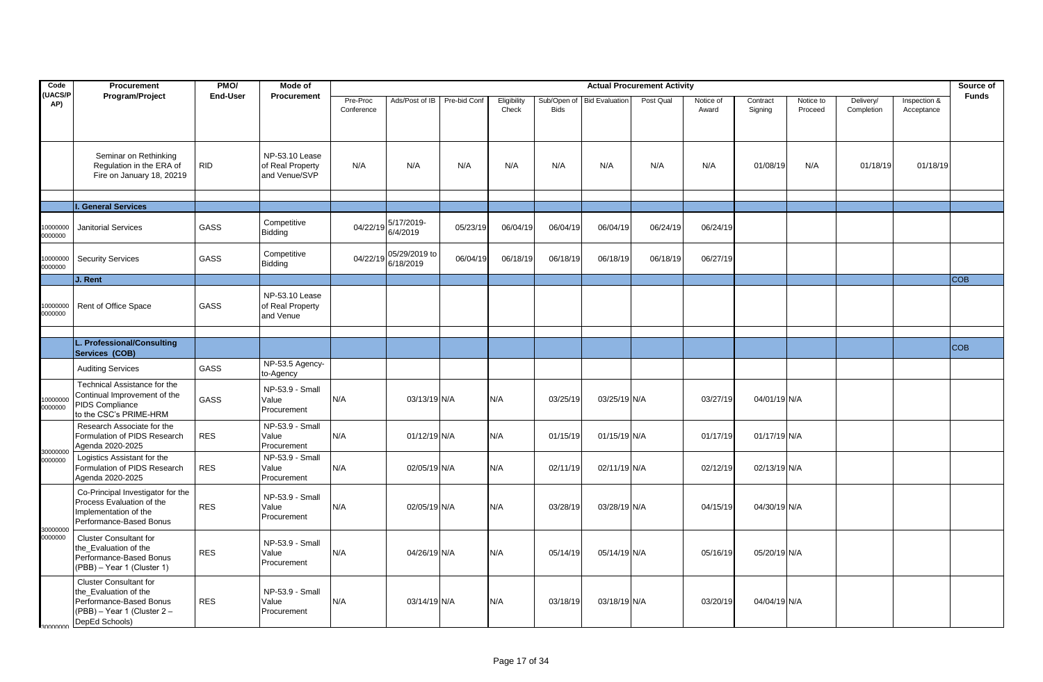| Code                 | Procurement                                                                                                                        | PMO/            | Mode of                                             |                        |                            |              |                      |                            |                       | <b>Actual Procurement Activity</b> |                    |                     |                      |                         |                            | Source of    |
|----------------------|------------------------------------------------------------------------------------------------------------------------------------|-----------------|-----------------------------------------------------|------------------------|----------------------------|--------------|----------------------|----------------------------|-----------------------|------------------------------------|--------------------|---------------------|----------------------|-------------------------|----------------------------|--------------|
| <b>UACS/P</b><br>AP) | Program/Project                                                                                                                    | <b>End-User</b> | Procurement                                         | Pre-Proc<br>Conference | Ads/Post of IB             | Pre-bid Conf | Eligibility<br>Check | Sub/Open of<br><b>Bids</b> | <b>Bid Evaluation</b> | Post Qual                          | Notice of<br>Award | Contract<br>Signing | Notice to<br>Proceed | Delivery/<br>Completion | Inspection &<br>Acceptance | <b>Funds</b> |
|                      | Seminar on Rethinking<br>Regulation in the ERA of<br>Fire on January 18, 20219                                                     | <b>RID</b>      | NP-53.10 Lease<br>of Real Property<br>and Venue/SVP | N/A                    | N/A                        | N/A          | N/A                  | N/A                        | N/A                   | N/A                                | N/A                | 01/08/19            | N/A                  | 01/18/19                | 01/18/19                   |              |
|                      | <b>General Services</b>                                                                                                            |                 |                                                     |                        |                            |              |                      |                            |                       |                                    |                    |                     |                      |                         |                            |              |
| 0000000<br>0000000   | <b>Janitorial Services</b>                                                                                                         | GASS            | Competitive<br>Bidding                              | 04/22/19               | 5/17/2019-<br>6/4/2019     | 05/23/19     | 06/04/19             | 06/04/19                   | 06/04/19              | 06/24/19                           | 06/24/19           |                     |                      |                         |                            |              |
| 0000000<br>0000000   | <b>Security Services</b>                                                                                                           | GASS            | Competitive<br>Bidding                              | 04/22/19               | 05/29/2019 to<br>6/18/2019 | 06/04/19     | 06/18/19             | 06/18/19                   | 06/18/19              | 06/18/19                           | 06/27/19           |                     |                      |                         |                            |              |
|                      | J. Rent                                                                                                                            |                 |                                                     |                        |                            |              |                      |                            |                       |                                    |                    |                     |                      |                         |                            | <b>COB</b>   |
| 0000000<br>0000000   | Rent of Office Space                                                                                                               | GASS            | NP-53.10 Lease<br>of Real Property<br>and Venue     |                        |                            |              |                      |                            |                       |                                    |                    |                     |                      |                         |                            |              |
|                      |                                                                                                                                    |                 |                                                     |                        |                            |              |                      |                            |                       |                                    |                    |                     |                      |                         |                            |              |
|                      | L. Professional/Consulting<br>Services (COB)                                                                                       |                 |                                                     |                        |                            |              |                      |                            |                       |                                    |                    |                     |                      |                         |                            | <b>COB</b>   |
|                      | <b>Auditing Services</b>                                                                                                           | <b>GASS</b>     | NP-53.5 Agency-<br>to-Agency                        |                        |                            |              |                      |                            |                       |                                    |                    |                     |                      |                         |                            |              |
| 0000000<br>0000000   | Technical Assistance for the<br>Continual Improvement of the<br>PIDS Compliance<br>to the CSC's PRIME-HRM                          | <b>GASS</b>     | NP-53.9 - Small<br>Value<br>Procurement             | N/A                    | 03/13/19 N/A               |              | N/A                  | 03/25/19                   | 03/25/19 N/A          |                                    | 03/27/19           | 04/01/19 N/A        |                      |                         |                            |              |
| 30000000             | Research Associate for the<br>Formulation of PIDS Research<br>Agenda 2020-2025                                                     | <b>RES</b>      | NP-53.9 - Small<br>Value<br>Procurement             | N/A                    | 01/12/19 N/A               |              | N/A                  | 01/15/19                   | 01/15/19 N/A          |                                    | 01/17/19           | 01/17/19 N/A        |                      |                         |                            |              |
| 0000000              | Logistics Assistant for the<br>Formulation of PIDS Research<br>Agenda 2020-2025                                                    | <b>RES</b>      | NP-53.9 - Small<br>Value<br>Procurement             | N/A                    | 02/05/19 N/A               |              | N/A                  | 02/11/19                   | 02/11/19 N/A          |                                    | 02/12/19           | 02/13/19 N/A        |                      |                         |                            |              |
| 30000000             | Co-Principal Investigator for the<br>Process Evaluation of the<br>Implementation of the<br>Performance-Based Bonus                 | <b>RES</b>      | NP-53.9 - Small<br>Value<br>Procurement             | N/A                    | 02/05/19 N/A               |              | N/A                  | 03/28/19                   | 03/28/19 N/A          |                                    | 04/15/19           | 04/30/19 N/A        |                      |                         |                            |              |
| 0000000              | <b>Cluster Consultant for</b><br>the Evaluation of the<br>Performance-Based Bonus<br>(PBB) - Year 1 (Cluster 1)                    | <b>RES</b>      | NP-53.9 - Small<br>Value<br>Procurement             | N/A                    | 04/26/19 N/A               |              | N/A                  | 05/14/19                   | 05/14/19 N/A          |                                    | 05/16/19           | 05/20/19 N/A        |                      |                         |                            |              |
| 30000000             | <b>Cluster Consultant for</b><br>the Evaluation of the<br>Performance-Based Bonus<br>(PBB) - Year 1 (Cluster 2 -<br>DepEd Schools) | <b>RES</b>      | NP-53.9 - Small<br>Value<br>Procurement             | N/A                    | 03/14/19 N/A               |              | N/A                  | 03/18/19                   | 03/18/19 N/A          |                                    | 03/20/19           | 04/04/19 N/A        |                      |                         |                            |              |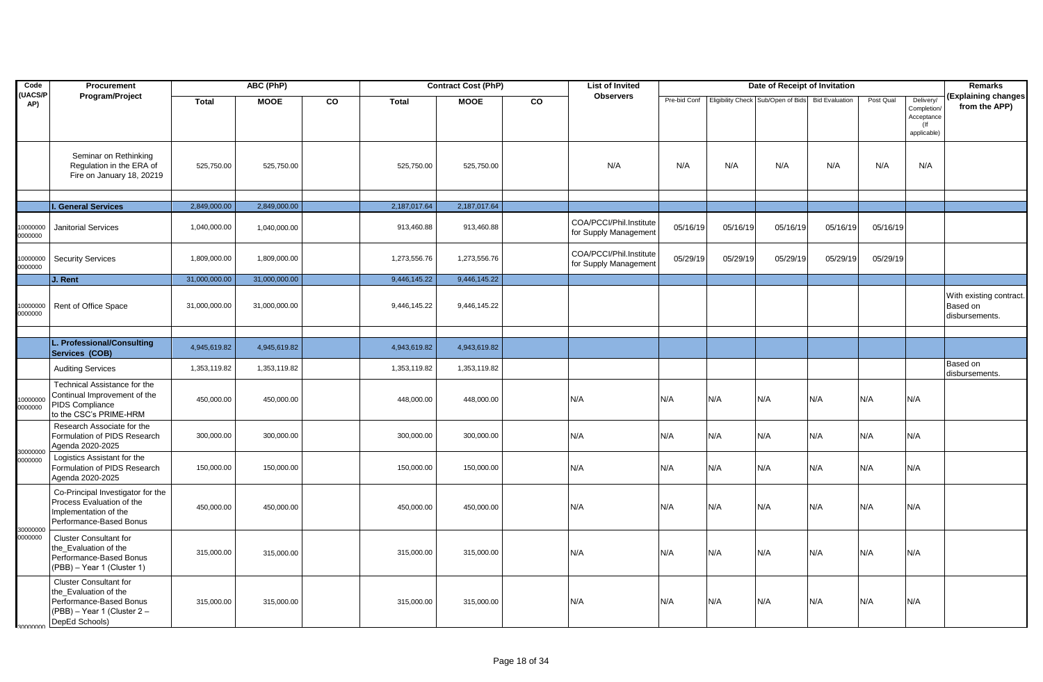| Code                 | Procurement                                                                                                                        |               | ABC (PhP)     |    |              | <b>Contract Cost (PhP)</b> |    | <b>List of Invited</b>                           |              |          | Date of Receipt of Invitation      |                       |           |                                                                 | Remarks                                               |
|----------------------|------------------------------------------------------------------------------------------------------------------------------------|---------------|---------------|----|--------------|----------------------------|----|--------------------------------------------------|--------------|----------|------------------------------------|-----------------------|-----------|-----------------------------------------------------------------|-------------------------------------------------------|
| <b>UACS/P</b><br>AP) | Program/Project                                                                                                                    | <b>Total</b>  | <b>MOOE</b>   | CO | <b>Total</b> | <b>MOOE</b>                | CO | <b>Observers</b>                                 | Pre-bid Conf |          | Eligibility Check Sub/Open of Bids | <b>Bid Evaluation</b> | Post Qual | Delivery/<br>Completion/<br>Acceptance<br>$($ lf<br>applicable) | (Explaining changes<br>from the APP)                  |
|                      | Seminar on Rethinking<br>Regulation in the ERA of<br>Fire on January 18, 20219                                                     | 525,750.00    | 525,750.00    |    | 525,750.00   | 525,750.00                 |    | N/A                                              | N/A          | N/A      | N/A                                | N/A                   | N/A       | N/A                                                             |                                                       |
|                      |                                                                                                                                    |               |               |    |              |                            |    |                                                  |              |          |                                    |                       |           |                                                                 |                                                       |
|                      | <b>I. General Services</b>                                                                                                         | 2,849,000.00  | 2,849,000.00  |    | 2,187,017.64 | 2,187,017.64               |    |                                                  |              |          |                                    |                       |           |                                                                 |                                                       |
| 0000000<br>0000000   | <b>Janitorial Services</b>                                                                                                         | 1,040,000.00  | 1,040,000.00  |    | 913,460.88   | 913,460.88                 |    | COA/PCCI/Phil.Institute<br>for Supply Management | 05/16/19     | 05/16/19 | 05/16/19                           | 05/16/19              | 05/16/19  |                                                                 |                                                       |
| 0000000<br>0000000   | <b>Security Services</b>                                                                                                           | 1,809,000.00  | 1,809,000.00  |    | 1,273,556.76 | 1,273,556.76               |    | COA/PCCI/Phil.Institute<br>for Supply Management | 05/29/19     | 05/29/19 | 05/29/19                           | 05/29/19              | 05/29/19  |                                                                 |                                                       |
|                      | J. Rent                                                                                                                            | 31,000,000.00 | 31,000,000.00 |    | 9,446,145.22 | 9,446,145.22               |    |                                                  |              |          |                                    |                       |           |                                                                 |                                                       |
| 10000000<br>0000000  | Rent of Office Space                                                                                                               | 31,000,000.00 | 31,000,000.00 |    | 9,446,145.22 | 9,446,145.22               |    |                                                  |              |          |                                    |                       |           |                                                                 | With existing contract.<br>Based on<br>disbursements. |
|                      |                                                                                                                                    |               |               |    |              |                            |    |                                                  |              |          |                                    |                       |           |                                                                 |                                                       |
|                      | L. Professional/Consulting<br>Services (COB)                                                                                       | 4,945,619.82  | 4,945,619.82  |    | 4,943,619.82 | 4,943,619.82               |    |                                                  |              |          |                                    |                       |           |                                                                 |                                                       |
|                      | <b>Auditing Services</b>                                                                                                           | 1,353,119.82  | 1,353,119.82  |    | 1,353,119.82 | 1,353,119.82               |    |                                                  |              |          |                                    |                       |           |                                                                 | Based on<br>disbursements.                            |
| 0000000<br>0000000   | Technical Assistance for the<br>Continual Improvement of the<br><b>PIDS Compliance</b><br>to the CSC's PRIME-HRM                   | 450,000.00    | 450,000.00    |    | 448,000.00   | 448,000.00                 |    | N/A                                              | N/A          | N/A      | N/A                                | N/A                   | N/A       | N/A                                                             |                                                       |
|                      | Research Associate for the<br>Formulation of PIDS Research<br>Agenda 2020-2025                                                     | 300,000.00    | 300,000.00    |    | 300,000.00   | 300,000.00                 |    | N/A                                              | N/A          | N/A      | N/A                                | N/A                   | N/A       | N/A                                                             |                                                       |
| 30000000<br>0000000  | Logistics Assistant for the<br>Formulation of PIDS Research<br>Agenda 2020-2025                                                    | 150,000.00    | 150,000.00    |    | 150,000.00   | 150,000.00                 |    | N/A                                              | N/A          | N/A      | N/A                                | N/A                   | N/A       | N/A                                                             |                                                       |
| 30000000             | Co-Principal Investigator for the<br>Process Evaluation of the<br>Implementation of the<br>Performance-Based Bonus                 | 450,000.00    | 450,000.00    |    | 450,000.00   | 450,000.00                 |    | N/A                                              | N/A          | N/A      | N/A                                | N/A                   | N/A       | N/A                                                             |                                                       |
| 0000000              | <b>Cluster Consultant for</b><br>the Evaluation of the<br>Performance-Based Bonus<br>(PBB) - Year 1 (Cluster 1)                    | 315,000.00    | 315,000.00    |    | 315,000.00   | 315,000.00                 |    | N/A                                              | N/A          | N/A      | N/A                                | N/A                   | N/A       | N/A                                                             |                                                       |
| 30000000             | <b>Cluster Consultant for</b><br>the Evaluation of the<br>Performance-Based Bonus<br>(PBB) - Year 1 (Cluster 2 -<br>DepEd Schools) | 315,000.00    | 315,000.00    |    | 315,000.00   | 315,000.00                 |    | N/A                                              | N/A          | N/A      | N/A                                | N/A                   | N/A       | N/A                                                             |                                                       |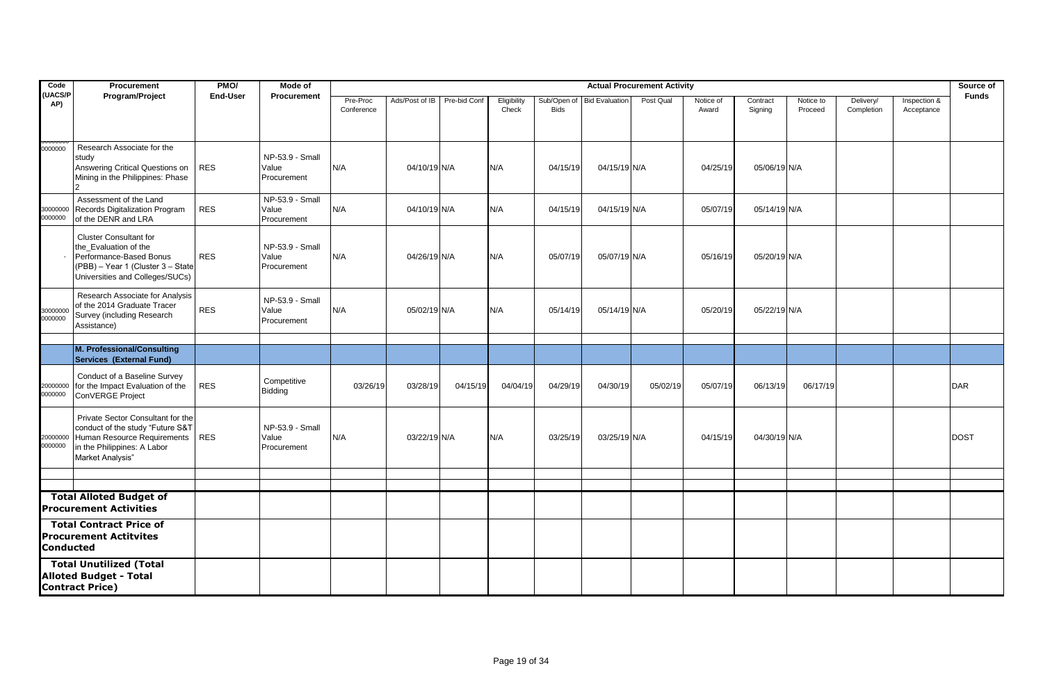| Code                | Procurement                                                                                                                                               | PMO/            | Mode of                                 |                        |                |              |                      |             |                            | <b>Actual Procurement Activity</b> |                    |                     |                      |                         |                            | Source of    |
|---------------------|-----------------------------------------------------------------------------------------------------------------------------------------------------------|-----------------|-----------------------------------------|------------------------|----------------|--------------|----------------------|-------------|----------------------------|------------------------------------|--------------------|---------------------|----------------------|-------------------------|----------------------------|--------------|
| (UACS/P<br>AP)      | Program/Project                                                                                                                                           | <b>End-User</b> | Procurement                             | Pre-Proc<br>Conference | Ads/Post of IB | Pre-bid Conf | Eligibility<br>Check | <b>Bids</b> | Sub/Open of Bid Evaluation | Post Qual                          | Notice of<br>Award | Contract<br>Signing | Notice to<br>Proceed | Delivery/<br>Completion | Inspection &<br>Acceptance | <b>Funds</b> |
| 0000000             | Research Associate for the<br>study<br>Answering Critical Questions on<br>Mining in the Philippines: Phase                                                | <b>RES</b>      | NP-53.9 - Small<br>Value<br>Procurement | N/A                    | 04/10/19 N/A   |              | N/A                  | 04/15/19    | 04/15/19 N/A               |                                    | 04/25/19           | 05/06/19 N/A        |                      |                         |                            |              |
| 30000000<br>0000000 | Assessment of the Land<br>Records Digitalization Program<br>of the DENR and LRA                                                                           | <b>RES</b>      | NP-53.9 - Small<br>Value<br>Procurement | N/A                    | 04/10/19 N/A   |              | N/A                  | 04/15/19    | 04/15/19 N/A               |                                    | 05/07/19           | 05/14/19 N/A        |                      |                         |                            |              |
|                     | <b>Cluster Consultant for</b><br>the Evaluation of the<br>Performance-Based Bonus<br>(PBB) - Year 1 (Cluster 3 - State<br>Universities and Colleges/SUCs) | <b>RES</b>      | NP-53.9 - Small<br>Value<br>Procurement | N/A                    | 04/26/19 N/A   |              | N/A                  | 05/07/19    | 05/07/19 N/A               |                                    | 05/16/19           | 05/20/19 N/A        |                      |                         |                            |              |
| 30000000<br>0000000 | Research Associate for Analysis<br>of the 2014 Graduate Tracer<br>Survey (including Research<br>Assistance)                                               | <b>RES</b>      | NP-53.9 - Small<br>Value<br>Procurement | N/A                    | 05/02/19 N/A   |              | N/A                  | 05/14/19    | 05/14/19 N/A               |                                    | 05/20/19           | 05/22/19 N/A        |                      |                         |                            |              |
|                     | M. Professional/Consulting                                                                                                                                |                 |                                         |                        |                |              |                      |             |                            |                                    |                    |                     |                      |                         |                            |              |
|                     | Services (External Fund)                                                                                                                                  |                 |                                         |                        |                |              |                      |             |                            |                                    |                    |                     |                      |                         |                            |              |
| 20000000<br>0000000 | Conduct of a Baseline Survey<br>for the Impact Evaluation of the<br>ConVERGE Project                                                                      | <b>RES</b>      | Competitive<br>Bidding                  | 03/26/19               | 03/28/19       | 04/15/19     | 04/04/19             | 04/29/19    | 04/30/19                   | 05/02/19                           | 05/07/19           | 06/13/19            | 06/17/19             |                         |                            | <b>DAR</b>   |
| 20000000<br>0000000 | Private Sector Consultant for the<br>conduct of the study "Future S&T<br>Human Resource Requirements<br>in the Philippines: A Labor<br>Market Analysis"   | <b>RES</b>      | NP-53.9 - Small<br>Value<br>Procurement | N/A                    | 03/22/19 N/A   |              | N/A                  | 03/25/19    | 03/25/19 N/A               |                                    | 04/15/19           | 04/30/19 N/A        |                      |                         |                            | <b>DOST</b>  |
|                     |                                                                                                                                                           |                 |                                         |                        |                |              |                      |             |                            |                                    |                    |                     |                      |                         |                            |              |
|                     | <b>Total Alloted Budget of</b><br><b>Procurement Activities</b>                                                                                           |                 |                                         |                        |                |              |                      |             |                            |                                    |                    |                     |                      |                         |                            |              |
| <b>Conducted</b>    | <b>Total Contract Price of</b><br><b>Procurement Actitvites</b>                                                                                           |                 |                                         |                        |                |              |                      |             |                            |                                    |                    |                     |                      |                         |                            |              |
|                     | <b>Total Unutilized (Total</b><br><b>Alloted Budget - Total</b><br><b>Contract Price)</b>                                                                 |                 |                                         |                        |                |              |                      |             |                            |                                    |                    |                     |                      |                         |                            |              |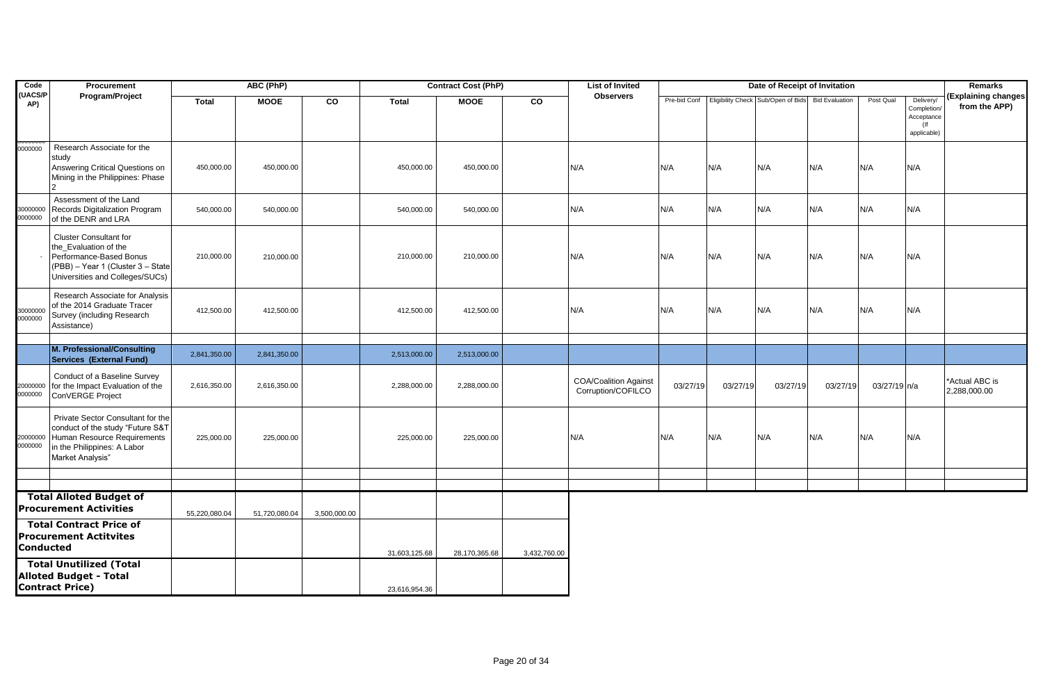| Code                | Procurement                                                                                                                                               |               | ABC (PhP)     |              |               | <b>Contract Cost (PhP)</b> |              | <b>List of Invited</b>                             |          |          | Date of Receipt of Invitation                                  |          |              |                                                                 | Remarks                              |
|---------------------|-----------------------------------------------------------------------------------------------------------------------------------------------------------|---------------|---------------|--------------|---------------|----------------------------|--------------|----------------------------------------------------|----------|----------|----------------------------------------------------------------|----------|--------------|-----------------------------------------------------------------|--------------------------------------|
| (UACS/P<br>AP)      | Program/Project                                                                                                                                           | <b>Total</b>  | <b>MOOE</b>   | CO           | <b>Total</b>  | <b>MOOE</b>                | <b>CO</b>    | <b>Observers</b>                                   |          |          | Pre-bid Conf Eligibility Check Sub/Open of Bids Bid Evaluation |          | Post Qual    | Delivery/<br>Completion/<br>Acceptance<br>$($ If<br>applicable) | (Explaining changes<br>from the APP) |
| 0000000             | Research Associate for the<br>study<br>Answering Critical Questions on<br>Mining in the Philippines: Phase                                                | 450,000.00    | 450,000.00    |              | 450,000.00    | 450,000.00                 |              | N/A                                                | N/A      | N/A      | N/A                                                            | N/A      | N/A          | N/A                                                             |                                      |
| 30000000<br>0000000 | Assessment of the Land<br>Records Digitalization Program<br>of the DENR and LRA                                                                           | 540,000.00    | 540,000.00    |              | 540,000.00    | 540,000.00                 |              | N/A                                                | N/A      | N/A      | N/A                                                            | N/A      | N/A          | N/A                                                             |                                      |
|                     | <b>Cluster Consultant for</b><br>the_Evaluation of the<br>Performance-Based Bonus<br>(PBB) - Year 1 (Cluster 3 - State<br>Universities and Colleges/SUCs) | 210,000.00    | 210,000.00    |              | 210,000.00    | 210,000.00                 |              | N/A                                                | N/A      | N/A      | N/A                                                            | N/A      | N/A          | N/A                                                             |                                      |
| 30000000<br>0000000 | Research Associate for Analysis<br>of the 2014 Graduate Tracer<br>Survey (including Research<br>Assistance)                                               | 412,500.00    | 412,500.00    |              | 412,500.00    | 412,500.00                 |              | N/A                                                | N/A      | N/A      | N/A                                                            | N/A      | N/A          | N/A                                                             |                                      |
|                     |                                                                                                                                                           |               |               |              |               |                            |              |                                                    |          |          |                                                                |          |              |                                                                 |                                      |
|                     | M. Professional/Consulting<br>Services (External Fund)                                                                                                    | 2,841,350.00  | 2,841,350.00  |              | 2,513,000.00  | 2,513,000.00               |              |                                                    |          |          |                                                                |          |              |                                                                 |                                      |
| 20000000<br>0000000 | Conduct of a Baseline Survey<br>for the Impact Evaluation of the<br>ConVERGE Project                                                                      | 2,616,350.00  | 2,616,350.00  |              | 2,288,000.00  | 2,288,000.00               |              | <b>COA/Coalition Against</b><br>Corruption/COFILCO | 03/27/19 | 03/27/19 | 03/27/19                                                       | 03/27/19 | 03/27/19 n/a |                                                                 | *Actual ABC is<br>2,288,000.00       |
| 20000000<br>0000000 | Private Sector Consultant for the<br>conduct of the study "Future S&T<br>Human Resource Requirements<br>in the Philippines: A Labor<br>Market Analysis"   | 225,000.00    | 225,000.00    |              | 225,000.00    | 225,000.00                 |              | N/A                                                | N/A      | N/A      | N/A                                                            | N/A      | N/A          | N/A                                                             |                                      |
|                     |                                                                                                                                                           |               |               |              |               |                            |              |                                                    |          |          |                                                                |          |              |                                                                 |                                      |
|                     | <b>Total Alloted Budget of</b><br><b>Procurement Activities</b>                                                                                           | 55,220,080.04 | 51,720,080.04 | 3,500,000.00 |               |                            |              |                                                    |          |          |                                                                |          |              |                                                                 |                                      |
| Conducted           | <b>Total Contract Price of</b><br><b>Procurement Actitvites</b>                                                                                           |               |               |              | 31,603,125.68 | 28,170,365.68              | 3,432,760.00 |                                                    |          |          |                                                                |          |              |                                                                 |                                      |
|                     | <b>Total Unutilized (Total</b><br><b>Alloted Budget - Total</b><br><b>Contract Price)</b>                                                                 |               |               |              | 23,616,954.36 |                            |              |                                                    |          |          |                                                                |          |              |                                                                 |                                      |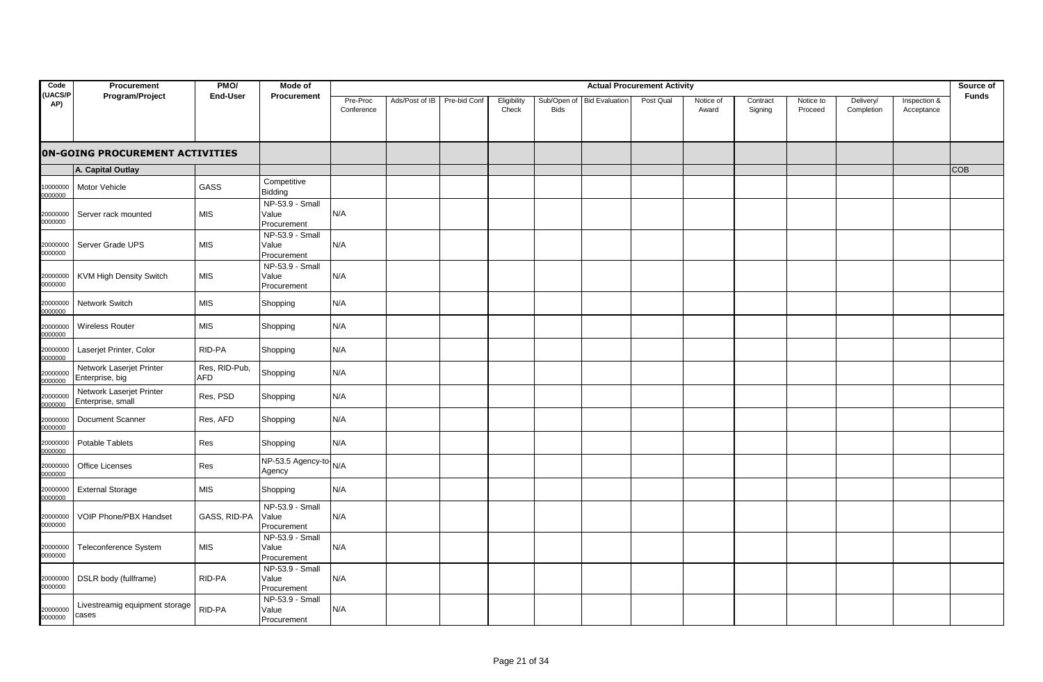| Code                  | Procurement                                   | PMO/                        | Mode of                                 |                        |                |              |                      |                            |                       | <b>Actual Procurement Activity</b> |                    |                     |                      |                         |                            | Source of    |
|-----------------------|-----------------------------------------------|-----------------------------|-----------------------------------------|------------------------|----------------|--------------|----------------------|----------------------------|-----------------------|------------------------------------|--------------------|---------------------|----------------------|-------------------------|----------------------------|--------------|
| <b>(UACS/P</b><br>AP) | Program/Project                               | <b>End-User</b>             | Procurement                             | Pre-Proc<br>Conference | Ads/Post of IB | Pre-bid Conf | Eligibility<br>Check | Sub/Open of<br><b>Bids</b> | <b>Bid Evaluation</b> | Post Qual                          | Notice of<br>Award | Contract<br>Signing | Notice to<br>Proceed | Delivery/<br>Completion | Inspection &<br>Acceptance | <b>Funds</b> |
|                       | <b>ON-GOING PROCUREMENT ACTIVITIES</b>        |                             |                                         |                        |                |              |                      |                            |                       |                                    |                    |                     |                      |                         |                            |              |
|                       | A. Capital Outlay                             |                             |                                         |                        |                |              |                      |                            |                       |                                    |                    |                     |                      |                         |                            | <b>COB</b>   |
| 0000000<br>0000000    | Motor Vehicle                                 | GASS                        | Competitive<br>Bidding                  |                        |                |              |                      |                            |                       |                                    |                    |                     |                      |                         |                            |              |
| 20000000<br>0000000   | Server rack mounted                           | <b>MIS</b>                  | NP-53.9 - Small<br>Value<br>Procurement | N/A                    |                |              |                      |                            |                       |                                    |                    |                     |                      |                         |                            |              |
| 20000000<br>0000000   | Server Grade UPS                              | <b>MIS</b>                  | NP-53.9 - Small<br>Value<br>Procurement | N/A                    |                |              |                      |                            |                       |                                    |                    |                     |                      |                         |                            |              |
| 20000000<br>0000000   | <b>KVM High Density Switch</b>                | <b>MIS</b>                  | NP-53.9 - Small<br>Value<br>Procurement | N/A                    |                |              |                      |                            |                       |                                    |                    |                     |                      |                         |                            |              |
| 20000000<br>0000000   | Network Switch                                | MIS                         | Shopping                                | N/A                    |                |              |                      |                            |                       |                                    |                    |                     |                      |                         |                            |              |
| 20000000<br>0000000   | <b>Wireless Router</b>                        | MIS                         | Shopping                                | N/A                    |                |              |                      |                            |                       |                                    |                    |                     |                      |                         |                            |              |
| 20000000<br>0000000   | Laserjet Printer, Color                       | RID-PA                      | Shopping                                | N/A                    |                |              |                      |                            |                       |                                    |                    |                     |                      |                         |                            |              |
| 20000000<br>0000000   | Network Laserjet Printer<br>Enterprise, big   | Res, RID-Pub,<br><b>AFD</b> | Shopping                                | N/A                    |                |              |                      |                            |                       |                                    |                    |                     |                      |                         |                            |              |
| 20000000<br>0000000   | Network Laserjet Printer<br>Enterprise, small | Res, PSD                    | Shopping                                | N/A                    |                |              |                      |                            |                       |                                    |                    |                     |                      |                         |                            |              |
| 20000000<br>0000000   | Document Scanner                              | Res, AFD                    | Shopping                                | N/A                    |                |              |                      |                            |                       |                                    |                    |                     |                      |                         |                            |              |
| 20000000<br>0000000   | Potable Tablets                               | Res                         | Shopping                                | N/A                    |                |              |                      |                            |                       |                                    |                    |                     |                      |                         |                            |              |
| 20000000<br>0000000   | Office Licenses                               | Res                         | NP-53.5 Agency-to-N/A<br>Agency         |                        |                |              |                      |                            |                       |                                    |                    |                     |                      |                         |                            |              |
| 20000000<br>0000000   | <b>External Storage</b>                       | <b>MIS</b>                  | Shopping                                | N/A                    |                |              |                      |                            |                       |                                    |                    |                     |                      |                         |                            |              |
| 20000000<br>0000000   | <b>VOIP Phone/PBX Handset</b>                 | GASS, RID-PA                | NP-53.9 - Small<br>Value<br>Procurement | N/A                    |                |              |                      |                            |                       |                                    |                    |                     |                      |                         |                            |              |
| 20000000<br>0000000   | Teleconference System                         | <b>MIS</b>                  | NP-53.9 - Small<br>Value<br>Procurement | N/A                    |                |              |                      |                            |                       |                                    |                    |                     |                      |                         |                            |              |
| 20000000<br>0000000   | DSLR body (fullframe)                         | RID-PA                      | NP-53.9 - Small<br>Value<br>Procurement | N/A                    |                |              |                      |                            |                       |                                    |                    |                     |                      |                         |                            |              |
| 20000000<br>0000000   | Livestreamig equipment storage<br>cases       | RID-PA                      | NP-53.9 - Small<br>Value<br>Procurement | N/A                    |                |              |                      |                            |                       |                                    |                    |                     |                      |                         |                            |              |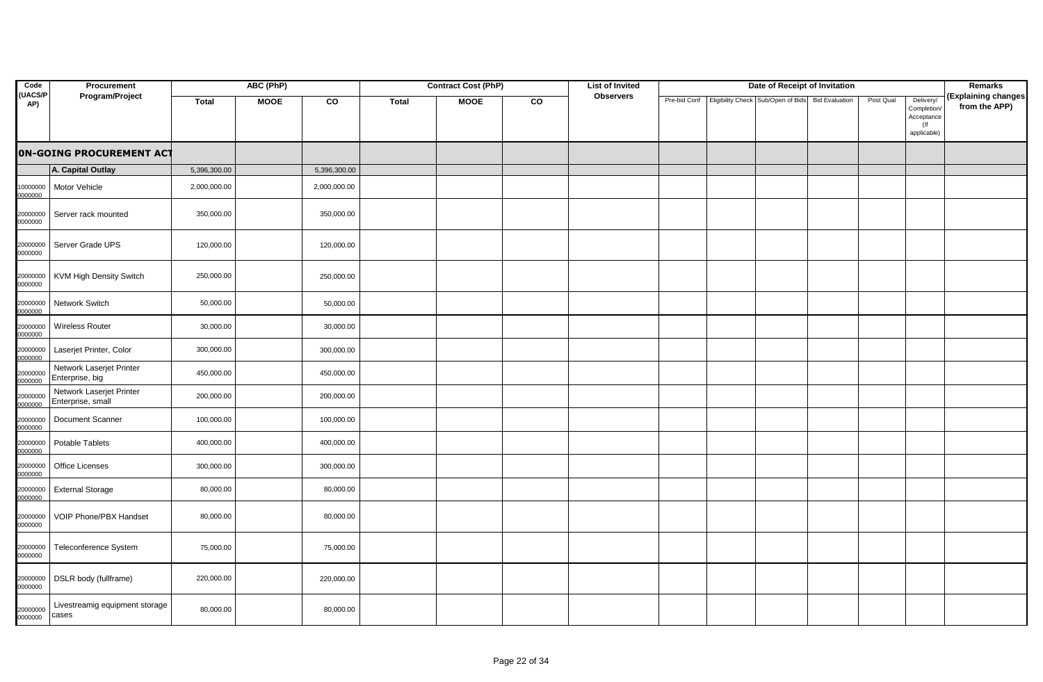| Code                | Procurement                                   |              | ABC (PhP)   |              |              | <b>Contract Cost (PhP)</b> |    | <b>List of Invited</b> |              | Date of Receipt of Invitation      |                       |           |                                                                 | <b>Remarks</b>                       |
|---------------------|-----------------------------------------------|--------------|-------------|--------------|--------------|----------------------------|----|------------------------|--------------|------------------------------------|-----------------------|-----------|-----------------------------------------------------------------|--------------------------------------|
| (UACS/P<br>AP)      | Program/Project                               | <b>Total</b> | <b>MOOE</b> | CO           | <b>Total</b> | <b>MOOE</b>                | CO | <b>Observers</b>       | Pre-bid Conf | Eligibility Check Sub/Open of Bids | <b>Bid Evaluation</b> | Post Qual | Delivery/<br>Completion/<br>Acceptance<br>$($ If<br>applicable) | (Explaining changes<br>from the APP) |
|                     | <b>ON-GOING PROCUREMENT ACT</b>               |              |             |              |              |                            |    |                        |              |                                    |                       |           |                                                                 |                                      |
|                     | A. Capital Outlay                             | 5,396,300.00 |             | 5,396,300.00 |              |                            |    |                        |              |                                    |                       |           |                                                                 |                                      |
| 0000000<br>0000000  | <b>Motor Vehicle</b>                          | 2,000,000.00 |             | 2,000,000.00 |              |                            |    |                        |              |                                    |                       |           |                                                                 |                                      |
| 20000000<br>0000000 | Server rack mounted                           | 350,000.00   |             | 350,000.00   |              |                            |    |                        |              |                                    |                       |           |                                                                 |                                      |
| 20000000<br>0000000 | Server Grade UPS                              | 120,000.00   |             | 120,000.00   |              |                            |    |                        |              |                                    |                       |           |                                                                 |                                      |
| 20000000<br>0000000 | <b>KVM High Density Switch</b>                | 250,000.00   |             | 250,000.00   |              |                            |    |                        |              |                                    |                       |           |                                                                 |                                      |
| 20000000<br>0000000 | Network Switch                                | 50,000.00    |             | 50,000.00    |              |                            |    |                        |              |                                    |                       |           |                                                                 |                                      |
| 20000000<br>0000000 | <b>Wireless Router</b>                        | 30,000.00    |             | 30,000.00    |              |                            |    |                        |              |                                    |                       |           |                                                                 |                                      |
| 20000000<br>0000000 | Laserjet Printer, Color                       | 300,000.00   |             | 300,000.00   |              |                            |    |                        |              |                                    |                       |           |                                                                 |                                      |
| 20000000<br>0000000 | Network Laserjet Printer<br>Enterprise, big   | 450,000.00   |             | 450,000.00   |              |                            |    |                        |              |                                    |                       |           |                                                                 |                                      |
| 20000000<br>0000000 | Network Laserjet Printer<br>Enterprise, small | 200,000.00   |             | 200,000.00   |              |                            |    |                        |              |                                    |                       |           |                                                                 |                                      |
| 20000000<br>0000000 | <b>Document Scanner</b>                       | 100,000.00   |             | 100,000.00   |              |                            |    |                        |              |                                    |                       |           |                                                                 |                                      |
| 20000000<br>0000000 | <b>Potable Tablets</b>                        | 400,000.00   |             | 400,000.00   |              |                            |    |                        |              |                                    |                       |           |                                                                 |                                      |
| 20000000<br>0000000 | Office Licenses                               | 300,000.00   |             | 300,000.00   |              |                            |    |                        |              |                                    |                       |           |                                                                 |                                      |
| 20000000<br>0000000 | <b>External Storage</b>                       | 80,000.00    |             | 80,000.00    |              |                            |    |                        |              |                                    |                       |           |                                                                 |                                      |
| 20000000<br>0000000 | VOIP Phone/PBX Handset                        | 80,000.00    |             | 80,000.00    |              |                            |    |                        |              |                                    |                       |           |                                                                 |                                      |
| 20000000<br>0000000 | Teleconference System                         | 75,000.00    |             | 75,000.00    |              |                            |    |                        |              |                                    |                       |           |                                                                 |                                      |
| 20000000<br>0000000 | DSLR body (fullframe)                         | 220,000.00   |             | 220,000.00   |              |                            |    |                        |              |                                    |                       |           |                                                                 |                                      |
| 20000000<br>0000000 | Livestreamig equipment storage<br>cases       | 80,000.00    |             | 80,000.00    |              |                            |    |                        |              |                                    |                       |           |                                                                 |                                      |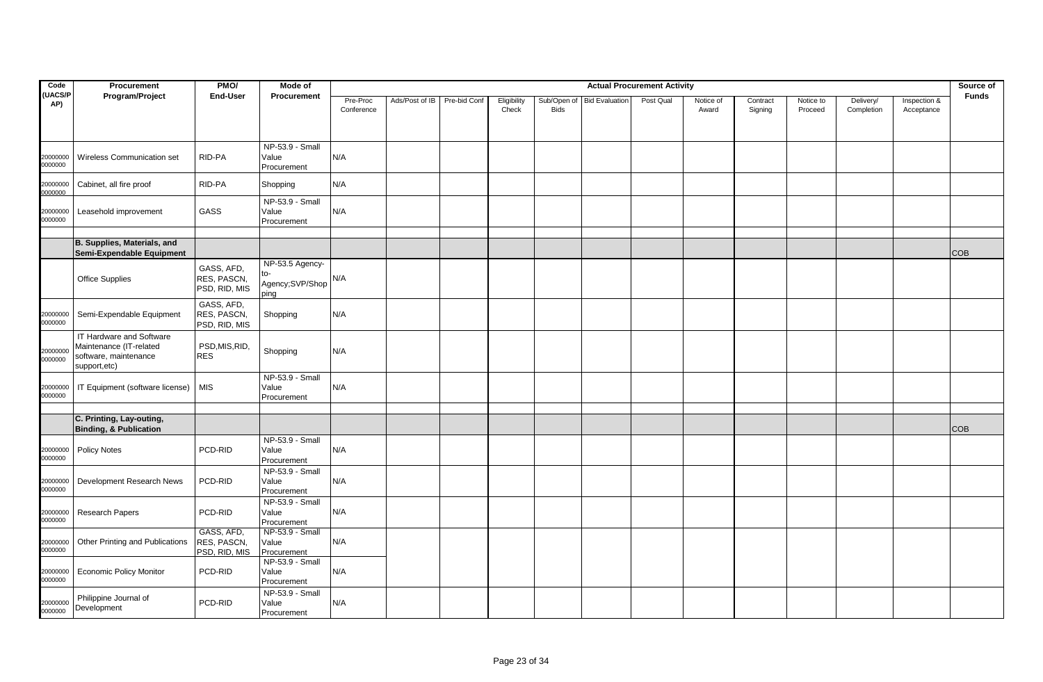| Code                | Procurement                                                                                  | PMO/                                       | Mode of                                           |                        |                |              |                      |             |                            | <b>Actual Procurement Activity</b> |                    |                     |                      |                         |                            | Source of    |
|---------------------|----------------------------------------------------------------------------------------------|--------------------------------------------|---------------------------------------------------|------------------------|----------------|--------------|----------------------|-------------|----------------------------|------------------------------------|--------------------|---------------------|----------------------|-------------------------|----------------------------|--------------|
| (UACS/P<br>AP)      | Program/Project                                                                              | <b>End-User</b>                            | Procurement                                       | Pre-Proc<br>Conference | Ads/Post of IB | Pre-bid Conf | Eligibility<br>Check | <b>Bids</b> | Sub/Open of Bid Evaluation | Post Qual                          | Notice of<br>Award | Contract<br>Signing | Notice to<br>Proceed | Delivery/<br>Completion | Inspection &<br>Acceptance | <b>Funds</b> |
| 20000000<br>0000000 | Wireless Communication set                                                                   | RID-PA                                     | NP-53.9 - Small<br>Value<br>Procurement           | N/A                    |                |              |                      |             |                            |                                    |                    |                     |                      |                         |                            |              |
| 20000000<br>0000000 | Cabinet, all fire proof                                                                      | RID-PA                                     | Shopping                                          | N/A                    |                |              |                      |             |                            |                                    |                    |                     |                      |                         |                            |              |
| 20000000<br>0000000 | Leasehold improvement                                                                        | GASS                                       | NP-53.9 - Small<br>Value<br>Procurement           | N/A                    |                |              |                      |             |                            |                                    |                    |                     |                      |                         |                            |              |
|                     | B. Supplies, Materials, and<br>Semi-Expendable Equipment                                     |                                            |                                                   |                        |                |              |                      |             |                            |                                    |                    |                     |                      |                         |                            | COB          |
|                     | <b>Office Supplies</b>                                                                       | GASS, AFD,<br>RES, PASCN,<br>PSD, RID, MIS | NP-53.5 Agency-<br>to-<br>Agency;SVP/Shop<br>ping | N/A                    |                |              |                      |             |                            |                                    |                    |                     |                      |                         |                            |              |
| 20000000<br>0000000 | Semi-Expendable Equipment                                                                    | GASS, AFD,<br>RES, PASCN,<br>PSD, RID, MIS | Shopping                                          | N/A                    |                |              |                      |             |                            |                                    |                    |                     |                      |                         |                            |              |
| 20000000<br>0000000 | IT Hardware and Software<br>Maintenance (IT-related<br>software, maintenance<br>support,etc) | PSD, MIS, RID,<br><b>RES</b>               | Shopping                                          | N/A                    |                |              |                      |             |                            |                                    |                    |                     |                      |                         |                            |              |
| 20000000<br>0000000 | IT Equipment (software license)                                                              | <b>MIS</b>                                 | NP-53.9 - Small<br>Value<br>Procurement           | N/A                    |                |              |                      |             |                            |                                    |                    |                     |                      |                         |                            |              |
|                     | C. Printing, Lay-outing,<br><b>Binding, &amp; Publication</b>                                |                                            |                                                   |                        |                |              |                      |             |                            |                                    |                    |                     |                      |                         |                            | <b>COB</b>   |
| 20000000<br>0000000 | <b>Policy Notes</b>                                                                          | PCD-RID                                    | NP-53.9 - Small<br>Value<br>Procurement           | N/A                    |                |              |                      |             |                            |                                    |                    |                     |                      |                         |                            |              |
| 20000000<br>0000000 | Development Research News                                                                    | PCD-RID                                    | NP-53.9 - Small<br>Value<br>Procurement           | N/A                    |                |              |                      |             |                            |                                    |                    |                     |                      |                         |                            |              |
| 20000000<br>0000000 | Research Papers                                                                              | PCD-RID                                    | NP-53.9 - Small<br>Value<br>Procurement           | N/A                    |                |              |                      |             |                            |                                    |                    |                     |                      |                         |                            |              |
| 20000000<br>0000000 | Other Printing and Publications                                                              | GASS, AFD,<br>RES, PASCN,<br>PSD, RID, MIS | NP-53.9 - Small<br>Value<br>Procurement           | N/A                    |                |              |                      |             |                            |                                    |                    |                     |                      |                         |                            |              |
| 20000000<br>0000000 | <b>Economic Policy Monitor</b>                                                               | PCD-RID                                    | NP-53.9 - Small<br>Value<br>Procurement           | N/A                    |                |              |                      |             |                            |                                    |                    |                     |                      |                         |                            |              |
| 20000000<br>0000000 | Philippine Journal of<br>Development                                                         | PCD-RID                                    | NP-53.9 - Small<br>Value<br>Procurement           | N/A                    |                |              |                      |             |                            |                                    |                    |                     |                      |                         |                            |              |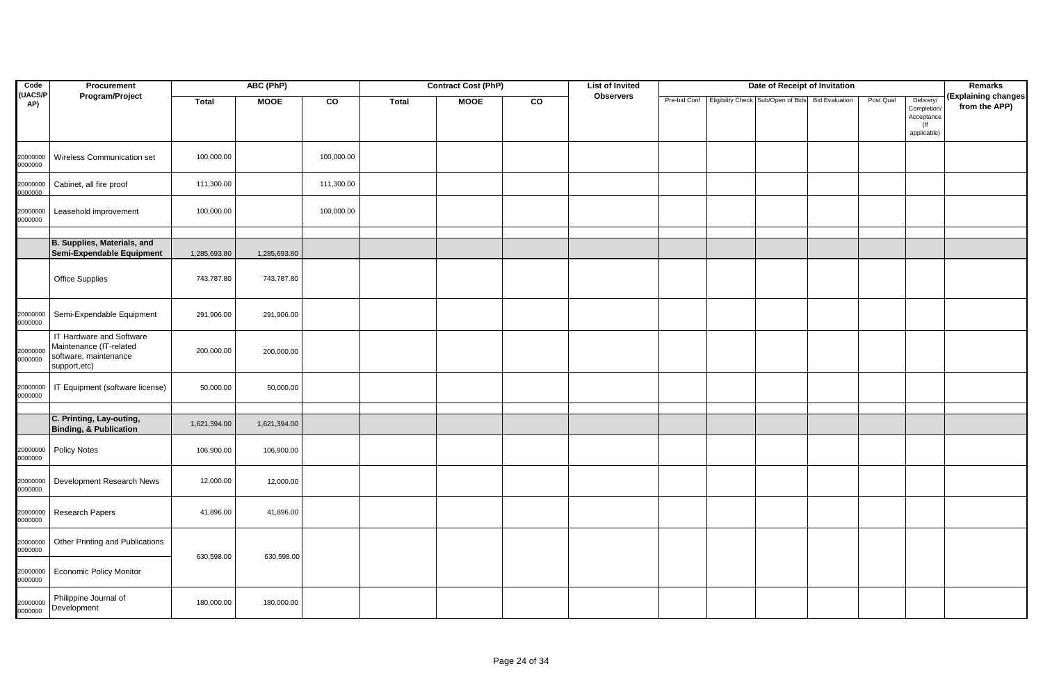| Code                | Procurement                                                                                  |              | ABC (PhP)    |            |              | <b>Contract Cost (PhP)</b> |             | <b>List of Invited</b> |  | Date of Receipt of Invitation                                  |           |                                                                 | Remarks                              |
|---------------------|----------------------------------------------------------------------------------------------|--------------|--------------|------------|--------------|----------------------------|-------------|------------------------|--|----------------------------------------------------------------|-----------|-----------------------------------------------------------------|--------------------------------------|
| (UACS/P<br>AP)      | Program/Project                                                                              | <b>Total</b> | <b>MOOE</b>  | CO         | <b>Total</b> | <b>MOOE</b>                | $_{\rm co}$ | <b>Observers</b>       |  | Pre-bid Conf Eligibility Check Sub/Open of Bids Bid Evaluation | Post Qual | Delivery/<br>Completion/<br>Acceptance<br>$($ lf<br>applicable) | (Explaining changes<br>from the APP) |
| 20000000<br>0000000 | Wireless Communication set                                                                   | 100,000.00   |              | 100,000.00 |              |                            |             |                        |  |                                                                |           |                                                                 |                                      |
| 20000000<br>000000  | Cabinet, all fire proof                                                                      | 111,300.00   |              | 111,300.00 |              |                            |             |                        |  |                                                                |           |                                                                 |                                      |
| 20000000<br>0000000 | Leasehold improvement                                                                        | 100,000.00   |              | 100,000.00 |              |                            |             |                        |  |                                                                |           |                                                                 |                                      |
|                     | B. Supplies, Materials, and<br>Semi-Expendable Equipment                                     | 1,285,693.80 | 1,285,693.80 |            |              |                            |             |                        |  |                                                                |           |                                                                 |                                      |
|                     | <b>Office Supplies</b>                                                                       | 743,787.80   | 743,787.80   |            |              |                            |             |                        |  |                                                                |           |                                                                 |                                      |
| 20000000<br>0000000 | Semi-Expendable Equipment                                                                    | 291,906.00   | 291,906.00   |            |              |                            |             |                        |  |                                                                |           |                                                                 |                                      |
| 20000000<br>0000000 | IT Hardware and Software<br>Maintenance (IT-related<br>software, maintenance<br>support,etc) | 200,000.00   | 200,000.00   |            |              |                            |             |                        |  |                                                                |           |                                                                 |                                      |
| 0000000             | 20000000   IT Equipment (software license)                                                   | 50,000.00    | 50,000.00    |            |              |                            |             |                        |  |                                                                |           |                                                                 |                                      |
|                     |                                                                                              |              |              |            |              |                            |             |                        |  |                                                                |           |                                                                 |                                      |
|                     | C. Printing, Lay-outing,<br>Binding, & Publication                                           | 1,621,394.00 | 1,621,394.00 |            |              |                            |             |                        |  |                                                                |           |                                                                 |                                      |
| 20000000<br>0000000 | <b>Policy Notes</b>                                                                          | 106,900.00   | 106,900.00   |            |              |                            |             |                        |  |                                                                |           |                                                                 |                                      |
| 20000000<br>0000000 | Development Research News                                                                    | 12,000.00    | 12,000.00    |            |              |                            |             |                        |  |                                                                |           |                                                                 |                                      |
| 20000000<br>0000000 | Research Papers                                                                              | 41,896.00    | 41,896.00    |            |              |                            |             |                        |  |                                                                |           |                                                                 |                                      |
| 20000000<br>0000000 | Other Printing and Publications                                                              | 630,598.00   | 630,598.00   |            |              |                            |             |                        |  |                                                                |           |                                                                 |                                      |
| 20000000<br>0000000 | <b>Economic Policy Monitor</b>                                                               |              |              |            |              |                            |             |                        |  |                                                                |           |                                                                 |                                      |
| 20000000<br>0000000 | Philippine Journal of<br>Development                                                         | 180,000.00   | 180,000.00   |            |              |                            |             |                        |  |                                                                |           |                                                                 |                                      |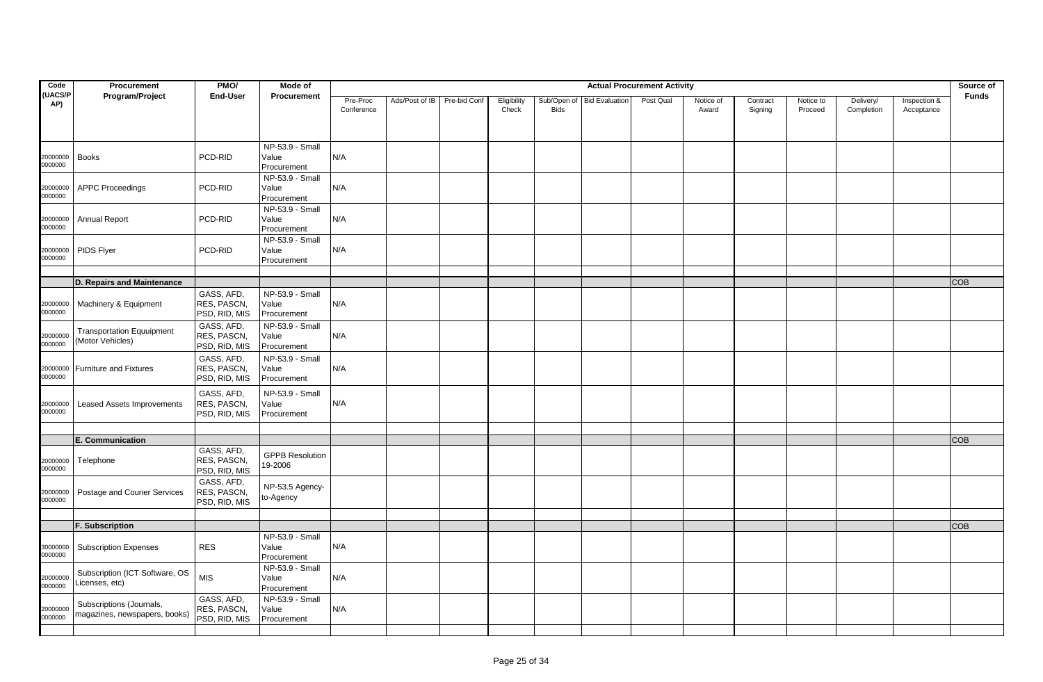| Code                 | Procurement                                               | PMO/                                       | Mode of                                 |                        |                |              |                      |                            |                       | <b>Actual Procurement Activity</b> |                    |                     |                      |                         |                            | Source of    |
|----------------------|-----------------------------------------------------------|--------------------------------------------|-----------------------------------------|------------------------|----------------|--------------|----------------------|----------------------------|-----------------------|------------------------------------|--------------------|---------------------|----------------------|-------------------------|----------------------------|--------------|
| <b>UACS/P</b><br>AP) | Program/Project                                           | End-User                                   | Procurement                             | Pre-Proc<br>Conference | Ads/Post of IB | Pre-bid Conf | Eligibility<br>Check | Sub/Open of<br><b>Bids</b> | <b>Bid Evaluation</b> | Post Qual                          | Notice of<br>Award | Contract<br>Signing | Notice to<br>Proceed | Delivery/<br>Completion | Inspection &<br>Acceptance | <b>Funds</b> |
| 20000000<br>0000000  | <b>Books</b>                                              | PCD-RID                                    | NP-53.9 - Small<br>Value<br>Procurement | N/A                    |                |              |                      |                            |                       |                                    |                    |                     |                      |                         |                            |              |
| 20000000<br>0000000  | <b>APPC Proceedings</b>                                   | PCD-RID                                    | NP-53.9 - Small<br>Value<br>Procurement | N/A                    |                |              |                      |                            |                       |                                    |                    |                     |                      |                         |                            |              |
| 20000000<br>0000000  | <b>Annual Report</b>                                      | PCD-RID                                    | NP-53.9 - Small<br>Value<br>Procurement | N/A                    |                |              |                      |                            |                       |                                    |                    |                     |                      |                         |                            |              |
| 20000000<br>0000000  | PIDS Flyer                                                | PCD-RID                                    | NP-53.9 - Small<br>Value<br>Procurement | N/A                    |                |              |                      |                            |                       |                                    |                    |                     |                      |                         |                            |              |
|                      |                                                           |                                            |                                         |                        |                |              |                      |                            |                       |                                    |                    |                     |                      |                         |                            |              |
| 20000000<br>0000000  | D. Repairs and Maintenance<br>Machinery & Equipment       | GASS, AFD,<br>RES, PASCN,<br>PSD, RID, MIS | NP-53.9 - Small<br>Value<br>Procurement | N/A                    |                |              |                      |                            |                       |                                    |                    |                     |                      |                         |                            | <b>COB</b>   |
| 20000000<br>0000000  | <b>Transportation Equuipment</b><br>(Motor Vehicles)      | GASS, AFD,<br>RES, PASCN,<br>PSD, RID, MIS | NP-53.9 - Small<br>Value<br>Procurement | N/A                    |                |              |                      |                            |                       |                                    |                    |                     |                      |                         |                            |              |
| 20000000<br>0000000  | <b>Furniture and Fixtures</b>                             | GASS, AFD,<br>RES, PASCN,<br>PSD, RID, MIS | NP-53.9 - Small<br>Value<br>Procurement | N/A                    |                |              |                      |                            |                       |                                    |                    |                     |                      |                         |                            |              |
| 20000000<br>0000000  | Leased Assets Improvements                                | GASS, AFD,<br>RES, PASCN,<br>PSD, RID, MIS | NP-53.9 - Small<br>Value<br>Procurement | N/A                    |                |              |                      |                            |                       |                                    |                    |                     |                      |                         |                            |              |
|                      |                                                           |                                            |                                         |                        |                |              |                      |                            |                       |                                    |                    |                     |                      |                         |                            |              |
| 20000000<br>0000000  | <b>E. Communication</b><br>Telephone                      | GASS, AFD,<br>RES, PASCN,<br>PSD, RID, MIS | <b>GPPB Resolution</b><br>19-2006       |                        |                |              |                      |                            |                       |                                    |                    |                     |                      |                         |                            | <b>COB</b>   |
| 20000000<br>0000000  | Postage and Courier Services                              | GASS, AFD,<br>RES, PASCN,<br>PSD, RID, MIS | NP-53.5 Agency-<br>to-Agency            |                        |                |              |                      |                            |                       |                                    |                    |                     |                      |                         |                            |              |
|                      |                                                           |                                            |                                         |                        |                |              |                      |                            |                       |                                    |                    |                     |                      |                         |                            |              |
|                      | F. Subscription                                           |                                            |                                         |                        |                |              |                      |                            |                       |                                    |                    |                     |                      |                         |                            | <b>COB</b>   |
| 30000000<br>0000000  | <b>Subscription Expenses</b>                              | <b>RES</b>                                 | NP-53.9 - Small<br>Value<br>Procurement | N/A                    |                |              |                      |                            |                       |                                    |                    |                     |                      |                         |                            |              |
| 20000000<br>0000000  | Subscription (ICT Software, OS<br>Licenses, etc)          | <b>MIS</b>                                 | NP-53.9 - Small<br>Value<br>Procurement | N/A                    |                |              |                      |                            |                       |                                    |                    |                     |                      |                         |                            |              |
| 20000000<br>0000000  | Subscriptions (Journals,<br>magazines, newspapers, books) | GASS, AFD,<br>RES, PASCN,<br>PSD, RID, MIS | NP-53.9 - Small<br>Value<br>Procurement | N/A                    |                |              |                      |                            |                       |                                    |                    |                     |                      |                         |                            |              |
|                      |                                                           |                                            |                                         |                        |                |              |                      |                            |                       |                                    |                    |                     |                      |                         |                            |              |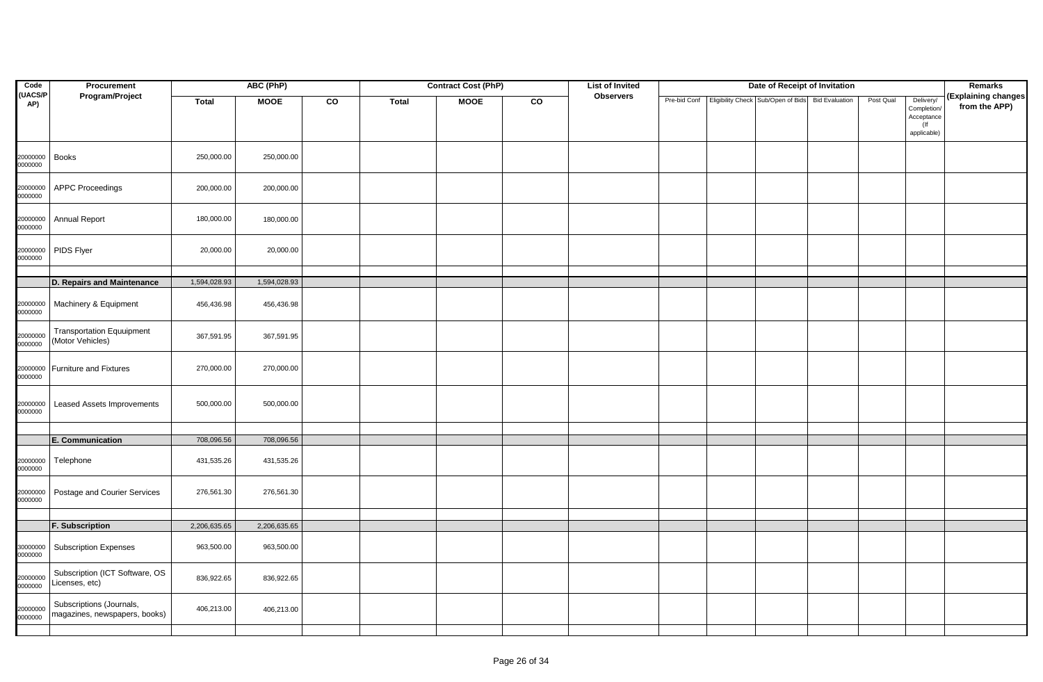| Code                | Procurement                                               |              | ABC (PhP)    |    |              | <b>Contract Cost (PhP)</b> |    | <b>List of Invited</b> |  | Date of Receipt of Invitation                                  |           |                                                  | Remarks                              |
|---------------------|-----------------------------------------------------------|--------------|--------------|----|--------------|----------------------------|----|------------------------|--|----------------------------------------------------------------|-----------|--------------------------------------------------|--------------------------------------|
| (UACS/P<br>AP)      | Program/Project                                           | <b>Total</b> | <b>MOOE</b>  | CO | <b>Total</b> | <b>MOOE</b>                | CO | <b>Observers</b>       |  | Pre-bid Conf Eligibility Check Sub/Open of Bids Bid Evaluation | Post Qual | Delivery/<br>Completion/<br>Acceptance<br>$($ lf | (Explaining changes<br>from the APP) |
|                     |                                                           |              |              |    |              |                            |    |                        |  |                                                                |           | applicable)                                      |                                      |
| 20000000<br>0000000 | <b>Books</b>                                              | 250,000.00   | 250,000.00   |    |              |                            |    |                        |  |                                                                |           |                                                  |                                      |
| 20000000<br>0000000 | <b>APPC Proceedings</b>                                   | 200,000.00   | 200,000.00   |    |              |                            |    |                        |  |                                                                |           |                                                  |                                      |
| 20000000<br>0000000 | <b>Annual Report</b>                                      | 180,000.00   | 180,000.00   |    |              |                            |    |                        |  |                                                                |           |                                                  |                                      |
| 20000000<br>0000000 | PIDS Flyer                                                | 20,000.00    | 20,000.00    |    |              |                            |    |                        |  |                                                                |           |                                                  |                                      |
|                     |                                                           |              |              |    |              |                            |    |                        |  |                                                                |           |                                                  |                                      |
|                     | D. Repairs and Maintenance                                | 1,594,028.93 | 1,594,028.93 |    |              |                            |    |                        |  |                                                                |           |                                                  |                                      |
| 20000000<br>0000000 | Machinery & Equipment                                     | 456,436.98   | 456,436.98   |    |              |                            |    |                        |  |                                                                |           |                                                  |                                      |
| 20000000<br>0000000 | <b>Transportation Equuipment</b><br>(Motor Vehicles)      | 367,591.95   | 367,591.95   |    |              |                            |    |                        |  |                                                                |           |                                                  |                                      |
| 20000000<br>0000000 | <b>Furniture and Fixtures</b>                             | 270,000.00   | 270,000.00   |    |              |                            |    |                        |  |                                                                |           |                                                  |                                      |
| 20000000<br>0000000 | Leased Assets Improvements                                | 500,000.00   | 500,000.00   |    |              |                            |    |                        |  |                                                                |           |                                                  |                                      |
|                     |                                                           |              |              |    |              |                            |    |                        |  |                                                                |           |                                                  |                                      |
|                     | E. Communication                                          | 708,096.56   | 708,096.56   |    |              |                            |    |                        |  |                                                                |           |                                                  |                                      |
| 20000000<br>0000000 | Telephone                                                 | 431,535.26   | 431,535.26   |    |              |                            |    |                        |  |                                                                |           |                                                  |                                      |
| 20000000<br>0000000 | Postage and Courier Services                              | 276,561.30   | 276,561.30   |    |              |                            |    |                        |  |                                                                |           |                                                  |                                      |
|                     |                                                           |              |              |    |              |                            |    |                        |  |                                                                |           |                                                  |                                      |
|                     | <b>F. Subscription</b>                                    | 2,206,635.65 | 2,206,635.65 |    |              |                            |    |                        |  |                                                                |           |                                                  |                                      |
| 30000000<br>0000000 | <b>Subscription Expenses</b>                              | 963,500.00   | 963,500.00   |    |              |                            |    |                        |  |                                                                |           |                                                  |                                      |
| 20000000<br>0000000 | Subscription (ICT Software, OS<br>Licenses, etc)          | 836,922.65   | 836,922.65   |    |              |                            |    |                        |  |                                                                |           |                                                  |                                      |
| 20000000<br>0000000 | Subscriptions (Journals,<br>magazines, newspapers, books) | 406,213.00   | 406,213.00   |    |              |                            |    |                        |  |                                                                |           |                                                  |                                      |
|                     |                                                           |              |              |    |              |                            |    |                        |  |                                                                |           |                                                  |                                      |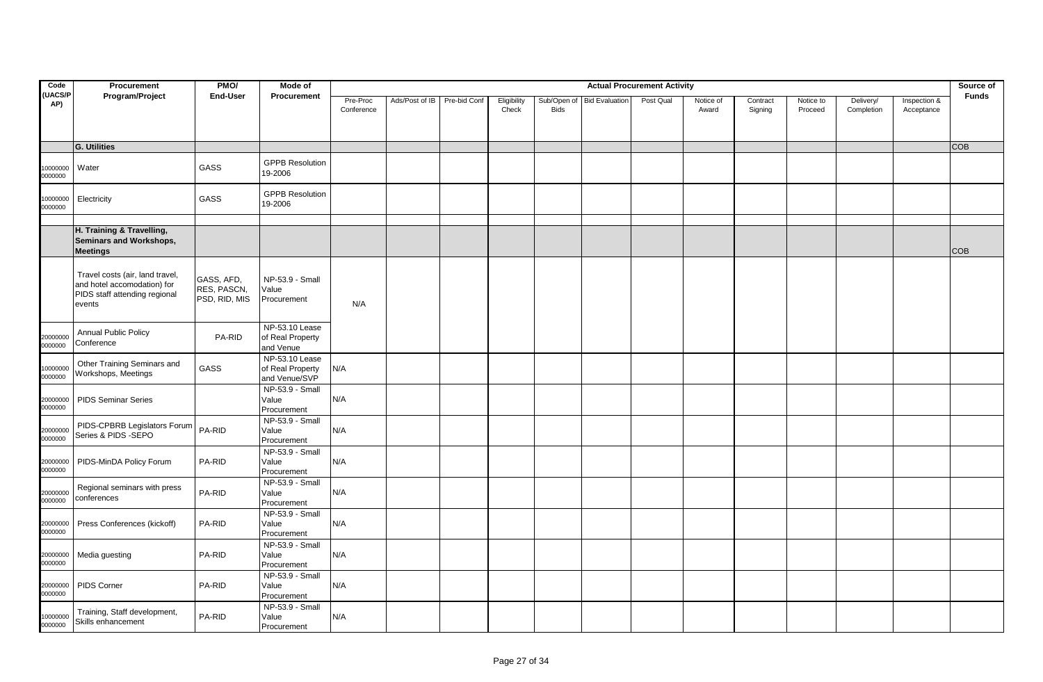| Code                 | Procurement                                                                                               | PMO/                                       | Mode of                                                             |                        |                             |                      |                            |                       | <b>Actual Procurement Activity</b> |                    |                     |                      |                         |                            | Source of    |
|----------------------|-----------------------------------------------------------------------------------------------------------|--------------------------------------------|---------------------------------------------------------------------|------------------------|-----------------------------|----------------------|----------------------------|-----------------------|------------------------------------|--------------------|---------------------|----------------------|-------------------------|----------------------------|--------------|
| <b>UACS/P</b><br>AP) | Program/Project                                                                                           | End-User                                   | Procurement                                                         | Pre-Proc<br>Conference | Ads/Post of IB Pre-bid Conf | Eligibility<br>Check | Sub/Open of<br><b>Bids</b> | <b>Bid Evaluation</b> | Post Qual                          | Notice of<br>Award | Contract<br>Signing | Notice to<br>Proceed | Delivery/<br>Completion | Inspection &<br>Acceptance | <b>Funds</b> |
|                      | <b>G. Utilities</b>                                                                                       |                                            |                                                                     |                        |                             |                      |                            |                       |                                    |                    |                     |                      |                         |                            | <b>COB</b>   |
| 10000000<br>0000000  | Water                                                                                                     | GASS                                       | <b>GPPB Resolution</b><br>19-2006                                   |                        |                             |                      |                            |                       |                                    |                    |                     |                      |                         |                            |              |
| 0000000<br>0000000   | Electricity                                                                                               | GASS                                       | <b>GPPB Resolution</b><br>19-2006                                   |                        |                             |                      |                            |                       |                                    |                    |                     |                      |                         |                            |              |
|                      | H. Training & Travelling,<br><b>Seminars and Workshops,</b><br><b>Meetings</b>                            |                                            |                                                                     |                        |                             |                      |                            |                       |                                    |                    |                     |                      |                         |                            | <b>COB</b>   |
|                      | Travel costs (air, land travel,<br>and hotel accomodation) for<br>PIDS staff attending regional<br>events | GASS, AFD,<br>RES, PASCN,<br>PSD, RID, MIS | NP-53.9 - Small<br>Value<br>Procurement                             | N/A                    |                             |                      |                            |                       |                                    |                    |                     |                      |                         |                            |              |
| 20000000<br>0000000  | <b>Annual Public Policy</b><br>Conference                                                                 | PA-RID                                     | $\overline{\text{NP-53.10}}$ Lease<br>of Real Property<br>and Venue |                        |                             |                      |                            |                       |                                    |                    |                     |                      |                         |                            |              |
| 10000000<br>0000000  | Other Training Seminars and<br>Workshops, Meetings                                                        | GASS                                       | NP-53.10 Lease<br>of Real Property<br>and Venue/SVP                 | N/A                    |                             |                      |                            |                       |                                    |                    |                     |                      |                         |                            |              |
| 20000000<br>0000000  | <b>PIDS Seminar Series</b>                                                                                |                                            | NP-53.9 - Small<br>Value<br>Procurement                             | N/A                    |                             |                      |                            |                       |                                    |                    |                     |                      |                         |                            |              |
| 20000000<br>0000000  | PIDS-CPBRB Legislators Forum<br>Series & PIDS -SEPO                                                       | PA-RID                                     | NP-53.9 - Small<br>Value<br>Procurement                             | N/A                    |                             |                      |                            |                       |                                    |                    |                     |                      |                         |                            |              |
| 20000000<br>0000000  | PIDS-MinDA Policy Forum                                                                                   | PA-RID                                     | NP-53.9 - Small<br>Value<br>Procurement                             | N/A                    |                             |                      |                            |                       |                                    |                    |                     |                      |                         |                            |              |
| 20000000<br>0000000  | Regional seminars with press<br>conferences                                                               | PA-RID                                     | NP-53.9 - Small<br>Value<br>Procurement                             | N/A                    |                             |                      |                            |                       |                                    |                    |                     |                      |                         |                            |              |
| 20000000<br>0000000  | Press Conferences (kickoff)                                                                               | PA-RID                                     | NP-53.9 - Small<br>Value<br>Procurement                             | N/A                    |                             |                      |                            |                       |                                    |                    |                     |                      |                         |                            |              |
| 20000000<br>0000000  | Media guesting                                                                                            | PA-RID                                     | NP-53.9 - Small<br>Value<br>Procurement                             | N/A                    |                             |                      |                            |                       |                                    |                    |                     |                      |                         |                            |              |
| 20000000<br>0000000  | PIDS Corner                                                                                               | PA-RID                                     | NP-53.9 - Small<br>Value<br>Procurement                             | N/A                    |                             |                      |                            |                       |                                    |                    |                     |                      |                         |                            |              |
| 10000000<br>0000000  | Training, Staff development,<br>Skills enhancement                                                        | PA-RID                                     | NP-53.9 - Small<br>Value<br>Procurement                             | N/A                    |                             |                      |                            |                       |                                    |                    |                     |                      |                         |                            |              |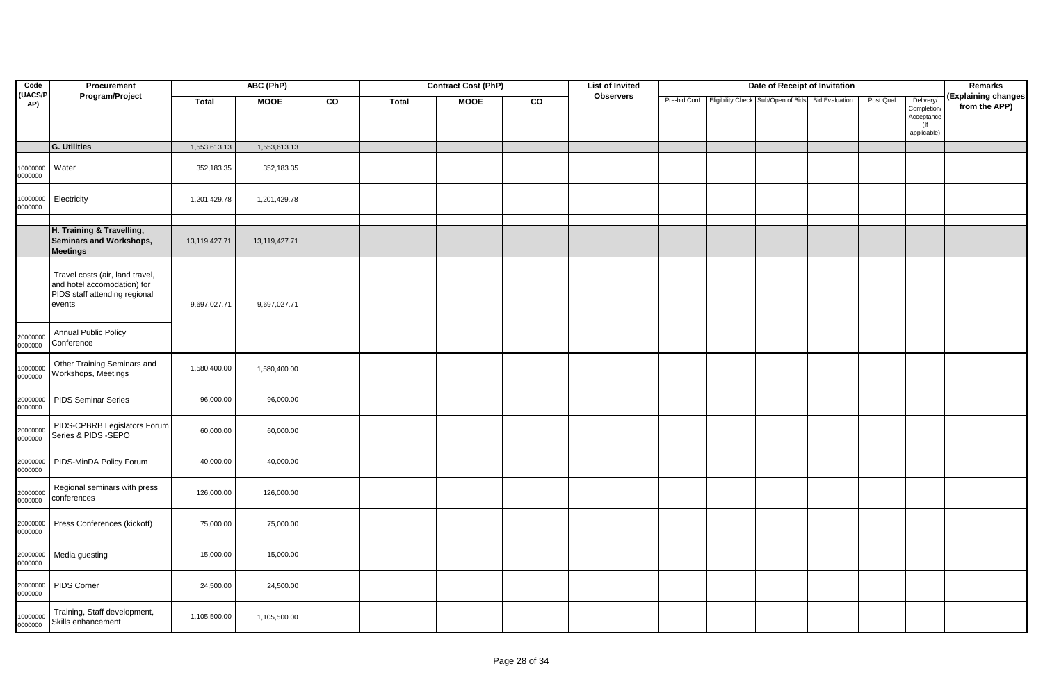| Code                | Procurement                                                                                               |               | ABC (PhP)     |    |       | <b>Contract Cost (PhP)</b> |    | <b>List of Invited</b> |  | Date of Receipt of Invitation                                  |           |                                                                 | <b>Remarks</b>                       |
|---------------------|-----------------------------------------------------------------------------------------------------------|---------------|---------------|----|-------|----------------------------|----|------------------------|--|----------------------------------------------------------------|-----------|-----------------------------------------------------------------|--------------------------------------|
| (UACS/P<br>AP)      | Program/Project<br>G. Utilities                                                                           | <b>Total</b>  | <b>MOOE</b>   | CO | Total | <b>MOOE</b>                | CO | <b>Observers</b>       |  | Pre-bid Conf Eligibility Check Sub/Open of Bids Bid Evaluation | Post Qual | Delivery/<br>Completion/<br>Acceptance<br>$($ lf<br>applicable) | (Explaining changes<br>from the APP) |
|                     |                                                                                                           | 1,553,613.13  | 1,553,613.13  |    |       |                            |    |                        |  |                                                                |           |                                                                 |                                      |
| 10000000<br>0000000 | Water                                                                                                     | 352,183.35    | 352,183.35    |    |       |                            |    |                        |  |                                                                |           |                                                                 |                                      |
| 10000000<br>0000000 | Electricity                                                                                               | 1,201,429.78  | 1,201,429.78  |    |       |                            |    |                        |  |                                                                |           |                                                                 |                                      |
|                     | H. Training & Travelling,<br>Seminars and Workshops,                                                      | 13,119,427.71 | 13,119,427.71 |    |       |                            |    |                        |  |                                                                |           |                                                                 |                                      |
|                     | <b>Meetings</b>                                                                                           |               |               |    |       |                            |    |                        |  |                                                                |           |                                                                 |                                      |
|                     | Travel costs (air, land travel,<br>and hotel accomodation) for<br>PIDS staff attending regional<br>events | 9,697,027.71  | 9,697,027.71  |    |       |                            |    |                        |  |                                                                |           |                                                                 |                                      |
| 20000000<br>0000000 | Annual Public Policy<br>Conference                                                                        |               |               |    |       |                            |    |                        |  |                                                                |           |                                                                 |                                      |
| 10000000<br>0000000 | Other Training Seminars and<br>Workshops, Meetings                                                        | 1,580,400.00  | 1,580,400.00  |    |       |                            |    |                        |  |                                                                |           |                                                                 |                                      |
| 20000000<br>0000000 | <b>PIDS Seminar Series</b>                                                                                | 96,000.00     | 96,000.00     |    |       |                            |    |                        |  |                                                                |           |                                                                 |                                      |
| 20000000<br>0000000 | PIDS-CPBRB Legislators Forum<br>Series & PIDS -SEPO                                                       | 60,000.00     | 60,000.00     |    |       |                            |    |                        |  |                                                                |           |                                                                 |                                      |
| 20000000<br>0000000 | PIDS-MinDA Policy Forum                                                                                   | 40,000.00     | 40,000.00     |    |       |                            |    |                        |  |                                                                |           |                                                                 |                                      |
| 20000000<br>0000000 | Regional seminars with press<br>conferences                                                               | 126,000.00    | 126,000.00    |    |       |                            |    |                        |  |                                                                |           |                                                                 |                                      |
| 20000000<br>0000000 | Press Conferences (kickoff)                                                                               | 75,000.00     | 75,000.00     |    |       |                            |    |                        |  |                                                                |           |                                                                 |                                      |
| 20000000<br>0000000 | Media guesting                                                                                            | 15,000.00     | 15,000.00     |    |       |                            |    |                        |  |                                                                |           |                                                                 |                                      |
| 20000000<br>0000000 | PIDS Corner                                                                                               | 24,500.00     | 24,500.00     |    |       |                            |    |                        |  |                                                                |           |                                                                 |                                      |
| 10000000<br>0000000 | Training, Staff development,<br>Skills enhancement                                                        | 1,105,500.00  | 1,105,500.00  |    |       |                            |    |                        |  |                                                                |           |                                                                 |                                      |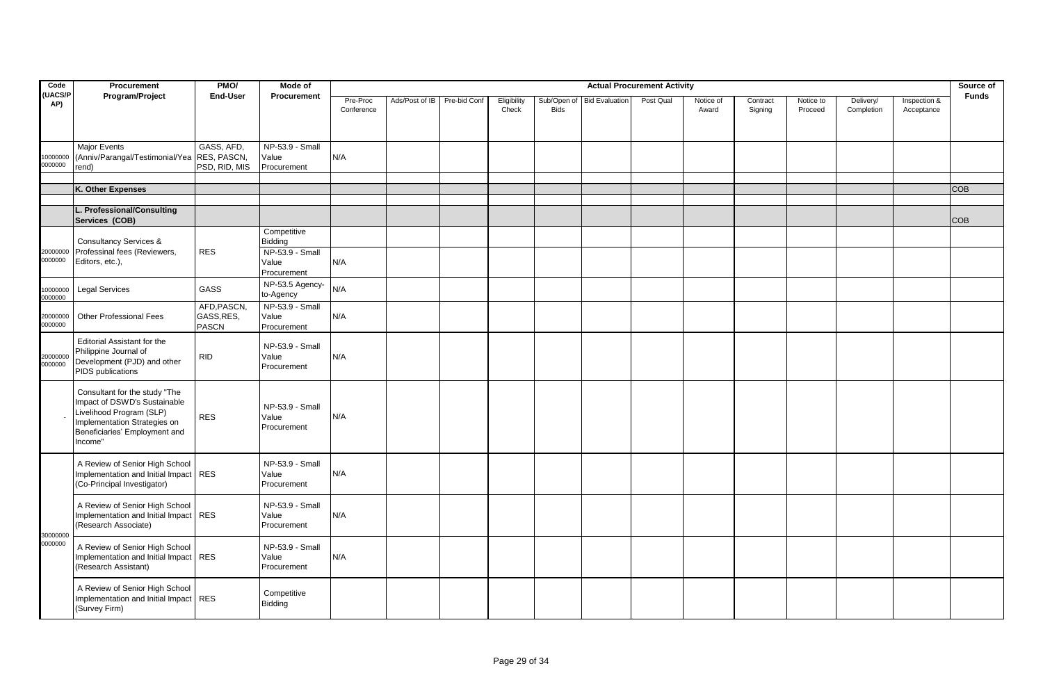| Code                 | Procurement                                                                                                                                                           | PMO/                                      | Mode of<br><b>Actual Procurement Activity</b><br><b>Procurement</b> |                        |                |              |                      |             |                            |           |                    |                     |                      |                         |                            | Source of    |
|----------------------|-----------------------------------------------------------------------------------------------------------------------------------------------------------------------|-------------------------------------------|---------------------------------------------------------------------|------------------------|----------------|--------------|----------------------|-------------|----------------------------|-----------|--------------------|---------------------|----------------------|-------------------------|----------------------------|--------------|
| <b>UACS/P</b><br>AP) | Program/Project                                                                                                                                                       | End-User                                  |                                                                     | Pre-Proc<br>Conference | Ads/Post of IB | Pre-bid Conf | Eligibility<br>Check | <b>Bids</b> | Sub/Open of Bid Evaluation | Post Qual | Notice of<br>Award | Contract<br>Signing | Notice to<br>Proceed | Delivery/<br>Completion | Inspection &<br>Acceptance | <b>Funds</b> |
| 10000000<br>0000000  | Major Events<br>(Anniv/Parangal/Testimonial/Yea RES, PASCN,<br>rend)                                                                                                  | GASS. AFD.<br>PSD, RID, MIS               | NP-53.9 - Small<br>Value<br>Procurement                             | N/A                    |                |              |                      |             |                            |           |                    |                     |                      |                         |                            |              |
|                      | K. Other Expenses                                                                                                                                                     |                                           |                                                                     |                        |                |              |                      |             |                            |           |                    |                     |                      |                         |                            | <b>COB</b>   |
|                      | L. Professional/Consulting<br>Services (COB)                                                                                                                          |                                           |                                                                     |                        |                |              |                      |             |                            |           |                    |                     |                      |                         |                            | <b>COB</b>   |
| 20000000<br>0000000  | <b>Consultancy Services &amp;</b><br>Professinal fees (Reviewers,<br>Editors, etc.),                                                                                  | <b>RES</b>                                | Competitive<br>Bidding<br>NP-53.9 - Small<br>Value<br>Procurement   | N/A                    |                |              |                      |             |                            |           |                    |                     |                      |                         |                            |              |
| 10000000<br>0000000  | <b>Legal Services</b>                                                                                                                                                 | GASS                                      | NP-53.5 Agency-<br>to-Agency                                        | N/A                    |                |              |                      |             |                            |           |                    |                     |                      |                         |                            |              |
| 20000000<br>0000000  | <b>Other Professional Fees</b>                                                                                                                                        | AFD, PASCN,<br>GASS, RES,<br><b>PASCN</b> | NP-53.9 - Small<br>Value<br>Procurement                             | N/A                    |                |              |                      |             |                            |           |                    |                     |                      |                         |                            |              |
| 20000000<br>0000000  | <b>Editorial Assistant for the</b><br>Philippine Journal of<br>Development (PJD) and other<br>PIDS publications                                                       | <b>RID</b>                                | NP-53.9 - Small<br>Value<br>Procurement                             | N/A                    |                |              |                      |             |                            |           |                    |                     |                      |                         |                            |              |
|                      | Consultant for the study "The<br>Impact of DSWD's Sustainable<br>Livelihood Program (SLP)<br>Implementation Strategies on<br>Beneficiaries' Employment and<br>Income" | <b>RES</b>                                | NP-53.9 - Small<br>Value<br>Procurement                             | N/A                    |                |              |                      |             |                            |           |                    |                     |                      |                         |                            |              |
|                      | A Review of Senior High School<br>Implementation and Initial Impact<br>(Co-Principal Investigator)                                                                    | <b>RES</b>                                | NP-53.9 - Small<br>Value<br>Procurement                             | N/A                    |                |              |                      |             |                            |           |                    |                     |                      |                         |                            |              |
| 30000000             | A Review of Senior High School<br>Implementation and Initial Impact   RES<br>(Research Associate)                                                                     |                                           | NP-53.9 - Small<br>Value<br>Procurement                             | N/A                    |                |              |                      |             |                            |           |                    |                     |                      |                         |                            |              |
| 0000000              | A Review of Senior High School<br>Implementation and Initial Impact   RES<br>(Research Assistant)                                                                     |                                           | NP-53.9 - Small<br>Value<br>Procurement                             | N/A                    |                |              |                      |             |                            |           |                    |                     |                      |                         |                            |              |
|                      | A Review of Senior High School<br>Implementation and Initial Impact<br>(Survey Firm)                                                                                  | <b>RES</b>                                | Competitive<br>Bidding                                              |                        |                |              |                      |             |                            |           |                    |                     |                      |                         |                            |              |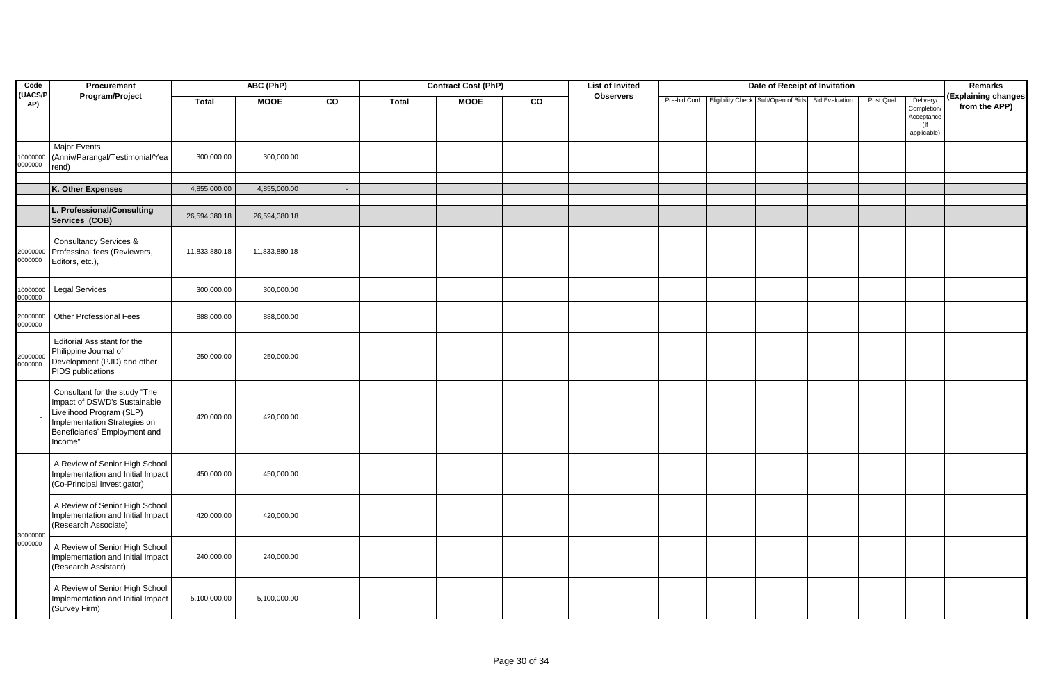| Code                 | Procurement<br>ABC (PhP)<br>Program/Project                                                                                                                           |               |               |        | <b>Contract Cost (PhP)</b> |             | <b>List of Invited</b> |                  | Date of Receipt of Invitation |                                                     |                       |           | Remarks                                                         |                                      |
|----------------------|-----------------------------------------------------------------------------------------------------------------------------------------------------------------------|---------------|---------------|--------|----------------------------|-------------|------------------------|------------------|-------------------------------|-----------------------------------------------------|-----------------------|-----------|-----------------------------------------------------------------|--------------------------------------|
| <b>UACS/P</b><br>AP) | <b>Major Events</b>                                                                                                                                                   | <b>Total</b>  | <b>MOOE</b>   | CO     | <b>Total</b>               | <b>MOOE</b> | CO                     | <b>Observers</b> |                               | Pre-bid Conf   Eligibility Check   Sub/Open of Bids | <b>Bid Evaluation</b> | Post Qual | Delivery/<br>Completion/<br>Acceptance<br>$($ lf<br>applicable) | (Explaining changes<br>from the APP) |
| 0000000<br>0000000   | (Anniv/Parangal/Testimonial/Yea<br>rend)                                                                                                                              | 300,000.00    | 300,000.00    |        |                            |             |                        |                  |                               |                                                     |                       |           |                                                                 |                                      |
|                      | K. Other Expenses                                                                                                                                                     | 4,855,000.00  | 4,855,000.00  | $\sim$ |                            |             |                        |                  |                               |                                                     |                       |           |                                                                 |                                      |
|                      |                                                                                                                                                                       |               |               |        |                            |             |                        |                  |                               |                                                     |                       |           |                                                                 |                                      |
|                      | L. Professional/Consulting<br>Services (COB)                                                                                                                          | 26,594,380.18 | 26,594,380.18 |        |                            |             |                        |                  |                               |                                                     |                       |           |                                                                 |                                      |
| 20000000<br>0000000  | <b>Consultancy Services &amp;</b><br>Professinal fees (Reviewers,<br>Editors, etc.),                                                                                  | 11,833,880.18 | 11,833,880.18 |        |                            |             |                        |                  |                               |                                                     |                       |           |                                                                 |                                      |
| 10000000<br>0000000  | <b>Legal Services</b>                                                                                                                                                 | 300,000.00    | 300,000.00    |        |                            |             |                        |                  |                               |                                                     |                       |           |                                                                 |                                      |
| 20000000<br>0000000  | <b>Other Professional Fees</b>                                                                                                                                        | 888,000.00    | 888,000.00    |        |                            |             |                        |                  |                               |                                                     |                       |           |                                                                 |                                      |
| 20000000<br>0000000  | <b>Editorial Assistant for the</b><br>Philippine Journal of<br>Development (PJD) and other<br>PIDS publications                                                       | 250,000.00    | 250,000.00    |        |                            |             |                        |                  |                               |                                                     |                       |           |                                                                 |                                      |
|                      | Consultant for the study "The<br>Impact of DSWD's Sustainable<br>Livelihood Program (SLP)<br>Implementation Strategies on<br>Beneficiaries' Employment and<br>Income" | 420,000.00    | 420,000.00    |        |                            |             |                        |                  |                               |                                                     |                       |           |                                                                 |                                      |
|                      | A Review of Senior High School<br>Implementation and Initial Impact<br>(Co-Principal Investigator)                                                                    | 450,000.00    | 450,000.00    |        |                            |             |                        |                  |                               |                                                     |                       |           |                                                                 |                                      |
|                      | A Review of Senior High School<br>Implementation and Initial Impact<br>(Research Associate)                                                                           | 420,000.00    | 420,000.00    |        |                            |             |                        |                  |                               |                                                     |                       |           |                                                                 |                                      |
| 30000000<br>0000000  | A Review of Senior High School<br>Implementation and Initial Impact<br>(Research Assistant)                                                                           | 240,000.00    | 240,000.00    |        |                            |             |                        |                  |                               |                                                     |                       |           |                                                                 |                                      |
|                      | A Review of Senior High School<br>Implementation and Initial Impact<br>(Survey Firm)                                                                                  | 5,100,000.00  | 5,100,000.00  |        |                            |             |                        |                  |                               |                                                     |                       |           |                                                                 |                                      |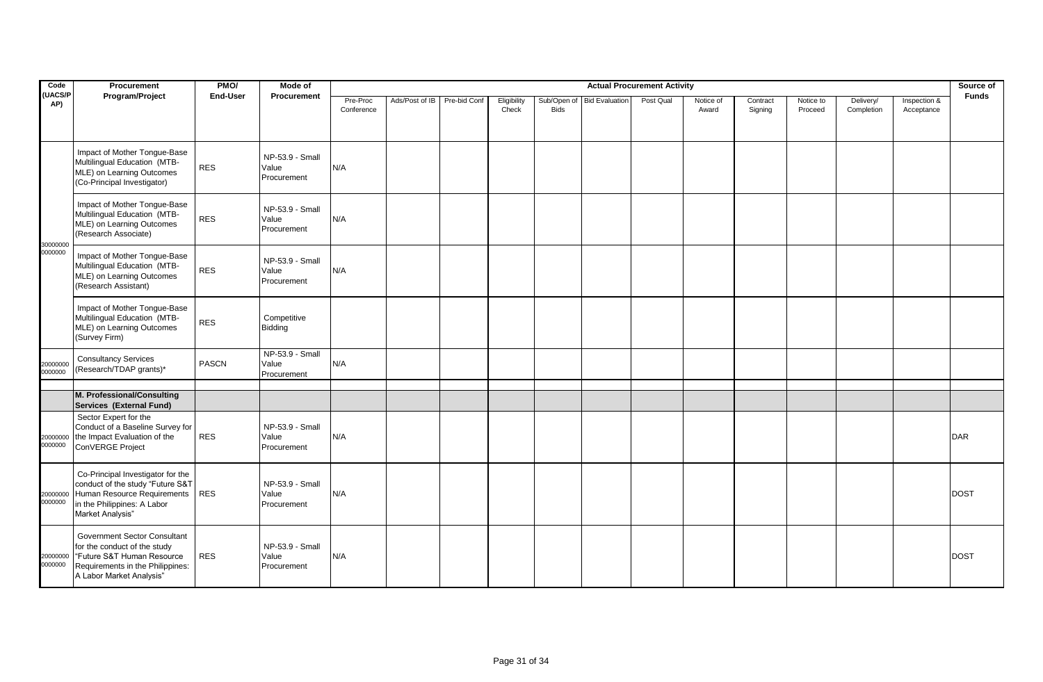| Code                | Procurement                                                                                                                                                       | PMO/         | <b>Actual Procurement Activity</b><br>Mode of |                        |                |              |                      |                            |  |           |                    |                     |                      |                         |                            | Source of    |
|---------------------|-------------------------------------------------------------------------------------------------------------------------------------------------------------------|--------------|-----------------------------------------------|------------------------|----------------|--------------|----------------------|----------------------------|--|-----------|--------------------|---------------------|----------------------|-------------------------|----------------------------|--------------|
| (UACS/P<br>AP)      | Program/Project                                                                                                                                                   | End-User     | Procurement                                   | Pre-Proc<br>Conference | Ads/Post of IB | Pre-bid Conf | Eligibility<br>Check | <b>Bids</b>                |  | Post Qual | Notice of<br>Award | Contract<br>Signing | Notice to<br>Proceed | Delivery/<br>Completion | Inspection &<br>Acceptance | <b>Funds</b> |
|                     | Impact of Mother Tongue-Base<br>Multilingual Education (MTB-<br>MLE) on Learning Outcomes<br>(Co-Principal Investigator)                                          | <b>RES</b>   | NP-53.9 - Small<br>Value<br>Procurement       | N/A                    |                |              |                      |                            |  |           |                    |                     |                      |                         |                            |              |
|                     | Impact of Mother Tongue-Base<br>Multilingual Education (MTB-<br>MLE) on Learning Outcomes<br>(Research Associate)                                                 | <b>RES</b>   | NP-53.9 - Small<br>Value<br>Procurement       | N/A                    |                |              |                      | Sub/Open of Bid Evaluation |  |           |                    |                     |                      |                         |                            |              |
| 30000000<br>0000000 | Impact of Mother Tongue-Base<br>Multilingual Education (MTB-<br>MLE) on Learning Outcomes<br>(Research Assistant)                                                 | <b>RES</b>   | NP-53.9 - Small<br>Value<br>Procurement       | N/A                    |                |              |                      |                            |  |           |                    |                     |                      |                         |                            |              |
|                     | Impact of Mother Tongue-Base<br>Multilingual Education (MTB-<br>MLE) on Learning Outcomes<br>(Survey Firm)                                                        | <b>RES</b>   | Competitive<br>Bidding                        |                        |                |              |                      |                            |  |           |                    |                     |                      |                         |                            |              |
| 20000000<br>0000000 | <b>Consultancy Services</b><br>(Research/TDAP grants)*                                                                                                            | <b>PASCN</b> | NP-53.9 - Small<br>Value<br>Procurement       | N/A                    |                |              |                      |                            |  |           |                    |                     |                      |                         |                            |              |
|                     |                                                                                                                                                                   |              |                                               |                        |                |              |                      |                            |  |           |                    |                     |                      |                         |                            |              |
|                     | M. Professional/Consulting<br>Services (External Fund)                                                                                                            |              |                                               |                        |                |              |                      |                            |  |           |                    |                     |                      |                         |                            |              |
| 20000000<br>0000000 | Sector Expert for the<br>Conduct of a Baseline Survey for<br>the Impact Evaluation of the<br>ConVERGE Project                                                     | <b>RES</b>   | NP-53.9 - Small<br>Value<br>Procurement       | N/A                    |                |              |                      |                            |  |           |                    |                     |                      |                         |                            | <b>DAR</b>   |
| 20000000<br>0000000 | Co-Principal Investigator for the<br>conduct of the study "Future S&T<br>Human Resource Requirements<br>in the Philippines: A Labor<br>Market Analysis"           | <b>RES</b>   | NP-53.9 - Small<br>Value<br>Procurement       | N/A                    |                |              |                      |                            |  |           |                    |                     |                      |                         |                            | <b>DOST</b>  |
| 20000000<br>0000000 | <b>Government Sector Consultant</b><br>for the conduct of the study<br>"Future S&T Human Resource<br>Requirements in the Philippines:<br>A Labor Market Analysis" | <b>RES</b>   | NP-53.9 - Small<br>Value<br>Procurement       | N/A                    |                |              |                      |                            |  |           |                    |                     |                      |                         |                            | <b>DOST</b>  |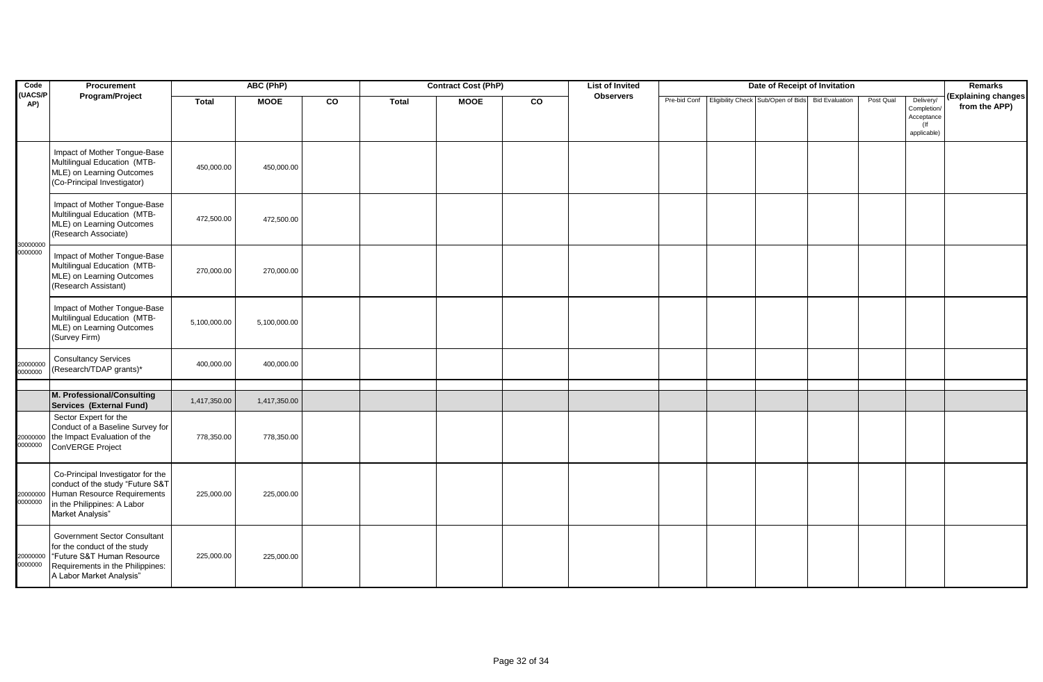| Code                 | Procurement                                                                                                                                                       |              | ABC (PhP)    |    |              | <b>Contract Cost (PhP)</b> |    | <b>List of Invited</b> |  | Date of Receipt of Invitation                                  |           |                                                  | Remarks                              |
|----------------------|-------------------------------------------------------------------------------------------------------------------------------------------------------------------|--------------|--------------|----|--------------|----------------------------|----|------------------------|--|----------------------------------------------------------------|-----------|--------------------------------------------------|--------------------------------------|
| <b>UACS/P</b><br>AP) | Program/Project                                                                                                                                                   | <b>Total</b> | <b>MOOE</b>  | co | <b>Total</b> | <b>MOOE</b>                | co | <b>Observers</b>       |  | Pre-bid Conf Eligibility Check Sub/Open of Bids Bid Evaluation | Post Qual | Delivery/<br>Completion/<br>Acceptance<br>$($ lf | (Explaining changes<br>from the APP) |
|                      | Impact of Mother Tongue-Base<br>Multilingual Education (MTB-<br>MLE) on Learning Outcomes<br>(Co-Principal Investigator)                                          | 450,000.00   | 450,000.00   |    |              |                            |    |                        |  |                                                                |           | applicable)                                      |                                      |
| 30000000             | Impact of Mother Tongue-Base<br>Multilingual Education (MTB-<br>MLE) on Learning Outcomes<br>(Research Associate)                                                 | 472,500.00   | 472,500.00   |    |              |                            |    |                        |  |                                                                |           |                                                  |                                      |
| 0000000              | Impact of Mother Tongue-Base<br>Multilingual Education (MTB-<br>MLE) on Learning Outcomes<br>(Research Assistant)                                                 | 270,000.00   | 270,000.00   |    |              |                            |    |                        |  |                                                                |           |                                                  |                                      |
|                      | Impact of Mother Tongue-Base<br>Multilingual Education (MTB-<br>MLE) on Learning Outcomes<br>(Survey Firm)                                                        | 5,100,000.00 | 5,100,000.00 |    |              |                            |    |                        |  |                                                                |           |                                                  |                                      |
| 20000000<br>0000000  | <b>Consultancy Services</b><br>(Research/TDAP grants)*                                                                                                            | 400,000.00   | 400,000.00   |    |              |                            |    |                        |  |                                                                |           |                                                  |                                      |
|                      |                                                                                                                                                                   |              |              |    |              |                            |    |                        |  |                                                                |           |                                                  |                                      |
|                      | M. Professional/Consulting<br>Services (External Fund)                                                                                                            | 1,417,350.00 | 1,417,350.00 |    |              |                            |    |                        |  |                                                                |           |                                                  |                                      |
| 0000000              | Sector Expert for the<br>Conduct of a Baseline Survey for<br>20000000 the Impact Evaluation of the<br>ConVERGE Project                                            | 778,350.00   | 778,350.00   |    |              |                            |    |                        |  |                                                                |           |                                                  |                                      |
| 20000000<br>0000000  | Co-Principal Investigator for the<br>conduct of the study "Future S&T<br>Human Resource Requirements<br>in the Philippines: A Labor<br>Market Analysis"           | 225,000.00   | 225,000.00   |    |              |                            |    |                        |  |                                                                |           |                                                  |                                      |
| 20000000<br>0000000  | <b>Government Sector Consultant</b><br>for the conduct of the study<br>"Future S&T Human Resource<br>Requirements in the Philippines:<br>A Labor Market Analysis" | 225,000.00   | 225,000.00   |    |              |                            |    |                        |  |                                                                |           |                                                  |                                      |